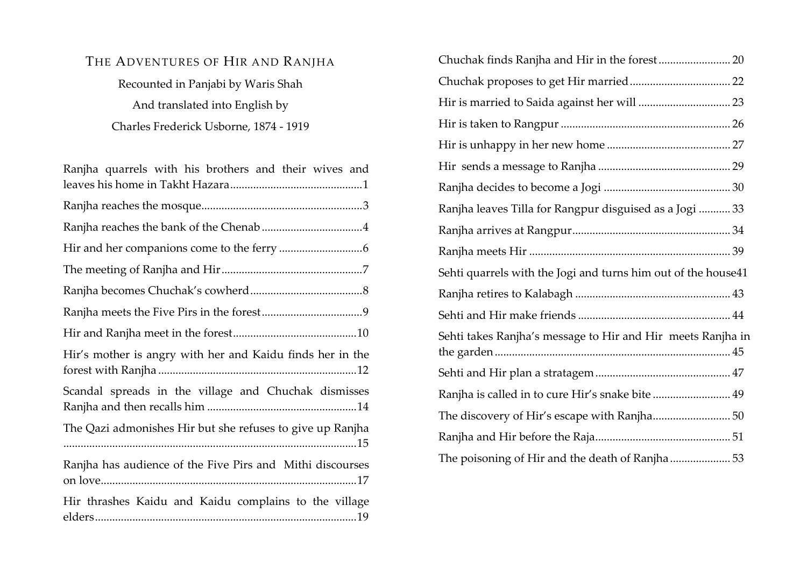# THE ADVENTURES OF HIR AND RANJHA

Recounted in Panjabi by Waris Shah And translated into English by Charles Frederick Usborne, 1874 - 1919

| Ranjha quarrels with his brothers and their wives and     |
|-----------------------------------------------------------|
|                                                           |
|                                                           |
|                                                           |
|                                                           |
|                                                           |
|                                                           |
|                                                           |
| Hir's mother is angry with her and Kaidu finds her in the |
| Scandal spreads in the village and Chuchak dismisses      |
| The Qazi admonishes Hir but she refuses to give up Ranjha |
| Ranjha has audience of the Five Pirs and Mithi discourses |
| Hir thrashes Kaidu and Kaidu complains to the village     |

| Ranjha leaves Tilla for Rangpur disguised as a Jogi  33       |
|---------------------------------------------------------------|
|                                                               |
|                                                               |
| Sehti quarrels with the Jogi and turns him out of the house41 |
|                                                               |
|                                                               |
| Sehti takes Ranjha's message to Hir and Hir meets Ranjha in   |
|                                                               |
| Ranjha is called in to cure Hir's snake bite  49              |
| The discovery of Hir's escape with Ranjha 50                  |
|                                                               |
| The poisoning of Hir and the death of Ranjha 53               |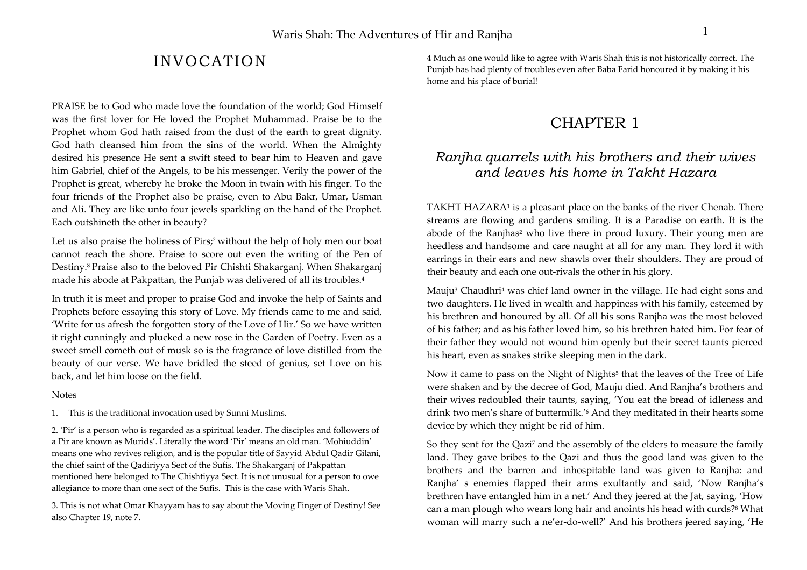# INVOCATION

PRAISE be to God who made love the foundation of the world; God Himself was the first lover for He loved the Prophet Muhammad. Praise be to the Prophet whom God hath raised from the dust of the earth to great dignity. God hath cleansed him from the sins of the world. When the Almighty desired his presence He sent a swift steed to bear him to Heaven and gave him Gabriel, chief of the Angels, to be his messenger. Verily the power of the Prophet is great, whereby he broke the Moon in twain with his finger. To the four friends of the Prophet also be praise, even to Abu Bakr, Umar, Usman and Ali. They are like unto four jewels sparkling on the hand of the Prophet. Each outshineth the other in beauty?

Let us also praise the holiness of Pirs;<sup>2</sup> without the help of holy men our boat cannot reach the shore. Praise to score out even the writing of the Pen of Destiny.8 Praise also to the beloved Pir Chishti Shakarganj. When Shakarganj made his abode at Pakpattan, the Punjab was delivered of all its troubles.4

In truth it is meet and proper to praise God and invoke the help of Saints and Prophets before essaying this story of Love. My friends came to me and said, 'Write for us afresh the forgotten story of the Love of Hir.' So we have written it right cunningly and plucked a new rose in the Garden of Poetry. Even as a sweet smell cometh out of musk so is the fragrance of love distilled from the beauty of our verse. We have bridled the steed of genius, set Love on his back, and let him loose on the field.

#### **Notes**

1. This is the traditional invocation used by Sunni Muslims.

2. 'Pir' is a person who is regarded as a spiritual leader. The disciples and followers of a Pir are known as Murids'. Literally the word 'Pir' means an old man. 'Mohiuddin' means one who revives religion, and is the popular title of Sayyid Abdul Qadir Gilani, the chief saint of the Qadiriyya Sect of the Sufis. The Shakarganj of Pakpattan mentioned here belonged to The Chishtiyya Sect. It is not unusual for a person to owe allegiance to more than one sect of the Sufis. This is the case with Waris Shah.

3. This is not what Omar Khayyam has to say about the Moving Finger of Destiny! See also Chapter 19, note 7.

4 Much as one would like to agree with Waris Shah this is not historically correct. The Punjab has had plenty of troubles even after Baba Farid honoured it by making it his home and his place of burial!

## CHAPTER 1

## *Ranjha quarrels with his brothers and their wives and leaves his home in Takht Hazara*

TAKHT HAZARA<sup>1</sup> is a pleasant place on the banks of the river Chenab. There streams are flowing and gardens smiling. It is a Paradise on earth. It is the abode of the Ranjhas<sup>2</sup> who live there in proud luxury. Their young men are heedless and handsome and care naught at all for any man. They lord it with earrings in their ears and new shawls over their shoulders. They are proud of their beauty and each one out-rivals the other in his glory.

Mauju3 Chaudhri4 was chief land owner in the village. He had eight sons and two daughters. He lived in wealth and happiness with his family, esteemed by his brethren and honoured by all. Of all his sons Ranjha was the most beloved of his father; and as his father loved him, so his brethren hated him. For fear of their father they would not wound him openly but their secret taunts pierced his heart, even as snakes strike sleeping men in the dark.

Now it came to pass on the Night of Nights<sup>5</sup> that the leaves of the Tree of Life were shaken and by the decree of God, Mauju died. And Ranjha's brothers and their wives redoubled their taunts, saying, 'You eat the bread of idleness and drink two men's share of buttermilk.'6 And they meditated in their hearts some device by which they might be rid of him.

So they sent for the Qazi7 and the assembly of the elders to measure the family land. They gave bribes to the Qazi and thus the good land was given to the brothers and the barren and inhospitable land was given to Ranjha: and Ranjha' s enemies flapped their arms exultantly and said, 'Now Ranjha's brethren have entangled him in a net.' And they jeered at the Jat, saying, 'How can a man plough who wears long hair and anoints his head with curds?8 What woman will marry such a ne'er-do-well?' And his brothers jeered saying, 'He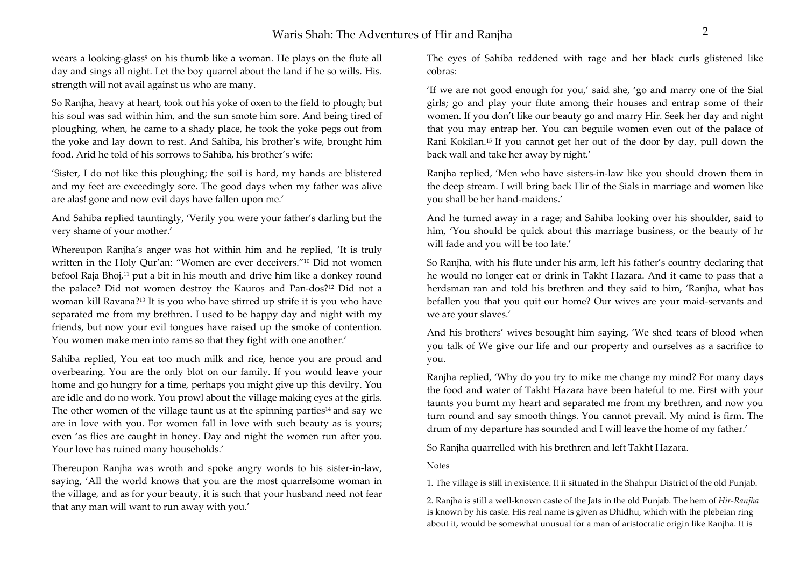wears a looking-glass<sup>9</sup> on his thumb like a woman. He plays on the flute all day and sings all night. Let the boy quarrel about the land if he so wills. His. strength will not avail against us who are many.

So Ranjha, heavy at heart, took out his yoke of oxen to the field to plough; but his soul was sad within him, and the sun smote him sore. And being tired of ploughing, when, he came to a shady place, he took the yoke pegs out from the yoke and lay down to rest. And Sahiba, his brother's wife, brought him food. Arid he told of his sorrows to Sahiba, his brother's wife:

'Sister, I do not like this ploughing; the soil is hard, my hands are blistered and my feet are exceedingly sore. The good days when my father was alive are alas! gone and now evil days have fallen upon me.'

And Sahiba replied tauntingly, 'Verily you were your father's darling but the very shame of your mother.'

Whereupon Ranjha's anger was hot within him and he replied, 'It is truly written in the Holy Qur'an: "Women are ever deceivers."10 Did not women befool Raja Bhoj,<sup>11</sup> put a bit in his mouth and drive him like a donkey round the palace? Did not women destroy the Kauros and Pan-dos?12 Did not a woman kill Ravana?13 It is you who have stirred up strife it is you who have separated me from my brethren. I used to be happy day and night with my friends, but now your evil tongues have raised up the smoke of contention. You women make men into rams so that they fight with one another.'

Sahiba replied, You eat too much milk and rice, hence you are proud and overbearing. You are the only blot on our family. If you would leave your home and go hungry for a time, perhaps you might give up this devilry. You are idle and do no work. You prowl about the village making eyes at the girls. The other women of the village taunt us at the spinning parties<sup>14</sup> and say we are in love with you. For women fall in love with such beauty as is yours; even 'as flies are caught in honey. Day and night the women run after you. Your love has ruined many households.'

Thereupon Ranjha was wroth and spoke angry words to his sister-in-law, saying, 'All the world knows that you are the most quarrelsome woman in the village, and as for your beauty, it is such that your husband need not fear that any man will want to run away with you.'

The eyes of Sahiba reddened with rage and her black curls glistened like cobras:

'If we are not good enough for you,' said she, 'go and marry one of the Sial girls; go and play your flute among their houses and entrap some of their women. If you don't like our beauty go and marry Hir. Seek her day and night that you may entrap her. You can beguile women even out of the palace of Rani Kokilan.15 If you cannot get her out of the door by day, pull down the back wall and take her away by night.'

Ranjha replied, 'Men who have sisters-in-law like you should drown them in the deep stream. I will bring back Hir of the Sials in marriage and women like you shall be her hand-maidens.'

And he turned away in a rage; and Sahiba looking over his shoulder, said to him, 'You should be quick about this marriage business, or the beauty of hr will fade and you will be too late.'

So Ranjha, with his flute under his arm, left his father's country declaring that he would no longer eat or drink in Takht Hazara. And it came to pass that a herdsman ran and told his brethren and they said to him, 'Ranjha, what has befallen you that you quit our home? Our wives are your maid-servants and we are your slaves.'

And his brothers' wives besought him saying, 'We shed tears of blood when you talk of We give our life and our property and ourselves as a sacrifice to you.

Ranjha replied, 'Why do you try to mike me change my mind? For many days the food and water of Takht Hazara have been hateful to me. First with your taunts you burnt my heart and separated me from my brethren, and now you turn round and say smooth things. You cannot prevail. My mind is firm. The drum of my departure has sounded and I will leave the home of my father.'

So Ranjha quarrelled with his brethren and left Takht Hazara.

Notes

1. The village is still in existence. It ii situated in the Shahpur District of the old Punjab.

2. Ranjha is still a well-known caste of the Jats in the old Punjab. The hem of *Hir-Ranjha*  is known by his caste. His real name is given as Dhidhu, which with the plebeian ring about it, would be somewhat unusual for a man of aristocratic origin like Ranjha. It is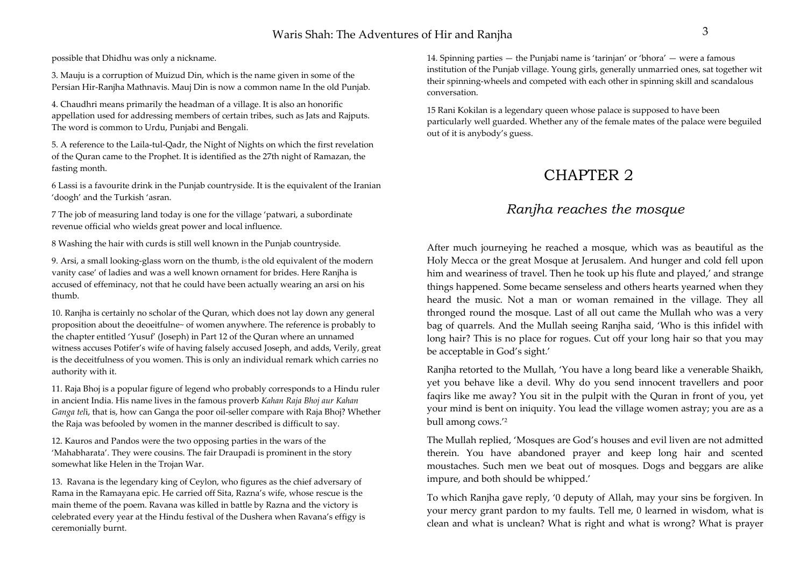possible that Dhidhu was only a nickname.

3. Mauju is a corruption of Muizud Din, which is the name given in some of the Persian Hir-Ranjha Mathnavis. Mauj Din is now a common name In the old Punjab.

4. Chaudhri means primarily the headman of a village. It is also an honorific appellation used for addressing members of certain tribes, such as Jats and Rajputs. The word is common to Urdu, Punjabi and Bengali.

5. A reference to the Laila-tul-Qadr, the Night of Nights on which the first revelation of the Quran came to the Prophet. It is identified as the 27th night of Ramazan, the fasting month.

6 Lassi is a favourite drink in the Punjab countryside. It is the equivalent of the Iranian 'doogh' and the Turkish 'asran.

7 The job of measuring land today is one for the village 'patwari, a subordinate revenue official who wields great power and local influence.

8 Washing the hair with curds is still well known in the Punjab countryside.

9. Arsi, a small looking-glass worn on the thumb, i5 the old equivalent of the modern vanity case' of ladies and was a well known ornament for brides. Here Ranjha is accused of effeminacy, not that he could have been actually wearing an arsi on his thumb.

10. Ranjha is certainly no scholar of the Quran, which does not lay down any general proposition about the deoeitfulne~ of women anywhere. The reference is probably to the chapter entitled 'Yusuf' (Joseph) in Part 12 of the Quran where an unnamed witness accuses Potifer's wife of having falsely accused Joseph, and adds, Verily, great is the deceitfulness of you women. This is only an individual remark which carries no authority with it.

11. Raja Bhoj is a popular figure of legend who probably corresponds to a Hindu ruler in ancient India. His name lives in the famous proverb *Kahan Raja Bhoj aur Kahan Ganga tel*i, that is, how can Ganga the poor oil-seller compare with Raja Bhoj? Whether the Raja was befooled by women in the manner described is difficult to say.

12. Kauros and Pandos were the two opposing parties in the wars of the 'Mahabharata'. They were cousins. The fair Draupadi is prominent in the story somewhat like Helen in the Trojan War.

13. Ravana is the legendary king of Ceylon, who figures as the chief adversary of Rama in the Ramayana epic. He carried off Sita, Razna's wife, whose rescue is the main theme of the poem. Ravana was killed in battle by Razna and the victory is celebrated every year at the Hindu festival of the Dushera when Ravana's effigy is ceremonially burnt.

14. Spinning parties — the Punjabi name is 'tarinjan' or 'bhora' — were a famous institution of the Punjab village. Young girls, generally unmarried ones, sat together wit their spinning-wheels and competed with each other in spinning skill and scandalous conversation.

15 Rani Kokilan is a legendary queen whose palace is supposed to have been particularly well guarded. Whether any of the female mates of the palace were beguiled out of it is anybody's guess.

# CHAPTER 2

## *Ranjha reaches the mosque*

After much journeying he reached a mosque, which was as beautiful as the Holy Mecca or the great Mosque at Jerusalem. And hunger and cold fell upon him and weariness of travel. Then he took up his flute and played,' and strange things happened. Some became senseless and others hearts yearned when they heard the music. Not a man or woman remained in the village. They all thronged round the mosque. Last of all out came the Mullah who was a very bag of quarrels. And the Mullah seeing Ranjha said, 'Who is this infidel with long hair? This is no place for rogues. Cut off your long hair so that you may be acceptable in God's sight.'

Ranjha retorted to the Mullah, 'You have a long beard like a venerable Shaikh, yet you behave like a devil. Why do you send innocent travellers and poor faqirs like me away? You sit in the pulpit with the Quran in front of you, yet your mind is bent on iniquity. You lead the village women astray; you are as a bull among cows.'2

The Mullah replied, 'Mosques are God's houses and evil liven are not admitted therein. You have abandoned prayer and keep long hair and scented moustaches. Such men we beat out of mosques. Dogs and beggars are alike impure, and both should be whipped.'

To which Ranjha gave reply, '0 deputy of Allah, may your sins be forgiven. In your mercy grant pardon to my faults. Tell me, 0 learned in wisdom, what is clean and what is unclean? What is right and what is wrong? What is prayer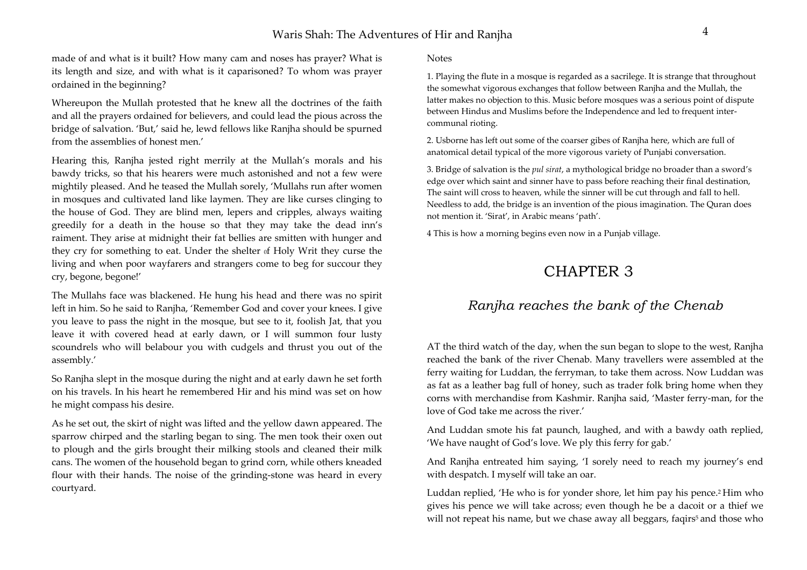### Waris Shah: The Adventures of Hir and Ranjha <sup>4</sup>

made of and what is it built? How many cam and noses has prayer? What is its length and size, and with what is it caparisoned? To whom was prayer ordained in the beginning?

Whereupon the Mullah protested that he knew all the doctrines of the faith and all the prayers ordained for believers, and could lead the pious across the bridge of salvation. 'But,' said he, lewd fellows like Ranjha should be spurned from the assemblies of honest men.'

Hearing this, Ranjha jested right merrily at the Mullah's morals and his bawdy tricks, so that his hearers were much astonished and not a few were mightily pleased. And he teased the Mullah sorely, 'Mullahs run after women in mosques and cultivated land like laymen. They are like curses clinging to the house of God. They are blind men, lepers and cripples, always waiting greedily for a death in the house so that they may take the dead inn's raiment. They arise at midnight their fat bellies are smitten with hunger and they cry for something to eat. Under the shelter of Holy Writ they curse the living and when poor wayfarers and strangers come to beg for succour they cry, begone, begone!'

The Mullahs face was blackened. He hung his head and there was no spirit left in him. So he said to Ranjha, 'Remember God and cover your knees. I give you leave to pass the night in the mosque, but see to it, foolish Jat, that you leave it with covered head at early dawn, or I will summon four lusty scoundrels who will belabour you with cudgels and thrust you out of the assembly.'

So Ranjha slept in the mosque during the night and at early dawn he set forth on his travels. In his heart he remembered Hir and his mind was set on how he might compass his desire.

As he set out, the skirt of night was lifted and the yellow dawn appeared. The sparrow chirped and the starling began to sing. The men took their oxen out to plough and the girls brought their milking stools and cleaned their milk cans. The women of the household began to grind corn, while others kneaded flour with their hands. The noise of the grinding-stone was heard in every courtyard.

Notes

1. Playing the flute in a mosque is regarded as a sacrilege. It is strange that throughout the somewhat vigorous exchanges that follow between Ranjha and the Mullah, the latter makes no objection to this. Music before mosques was a serious point of dispute between Hindus and Muslims before the Independence and led to frequent intercommunal rioting.

2. Usborne has left out some of the coarser gibes of Ranjha here, which are full of anatomical detail typical of the more vigorous variety of Punjabi conversation.

3. Bridge of salvation is the *pul sirat*, a mythological bridge no broader than a sword's edge over which saint and sinner have to pass before reaching their final destination, The saint will cross to heaven, while the sinner will be cut through and fall to hell. Needless to add, the bridge is an invention of the pious imagination. The Quran does not mention it. 'Sirat', in Arabic means 'path'.

4 This is how a morning begins even now in a Punjab village.

# CHAPTER 3

## *Ranjha reaches the bank of the Chenab*

AT the third watch of the day, when the sun began to slope to the west, Ranjha reached the bank of the river Chenab. Many travellers were assembled at the ferry waiting for Luddan, the ferryman, to take them across. Now Luddan was as fat as a leather bag full of honey, such as trader folk bring home when they corns with merchandise from Kashmir. Ranjha said, 'Master ferry-man, for the love of God take me across the river.'

And Luddan smote his fat paunch, laughed, and with a bawdy oath replied, 'We have naught of God's love. We ply this ferry for gab.'

And Ranjha entreated him saying, 'I sorely need to reach my journey's end with despatch. I myself will take an oar.

Luddan replied, 'He who is for yonder shore, let him pay his pence.<sup>2</sup> Him who gives his pence we will take across; even though he be a dacoit or a thief we will not repeat his name, but we chase away all beggars, faqirs<sup>5</sup> and those who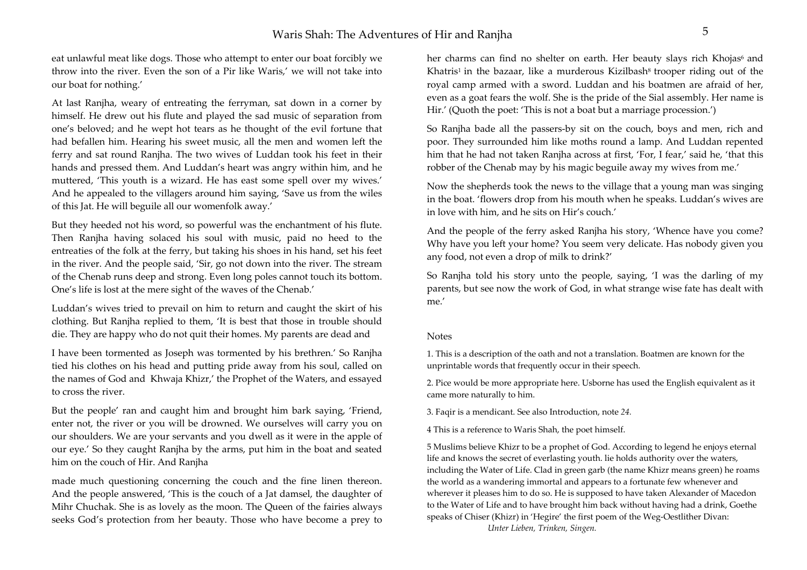eat unlawful meat like dogs. Those who attempt to enter our boat forcibly we throw into the river. Even the son of a Pir like Waris,' we will not take into our boat for nothing.'

At last Ranjha, weary of entreating the ferryman, sat down in a corner by himself. He drew out his flute and played the sad music of separation from one's beloved; and he wept hot tears as he thought of the evil fortune that had befallen him. Hearing his sweet music, all the men and women left the ferry and sat round Ranjha. The two wives of Luddan took his feet in their hands and pressed them. And Luddan's heart was angry within him, and he muttered, 'This youth is a wizard. He has east some spell over my wives.' And he appealed to the villagers around him saying, 'Save us from the wiles of this Jat. He will beguile all our womenfolk away.'

But they heeded not his word, so powerful was the enchantment of his flute. Then Ranjha having solaced his soul with music, paid no heed to the entreaties of the folk at the ferry, but taking his shoes in his hand, set his feet in the river. And the people said, 'Sir, go not down into the river. The stream of the Chenab runs deep and strong. Even long poles cannot touch its bottom. One's life is lost at the mere sight of the waves of the Chenab.'

Luddan's wives tried to prevail on him to return and caught the skirt of his clothing. But Ranjha replied to them, 'It is best that those in trouble should die. They are happy who do not quit their homes. My parents are dead and

I have been tormented as Joseph was tormented by his brethren.' So Ranjha tied his clothes on his head and putting pride away from his soul, called on the names of God and Khwaja Khizr,' the Prophet of the Waters, and essayed to cross the river.

But the people' ran and caught him and brought him bark saying, 'Friend, enter not, the river or you will be drowned. We ourselves will carry you on our shoulders. We are your servants and you dwell as it were in the apple of our eye.' So they caught Ranjha by the arms, put him in the boat and seated him on the couch of Hir. And Ranjha

made much questioning concerning the couch and the fine linen thereon. And the people answered, 'This is the couch of a Jat damsel, the daughter of Mihr Chuchak. She is as lovely as the moon. The Queen of the fairies always seeks God's protection from her beauty. Those who have become a prey to

her charms can find no shelter on earth. Her beauty slays rich Khojas<sup>6</sup> and Khatris<sup>1</sup> in the bazaar, like a murderous Kizilbash<sup>8</sup> trooper riding out of the royal camp armed with a sword. Luddan and his boatmen are afraid of her, even as a goat fears the wolf. She is the pride of the Sial assembly. Her name is Hir.' (Quoth the poet: 'This is not a boat but a marriage procession.')

So Ranjha bade all the passers-by sit on the couch, boys and men, rich and poor. They surrounded him like moths round a lamp. And Luddan repented him that he had not taken Ranjha across at first, 'For, I fear,' said he, 'that this robber of the Chenab may by his magic beguile away my wives from me.'

Now the shepherds took the news to the village that a young man was singing in the boat. 'flowers drop from his mouth when he speaks. Luddan's wives are in love with him, and he sits on Hir's couch.'

And the people of the ferry asked Ranjha his story, 'Whence have you come? Why have you left your home? You seem very delicate. Has nobody given you any food, not even a drop of milk to drink?'

So Ranjha told his story unto the people, saying, 'I was the darling of my parents, but see now the work of God, in what strange wise fate has dealt with me.'

#### Notes

1. This is a description of the oath and not a translation. Boatmen are known for the unprintable words that frequently occur in their speech.

2. Pice would be more appropriate here. Usborne has used the English equivalent as it came more naturally to him.

3. Faqir is a mendicant. See also Introduction, note *24.* 

4 This is a reference to Waris Shah, the poet himself.

5 Muslims believe Khizr to be a prophet of God. According to legend he enjoys eternal life and knows the secret of everlasting youth. lie holds authority over the waters, including the Water of Life. Clad in green garb (the name Khizr means green) he roams the world as a wandering immortal and appears to a fortunate few whenever and wherever it pleases him to do so. He is supposed to have taken Alexander of Macedon to the Water of Life and to have brought him back without having had a drink, Goethe speaks of Chiser (Khizr) in 'Hegire' the first poem of the Weg-Oestlither Divan: *Unter Lieben, Trinken, Singen.*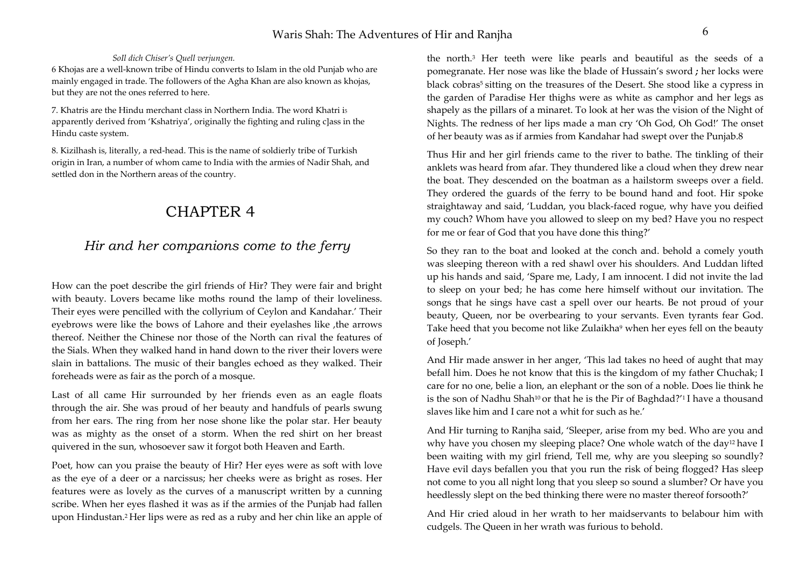### *SoIl dich Chiser's Quell verjungen.*

6 Khojas are a well-known tribe of Hindu converts to Islam in the old Punjab who are mainly engaged in trade. The followers of the Agha Khan are also known as khojas, but they are not the ones referred to here.

7. Khatris are the Hindu merchant class in Northern India. The word Khatri i5 apparently derived from 'Kshatriya', originally the fighting and ruling c]ass in the Hindu caste system.

8. Kizilhash is, literally, a red-head. This is the name of soldierly tribe of Turkish origin in Iran, a number of whom came to India with the armies of Nadir Shah, and settled don in the Northern areas of the country.

# CHAPTER 4

## *Hir and her companions come to the ferry*

How can the poet describe the girl friends of Hir? They were fair and bright with beauty. Lovers became like moths round the lamp of their loveliness. Their eyes were pencilled with the collyrium of Ceylon and Kandahar.' Their eyebrows were like the bows of Lahore and their eyelashes like , the arrows thereof. Neither the Chinese nor those of the North can rival the features of the Sials. When they walked hand in hand down to the river their lovers were slain in battalions. The music of their bangles echoed as they walked. Their foreheads were as fair as the porch of a mosque.

Last of all came Hir surrounded by her friends even as an eagle floats through the air. She was proud of her beauty and handfuls of pearls swung from her ears. The ring from her nose shone like the polar star. Her beauty was as mighty as the onset of a storm. When the red shirt on her breast quivered in the sun, whosoever saw it forgot both Heaven and Earth.

Poet, how can you praise the beauty of Hir? Her eyes were as soft with love as the eye of a deer or a narcissus; her cheeks were as bright as roses. Her features were as lovely as the curves of a manuscript written by a cunning scribe. When her eyes flashed it was as if the armies of the Punjab had fallen upon Hindustan.2 Her lips were as red as a ruby and her chin like an apple of

the north.3 Her teeth were like pearls and beautiful as the seeds of a pomegranate. Her nose was like the blade of Hussain's sword *;* her locks were black cobras<sup>5</sup> sitting on the treasures of the Desert. She stood like a cypress in the garden of Paradise Her thighs were as white as camphor and her legs as shapely as the pillars of a minaret. To look at her was the vision of the Night of Nights. The redness of her lips made a man cry 'Oh God, Oh God!' The onset of her beauty was as if armies from Kandahar had swept over the Punjab.8

Thus Hir and her girl friends came to the river to bathe. The tinkling of their anklets was heard from afar. They thundered like a cloud when they drew near the boat. They descended on the boatman as a hailstorm sweeps over a field. They ordered the guards of the ferry to be bound hand and foot. Hir spoke straightaway and said, 'Luddan, you black-faced rogue, why have you deified my couch? Whom have you allowed to sleep on my bed? Have you no respect for me or fear of God that you have done this thing?'

So they ran to the boat and looked at the conch and. behold a comely youth was sleeping thereon with a red shawl over his shoulders. And Luddan lifted up his hands and said, 'Spare me, Lady, I am innocent. I did not invite the lad to sleep on your bed; he has come here himself without our invitation. The songs that he sings have cast a spell over our hearts. Be not proud of your beauty, Queen, nor be overbearing to your servants. Even tyrants fear God. Take heed that you become not like Zulaikha<sup>9</sup> when her eyes fell on the beauty of Joseph.'

And Hir made answer in her anger, 'This lad takes no heed of aught that may befall him. Does he not know that this is the kingdom of my father Chuchak; I care for no one, belie a lion, an elephant or the son of a noble. Does lie think he is the son of Nadhu Shah10 or that he is the Pir of Baghdad?'1 I have a thousand slaves like him and I care not a whit for such as he.'

And Hir turning to Ranjha said, 'Sleeper, arise from my bed. Who are you and why have you chosen my sleeping place? One whole watch of the day<sup>12</sup> have I been waiting with my girl friend, Tell me, why are you sleeping so soundly? Have evil days befallen you that you run the risk of being flogged? Has sleep not come to you all night long that you sleep so sound a slumber? Or have you heedlessly slept on the bed thinking there were no master thereof forsooth?'

And Hir cried aloud in her wrath to her maidservants to belabour him with cudgels. The Queen in her wrath was furious to behold.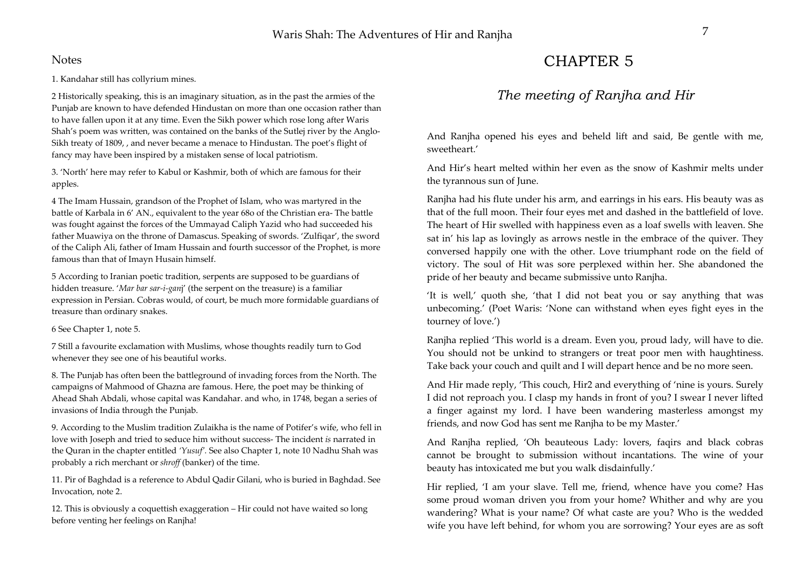### **Notes**

1. Kandahar still has collyrium mines.

2 Historically speaking, this is an imaginary situation, as in the past the armies of the Punjab are known to have defended Hindustan on more than one occasion rather than to have fallen upon it at any time. Even the Sikh power which rose long after Waris Shah's poem was written, was contained on the banks of the Sutlej river by the Anglo-Sikh treaty of 1809, , and never became a menace to Hindustan. The poet's flight of fancy may have been inspired by a mistaken sense of local patriotism.

3. 'North' here may refer to Kabul or Kashmir, both of which are famous for their apples.

4 The Imam Hussain, grandson of the Prophet of Islam, who was martyred in the battle of Karbala in 6' AN., equivalent to the year 68o of the Christian era- The battle was fought against the forces of the Ummayad Caliph Yazid who had succeeded his father Muawiya on the throne of Damascus. Speaking of swords. 'Zulfiqar', the sword of the Caliph Ali, father of Imam Hussain and fourth successor of the Prophet, is more famous than that of Imayn Husain himself.

5 According to Iranian poetic tradition, serpents are supposed to be guardians of hidden treasure. '*Mar bar sar-i-gan*j' (the serpent on the treasure) is a familiar expression in Persian. Cobras would, of court, be much more formidable guardians of treasure than ordinary snakes.

6 See Chapter 1, note 5.

7 Still a favourite exclamation with Muslims, whose thoughts readily turn to God whenever they see one of his beautiful works.

8. The Punjab has often been the battleground of invading forces from the North. The campaigns of Mahmood of Ghazna are famous. Here, the poet may be thinking of Ahead Shah Abdali, whose capital was Kandahar. and who, in 1748, began a series of invasions of India through the Punjab.

9. According to the Muslim tradition Zulaikha is the name of Potifer's wife, who fell in love with Joseph and tried to seduce him without success- The incident *is* narrated in the Quran in the chapter entitled *'Yusuf'.* See also Chapter 1, note 10 Nadhu Shah was probably a rich merchant or *shroff* (banker) of the time.

11. Pir of Baghdad is a reference to Abdul Qadir Gilani, who is buried in Baghdad. See Invocation, note 2.

12. This is obviously a coquettish exaggeration – Hir could not have waited so long before venting her feelings on Ranjha!

# CHAPTER 5

## *The meeting of Ranjha and Hir*

And Ranjha opened his eyes and beheld lift and said, Be gentle with me, sweetheart.'

And Hir's heart melted within her even as the snow of Kashmir melts under the tyrannous sun of June.

Ranjha had his flute under his arm, and earrings in his ears. His beauty was as that of the full moon. Their four eyes met and dashed in the battlefield of love. The heart of Hir swelled with happiness even as a loaf swells with leaven. She sat in' his lap as lovingly as arrows nestle in the embrace of the quiver. They conversed happily one with the other. Love triumphant rode on the field of victory. The soul of Hit was sore perplexed within her. She abandoned the pride of her beauty and became submissive unto Ranjha.

'It is well,' quoth she, 'that I did not beat you or say anything that was unbecoming.' (Poet Waris: 'None can withstand when eyes fight eyes in the tourney of love.')

Ranjha replied 'This world is a dream. Even you, proud lady, will have to die. You should not be unkind to strangers or treat poor men with haughtiness. Take back your couch and quilt and I will depart hence and be no more seen.

And Hir made reply, 'This couch, Hir2 and everything of 'nine is yours. Surely I did not reproach you. I clasp my hands in front of you? I swear I never lifted a finger against my lord. I have been wandering masterless amongst my friends, and now God has sent me Ranjha to be my Master.'

And Ranjha replied, 'Oh beauteous Lady: lovers, faqirs and black cobras cannot be brought to submission without incantations. The wine of your beauty has intoxicated me but you walk disdainfully.'

Hir replied, 'I am your slave. Tell me, friend, whence have you come? Has some proud woman driven you from your home? Whither and why are you wandering? What is your name? Of what caste are you? Who is the wedded wife you have left behind, for whom you are sorrowing? Your eyes are as soft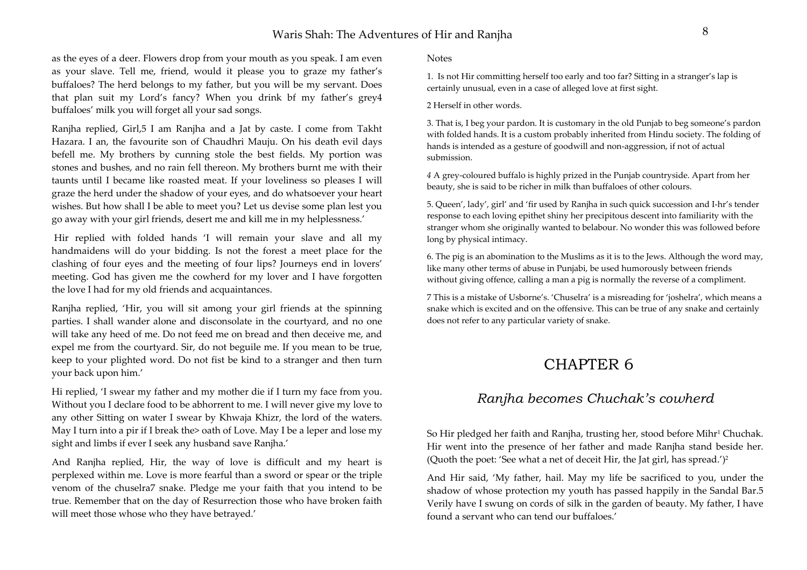## Waris Shah: The Adventures of Hir and Ranjha 8

as the eyes of a deer. Flowers drop from your mouth as you speak. I am even as your slave. Tell me, friend, would it please you to graze my father's buffaloes? The herd belongs to my father, but you will be my servant. Does that plan suit my Lord's fancy? When you drink bf my father's grey4 buffaloes' milk you will forget all your sad songs.

Ranjha replied, Girl,5 I am Ranjha and a Jat by caste. I come from Takht Hazara. I an, the favourite son of Chaudhri Mauju. On his death evil days befell me. My brothers by cunning stole the best fields. My portion was stones and bushes, and no rain fell thereon. My brothers burnt me with their taunts until I became like roasted meat. If your loveliness so pleases I will graze the herd under the shadow of your eyes, and do whatsoever your heart wishes. But how shall I be able to meet you? Let us devise some plan lest you go away with your girl friends, desert me and kill me in my helplessness.'

 Hir replied with folded hands 'I will remain your slave and all my handmaidens will do your bidding. Is not the forest a meet place for the clashing of four eyes and the meeting of four lips? Journeys end in lovers' meeting. God has given me the cowherd for my lover and I have forgotten the love I had for my old friends and acquaintances.

Ranjha replied, 'Hir, you will sit among your girl friends at the spinning parties. I shall wander alone and disconsolate in the courtyard, and no one will take any heed of me. Do not feed me on bread and then deceive me, and expel me from the courtyard. Sir, do not beguile me. If you mean to be true, keep to your plighted word. Do not fist be kind to a stranger and then turn your back upon him.'

Hi replied, 'I swear my father and my mother die if I turn my face from you. Without you I declare food to be abhorrent to me. I will never give my love to any other Sitting on water I swear by Khwaja Khizr, the lord of the waters. May I turn into a pir if I break the is oath of Love. May I be a leper and lose my sight and limbs if ever I seek any husband save Ranjha.'

And Ranjha replied, Hir, the way of love is difficult and my heart is perplexed within me. Love is more fearful than a sword or spear or the triple venom of the chuselra7 snake. Pledge me your faith that you intend to be true. Remember that on the day of Resurrection those who have broken faith will meet those whose who they have betrayed.'

Notes

1. Is not Hir committing herself too early and too far? Sitting in a stranger's lap is certainly unusual, even in a case of alleged love at first sight.

2 Herself in other words.

3. That is, I beg your pardon. It is customary in the old Punjab to beg someone's pardon with folded hands. It is a custom probably inherited from Hindu society. The folding of hands is intended as a gesture of goodwill and non-aggression, if not of actual submission.

*<sup>4</sup>*A grey-coloured buffalo is highly prized in the Punjab countryside. Apart from her beauty, she is said to be richer in milk than buffaloes of other colours.

5. Queen', lady', girl' and 'fir used by Ranjha in such quick succession and I-hr's tender response to each loving epithet shiny her precipitous descent into familiarity with the stranger whom she originally wanted to belabour. No wonder this was followed before long by physical intimacy.

6. The pig is an abomination to the Muslims as it is to the Jews. Although the word may, like many other terms of abuse in Punjabi, be used humorously between friends without giving offence, calling a man a pig is normally the reverse of a compliment.

7 This is a mistake of Usborne's. 'Chuselra' is a misreading for 'joshelra', which means a snake which is excited and on the offensive. This can be true of any snake and certainly does not refer to any particular variety of snake.

# CHAPTER 6

## *Ranjha becomes Chuchak's cowherd*

So Hir pledged her faith and Ranjha, trusting her, stood before Mihr<sup>1</sup> Chuchak. Hir went into the presence of her father and made Ranjha stand beside her. (Quoth the poet: 'See what a net of deceit Hir, the Jat girl, has spread.')2

And Hir said, 'My father, hail. May my life be sacrificed to you, under the shadow of whose protection my youth has passed happily in the Sandal Bar.5 Verily have I swung on cords of silk in the garden of beauty. My father, I have found a servant who can tend our buffaloes.'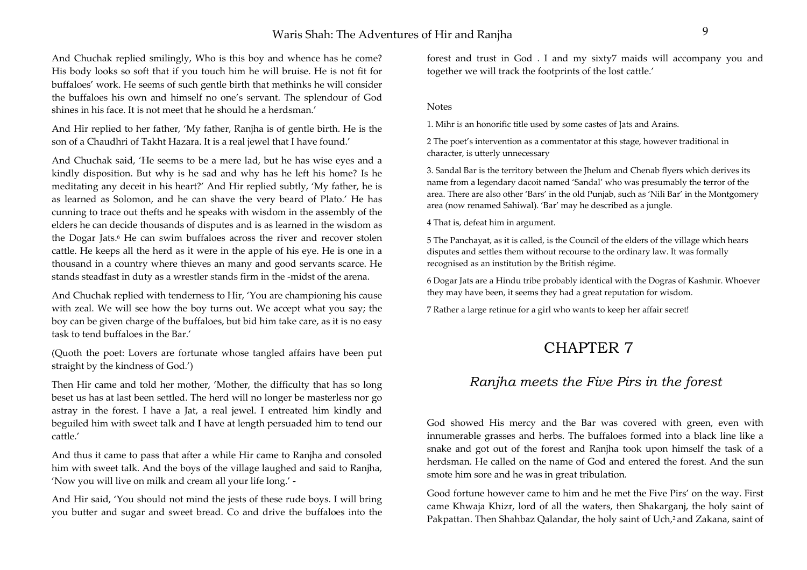## Waris Shah: The Adventures of Hir and Raniha

And Chuchak replied smilingly, Who is this boy and whence has he come? His body looks so soft that if you touch him he will bruise. He is not fit for buffaloes' work. He seems of such gentle birth that methinks he will consider the buffaloes his own and himself no one's servant. The splendour of God shines in his face. It is not meet that he should he a herdsman.'

And Hir replied to her father, 'My father, Ranjha is of gentle birth. He is the son of a Chaudhri of Takht Hazara. It is a real jewel that I have found.'

And Chuchak said, 'He seems to be a mere lad, but he has wise eyes and a kindly disposition. But why is he sad and why has he left his home? Is he meditating any deceit in his heart?' And Hir replied subtly, 'My father, he is as learned as Solomon, and he can shave the very beard of Plato.' He has cunning to trace out thefts and he speaks with wisdom in the assembly of the elders he can decide thousands of disputes and is as learned in the wisdom as the Dogar Jats.<sup>6</sup> He can swim buffaloes across the river and recover stolen cattle. He keeps all the herd as it were in the apple of his eye. He is one in a thousand in a country where thieves an many and good servants scarce. He stands steadfast in duty as a wrestler stands firm in the -midst of the arena.

And Chuchak replied with tenderness to Hir, 'You are championing his cause with zeal. We will see how the boy turns out. We accept what you say; the boy can be given charge of the buffaloes, but bid him take care, as it is no easy task to tend buffaloes in the Bar.'

(Quoth the poet: Lovers are fortunate whose tangled affairs have been put straight by the kindness of God.')

Then Hir came and told her mother, 'Mother, the difficulty that has so long beset us has at last been settled. The herd will no longer be masterless nor go astray in the forest. I have a Jat, a real jewel. I entreated him kindly and beguiled him with sweet talk and **I** have at length persuaded him to tend our cattle.'

And thus it came to pass that after a while Hir came to Ranjha and consoled him with sweet talk. And the boys of the village laughed and said to Ranjha, 'Now you will live on milk and cream all your life long.' -

And Hir said, 'You should not mind the jests of these rude boys. I will bring you butter and sugar and sweet bread. Co and drive the buffaloes into the forest and trust in God . I and my sixty7 maids will accompany you and together we will track the footprints of the lost cattle.'

#### Notes

1. Mihr i*s* an honorific title used by some castes of ]ats and Arains.

2 The poet's intervention as a commentator at this stage, however traditional in character, is utterly unnecessary

3. Sandal Bar is the territory between the Jhelum and Chenab flyers which derives its name from a legendary dacoit named 'Sandal' who was presumably the terror of the area. There are also other 'Bars' in the old Punjab, such as 'Nili Bar' in the Montgomery area (now renamed Sahiwal). 'Bar' may he described as a jungle.

4 That is, defeat him in argument.

5 The Panchayat, as it is called, is the Council of the elders of the village which hears disputes and settles them without recourse to the ordinary law. It was formally recognised as an institution by the British régime.

6 Dogar Jats are a Hindu tribe probably identical with the Dogras of Kashmir. Whoever they may have been, it seems they had a great reputation for wisdom.

7 Rather a large retinue for a girl who wants to keep her affair secret!

# CHAPTER 7

## *Ranjha meets the Five Pirs in the forest*

God showed His mercy and the Bar was covered with green, even with innumerable grasses and herbs. The buffaloes formed into a black line like a snake and got out of the forest and Ranjha took upon himself the task of a herdsman. He called on the name of God and entered the forest. And the sun smote him sore and he was in great tribulation.

Good fortune however came to him and he met the Five Pirs' on the way. First came Khwaja Khizr, lord of all the waters, then Shakarganj, the holy saint of Pakpattan. Then Shahbaz Qalandar, the holy saint of Uch,<sup>2</sup> and Zakana, saint of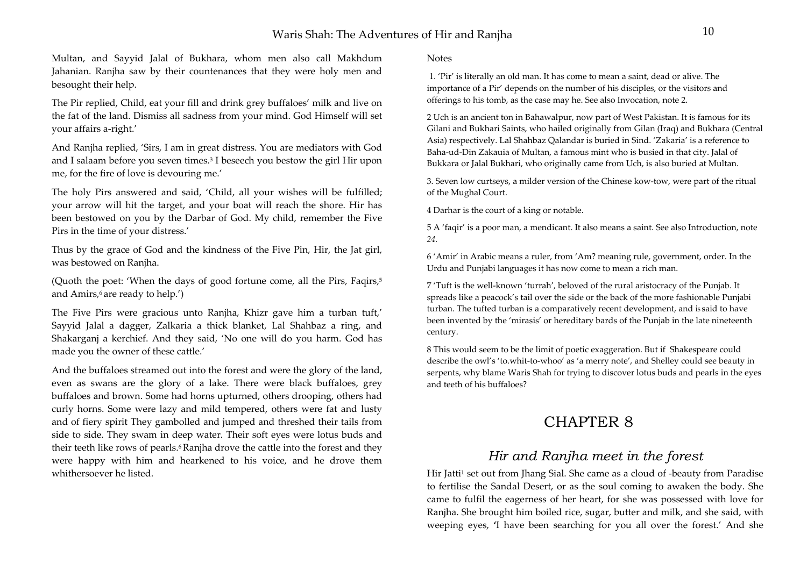Multan, and Sayyid Jalal of Bukhara, whom men also call Makhdum Jahanian. Ranjha saw by their countenances that they were holy men and besought their help.

The Pir replied, Child, eat your fill and drink grey buffaloes' milk and live on the fat of the land. Dismiss all sadness from your mind. God Himself will set your affairs a-right.'

And Ranjha replied, 'Sirs, I am in great distress. You are mediators with God and I salaam before you seven times.<sup>3</sup> I beseech you bestow the girl Hir upon me, for the fire of love is devouring me.'

The holy Pirs answered and said, 'Child, all your wishes will be fulfilled; your arrow will hit the target, and your boat will reach the shore. Hir has been bestowed on you by the Darbar of God. My child, remember the Five Pirs in the time of your distress.'

Thus by the grace of God and the kindness of the Five Pin, Hir, the Jat girl, was bestowed on Ranjha.

(Quoth the poet: 'When the days of good fortune come, all the Pirs, Faqirs,<sup>5</sup> and Amirs, $6$  are ready to help.')

The Five Pirs were gracious unto Ranjha, Khizr gave him a turban tuft,' Sayyid Jalal a dagger, Zalkaria a thick blanket, Lal Shahbaz a ring, and Shakarganj a kerchief. And they said, 'No one will do you harm. God has made you the owner of these cattle.'

And the buffaloes streamed out into the forest and were the glory of the land, even as swans are the glory of a lake. There were black buffaloes, grey buffaloes and brown. Some had horns upturned, others drooping, others had curly horns. Some were lazy and mild tempered, others were fat and lusty and of fiery spirit They gambolled and jumped and threshed their tails from side to side. They swam in deep water. Their soft eyes were lotus buds and their teeth like rows of pearls.<sup>6</sup> Ranjha drove the cattle into the forest and they were happy with him and hearkened to his voice, and he drove them whithersoever he listed.

Notes

1. 'Pir' is literally an old man. It has come to mean a saint, dead or alive. The importance of a Pir' depends on the number of his disciples, or the visitors and offerings to his tomb, as the case may he. See also Invocation, note 2.

2 Uch is an ancient ton in Bahawalpur, now part of West Pakistan. It is famous for its Gilani and Bukhari Saints, who hailed originally from Gilan (Iraq) and Bukhara (Central Asia) respectively. Lal Shahbaz Qalandar is buried in Sind. 'Zakaria' is a reference to Baha-ud-Din Zakauia of Multan, a famous mint who is busied in that city. Jalal of Bukkara or Jalal Bukhari, who originally came from Uch, is also buried at Multan.

3. Seven low curtseys, a milder version of the Chinese kow-tow, were part of the ritual of the Mughal Court.

4 Darhar is the court of a king or notable.

5 A 'faqir' is a poor man, a mendicant. It also means a saint. See also Introduction, note *24.* 

6 'Amir' in Arabic means a ruler, from 'Am? meaning rule, government, order. In the Urdu and Punjabi languages it has now come to mean a rich man.

7 'Tuft is the well-known 'turrah', beloved of the rural aristocracy of the Punjab. It spreads like a peacock's tail over the side or the back of the more fashionable Punjabi turban. The tufted turban is a comparatively recent development, and is said to have been invented by the 'mirasis' or hereditary bards of the Punjab in the late nineteenth century.

8 This would seem to be the limit of poetic exaggeration. But if Shakespeare could describe the owl's 'to.whit-to-whoo' as 'a merry note', and Shelley could see beauty in serpents, why blame Waris Shah for trying to discover lotus buds and pearls in the eyes and teeth of his buffaloes?

# CHAPTER 8

## *Hir and Ranjha meet in the forest*

Hir Jatti<sup>1</sup> set out from Jhang Sial. She came as a cloud of -beauty from Paradise to fertilise the Sandal Desert, or as the soul coming to awaken the body. She came to fulfil the eagerness of her heart, for she was possessed with love for Ranjha. She brought him boiled rice, sugar, butter and milk, and she said, with weeping eyes, **'**I have been searching for you all over the forest.' And she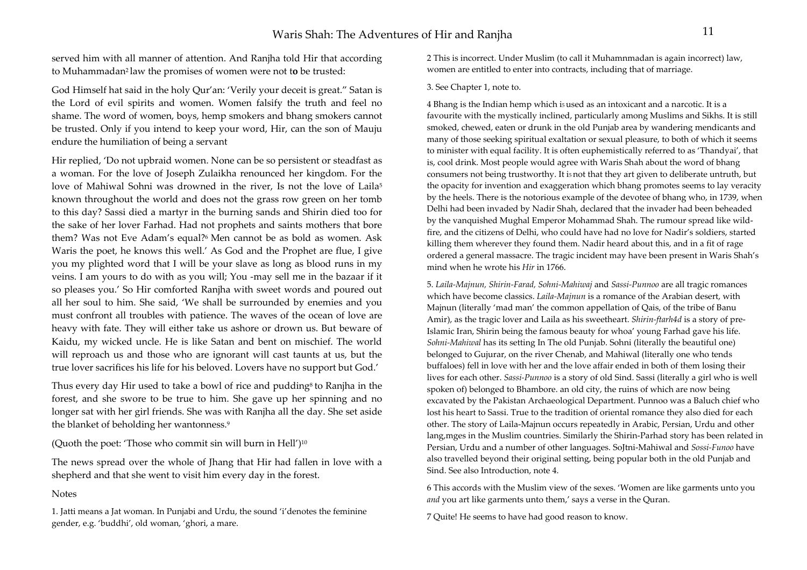served him with all manner of attention. And Ranjha told Hir that according to Muhammadan2 law the promises of women were not t**o** be trusted:

God Himself hat said in the holy Qur'an: 'Verily your deceit is great." Satan is the Lord of evil spirits and women. Women falsify the truth and feel no shame. The word of women, boys, hemp smokers and bhang smokers cannot be trusted. Only if you intend to keep your word, Hir, can the son of Mauju endure the humiliation of being a servant

Hir replied, 'Do not upbraid women. None can be so persistent or steadfast as a woman. For the love of Joseph Zulaikha renounced her kingdom. For the love of Mahiwal Sohni was drowned in the river, Is not the love of Laila<sup>5</sup> known throughout the world and does not the grass row green on her tomb to this day? Sassi died a martyr in the burning sands and Shirin died too for the sake of her lover Farhad. Had not prophets and saints mothers that bore them? Was not Eve Adam's equal?<sup>6</sup> Men cannot be as bold as women. Ask Waris the poet, he knows this well.' As God and the Prophet are flue, I give you my plighted word that I will be your slave as long as blood runs in my veins. I am yours to do with as you will; You -may sell me in the bazaar if it so pleases you.' So Hir comforted Ranjha with sweet words and poured out all her soul to him. She said, 'We shall be surrounded by enemies and you must confront all troubles with patience. The waves of the ocean of love are heavy with fate. They will either take us ashore or drown us. But beware of Kaidu, my wicked uncle. He is like Satan and bent on mischief. The world will reproach us and those who are ignorant will cast taunts at us, but the true lover sacrifices his life for his beloved. Lovers have no support but God.'

Thus every day Hir used to take a bowl of rice and pudding<sup>8</sup> to Ranjha in the forest, and she swore to be true to him. She gave up her spinning and no longer sat with her girl friends. She was with Ranjha all the day. She set aside the blanket of beholding her wantonness.9

(Ouoth the poet: 'Those who commit sin will burn in Hell')<sup>10</sup>

The news spread over the whole of Jhang that Hir had fallen in love with a shepherd and that she went to visit him every day in the forest.

### **Notes**

1. Jatti means a Jat woman. In Punjabi and Urdu, the sound 'i'denotes the feminine gender, e.g. 'buddhi', old woman, 'ghori, a mare.

2 This is incorrect. Under Muslim (to call it Muhamnmadan is again incorrect) law, women are entitled to enter into contracts, including that of marriage.

#### 3. See Chapter 1, note to.

4 Bhang is the Indian hemp which i5 used as an intoxicant and a narcotic. It is a favourite with the mystically inclined, particularly among Muslims and Sikhs. It is still smoked, chewed, eaten or drunk in the old Punjab area by wandering mendicants and many of those seeking spiritual exaltation or sexual pleasure, to both of which it seems to minister with equal facility. It is often euphemistically referred to as 'Thandyai', that is, cool drink. Most people would agree with Waris Shah about the word of bhang consumers not being trustworthy. It i5 not that they art given to deliberate untruth, but the opacity for invention and exaggeration which bhang promotes seems to lay veracity by the heels. There is the notorious example of the devotee of bhang who, in 1739, when Delhi had been invaded by Nadir Shah, declared that the invader had been beheaded by the vanquished Mughal Emperor Mohammad Shah. The rumour spread like wildfire, and the citizens of Delhi, who could have had no love for Nadir's soldiers, started killing them wherever they found them. Nadir heard about this, and in a fit of rage ordered a general massacre. The tragic incident may have been present in Waris Shah's mind when he wrote his *Hir* in 1766.

5. *Laila-Majnun, Shirin-Farad, Sohni-Mahiwaj* and *Sassi-Punnoo* are all tragic romances which have become classics. *Laila-Majnun* is a romance of the Arabian desert, with Majnun (literally 'mad man' the common appellation of Qais, of the tribe of Banu Amir), as the tragic lover and Laila as his sweetheart. *Shirin-ftarh4d* is a story of pre-Islamic Iran, Shirin being the famous beauty for whoa' young Farhad gave his life. *Sohni-Mahiwal* has its setting In The old Punjab. Sohni (literally the beautiful one) belonged to Gujurar, on the river Chenab, and Mahiwal (literally one who tends buffaloes) fell in love with her and the love affair ended in both of them losing their lives for each other. *Sassi-Punnoo* is a story of old Sind. Sassi (literally a girl who is well spoken of) belonged to Bhambore. an old city, the ruins of which are now being excavated by the Pakistan Archaeological Department. Punnoo was a Baluch chief who lost his heart to Sassi. True to the tradition of oriental romance they also died for each other. The story of Laila-Majnun occurs repeatedly in Arabic, Persian, Urdu and other lang,mges in the Muslim countries. Similarly the Shirin-Parhad story has been related in Persian, Urdu and a number of other languages. SoJtni-Mahiwal and *Sossi-Funoo* have also travelled beyond their original setting, being popular both in the old Punjab and Sind. See also Introduction, note 4.

6 This accords with the Muslim view of the sexes. 'Women are like garments unto you *and* you art like garments unto them,' says a verse in the Quran.

7 Quite! He seems to have had good reason to know.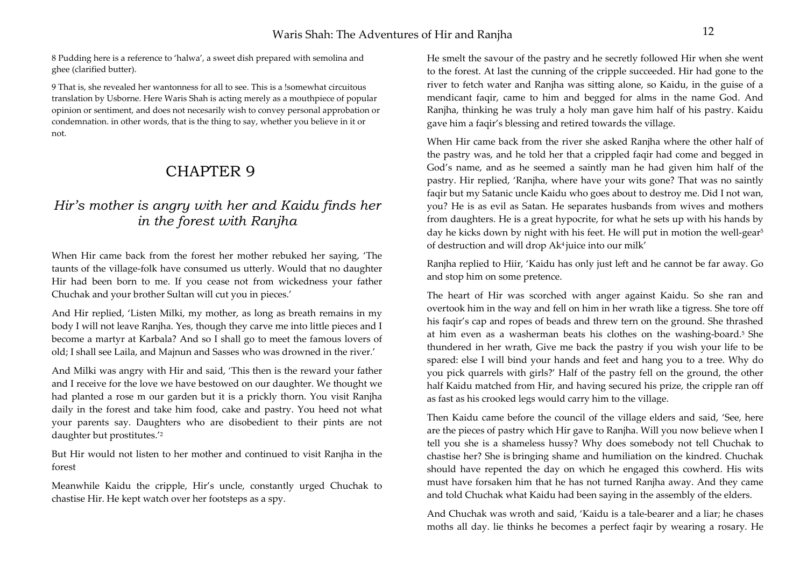8 Pudding here is a reference to 'halwa', a sweet dish prepared with semolina and ghee (clarified butter).

9 That is, she revealed her wantonness for all to see. This is a !somewhat circuitous translation by Usborne. Here Waris Shah is acting merely as a mouthpiece of popular opinion or sentiment, and does not necesarily wish to convey personal approbation or condemnation. in other words, that is the thing to say, whether you believe in it or not.

# CHAPTER 9

# *Hir's mother is angry with her and Kaidu finds her in the forest with Ranjha*

When Hir came back from the forest her mother rebuked her saying, 'The taunts of the village-folk have consumed us utterly. Would that no daughter Hir had been born to me. If you cease not from wickedness your father Chuchak and your brother Sultan will cut you in pieces.'

And Hir replied, 'Listen Milki, my mother, as long as breath remains in my body I will not leave Ranjha. Yes, though they carve me into little pieces and I become a martyr at Karbala? And so I shall go to meet the famous lovers of old; I shall see Laila, and Majnun and Sasses who was drowned in the river.'

And Milki was angry with Hir and said, 'This then is the reward your father and I receive for the love we have bestowed on our daughter. We thought we had planted a rose m our garden but it is a prickly thorn. You visit Ranjha daily in the forest and take him food, cake and pastry. You heed not what your parents say. Daughters who are disobedient to their pints are not daughter but prostitutes.'2

But Hir would not listen to her mother and continued to visit Ranjha in the forest

Meanwhile Kaidu the cripple, Hir's uncle, constantly urged Chuchak to chastise Hir. He kept watch over her footsteps as a spy.

He smelt the savour of the pastry and he secretly followed Hir when she went to the forest. At last the cunning of the cripple succeeded. Hir had gone to the river to fetch water and Ranjha was sitting alone, so Kaidu, in the guise of a mendicant faqir, came to him and begged for alms in the name God. And Ranjha, thinking he was truly a holy man gave him half of his pastry. Kaidu gave him a faqir's blessing and retired towards the village.

When Hir came back from the river she asked Ranjha where the other half of the pastry was, and he told her that a crippled faqir had come and begged in God's name, and as he seemed a saintly man he had given him half of the pastry. Hir replied, 'Ranjha, where have your wits gone? That was no saintly faqir but my Satanic uncle Kaidu who goes about to destroy me. Did I not wan, you? He is as evil as Satan. He separates husbands from wives and mothers from daughters. He is a great hypocrite, for what he sets up with his hands by day he kicks down by night with his feet. He will put in motion the well-gear<sup>5</sup> of destruction and will drop Ak4 juice into our milk'

Ranjha replied to Hiir, 'Kaidu has only just left and he cannot be far away. Go and stop him on some pretence.

The heart of Hir was scorched with anger against Kaidu. So she ran and overtook him in the way and fell on him in her wrath like a tigress. She tore off his faqir's cap and ropes of beads and threw tern on the ground. She thrashed at him even as a washerman beats his clothes on the washing-board.5 She thundered in her wrath, Give me back the pastry if you wish your life to be spared: else I will bind your hands and feet and hang you to a tree. Why do you pick quarrels with girls?' Half of the pastry fell on the ground, the other half Kaidu matched from Hir, and having secured his prize, the cripple ran off as fast as his crooked legs would carry him to the village.

Then Kaidu came before the council of the village elders and said, 'See, here are the pieces of pastry which Hir gave to Ranjha. Will you now believe when I tell you she is a shameless hussy? Why does somebody not tell Chuchak to chastise her? She is bringing shame and humiliation on the kindred. Chuchak should have repented the day on which he engaged this cowherd. His wits must have forsaken him that he has not turned Ranjha away. And they came and told Chuchak what Kaidu had been saying in the assembly of the elders.

And Chuchak was wroth and said, 'Kaidu is a tale-bearer and a liar; he chases moths all day. lie thinks he becomes a perfect faqir by wearing a rosary. He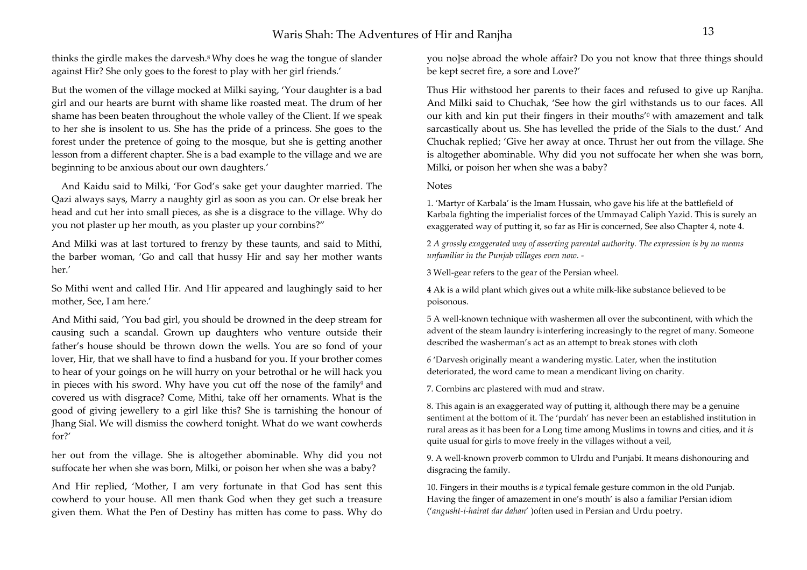thinks the girdle makes the darvesh.8 Why does he wag the tongue of slander against Hir? She only goes to the forest to play with her girl friends.'

But the women of the village mocked at Milki saying, 'Your daughter is a bad girl and our hearts are burnt with shame like roasted meat. The drum of her shame has been beaten throughout the whole valley of the Client. If we speak to her she is insolent to us. She has the pride of a princess. She goes to the forest under the pretence of going to the mosque, but she is getting another lesson from a different chapter. She is a bad example to the village and we are beginning to be anxious about our own daughters.'

 And Kaidu said to Milki, 'For God's sake get your daughter married. The Qazi always says, Marry a naughty girl as soon as you can. Or else break her head and cut her into small pieces, as she is a disgrace to the village. Why do you not plaster up her mouth, as you plaster up your cornbins?"

And Milki was at last tortured to frenzy by these taunts, and said to Mithi, the barber woman, 'Go and call that hussy Hir and say her mother wants her.'

So Mithi went and called Hir. And Hir appeared and laughingly said to her mother, See, I am here.'

And Mithi said, 'You bad girl, you should be drowned in the deep stream for causing such a scandal. Grown up daughters who venture outside their father's house should be thrown down the wells. You are so fond of your lover, Hir, that we shall have to find a husband for you. If your brother comes to hear of your goings on he will hurry on your betrothal or he will hack you in pieces with his sword. Why have you cut off the nose of the family<sup>9</sup> and covered us with disgrace? Come, Mithi, take off her ornaments. What is the good of giving jewellery to a girl like this? She is tarnishing the honour of Jhang Sial. We will dismiss the cowherd tonight. What do we want cowherds for?'

her out from the village. She is altogether abominable. Why did you not suffocate her when she was born, Milki, or poison her when she was a baby?

And Hir replied, 'Mother, I am very fortunate in that God has sent this cowherd to your house. All men thank God when they get such a treasure given them. What the Pen of Destiny has mitten has come to pass. Why do

you no]se abroad the whole affair? Do you not know that three things should be kept secret fire, a sore and Love?'

Thus Hir withstood her parents to their faces and refused to give up Ranjha. And Milki said to Chuchak, 'See how the girl withstands us to our faces. All our kith and kin put their fingers in their mouths<sup>'0</sup> with amazement and talk sarcastically about us. She has levelled the pride of the Sials to the dust.' And Chuchak replied; 'Give her away at once. Thrust her out from the village. She is altogether abominable. Why did you not suffocate her when she was born, Milki, or poison her when she was a baby?

### Notes

1. 'Martyr of Karbala' is the Imam Hussain, who gave his life at the battlefield of Karbala fighting the imperialist forces of the Ummayad Caliph Yazid. This is surely an exaggerated way of putting it, so far as Hir is concerned, See also Chapter 4, note 4.

<sup>2</sup>*A grossly exaggerated way of asserting parental authority. The expression is by no means unfamiliar in the Punjab villages even now. -*

3 Well-gear refers to the gear of the Persian wheel.

4 Ak is a wild plant which gives out a white milk-like substance believed to be poisonous.

5 A well-known technique with washermen all over the subcontinent, with which the advent of the steam laundry is interfering increasingly to the regret of many. Someone described the washerman's act as an attempt to break stones with cloth

*<sup>6</sup>*'Darvesh originally meant a wandering mystic. Later, when the institution deteriorated, the word came to mean a mendicant living on charity.

7. Cornbins arc plastered with mud and straw.

8. This again is an exaggerated way of putting it, although there may be a genuine sentiment at the bottom of it. The 'purdah' has never been an established institution in rural areas as it has been for a Long time among Muslims in towns and cities, and it *is*  quite usual for girls to move freely in the villages without a veil,

9. A well-known proverb common to Ulrdu and Punjabi. It means dishonouring and disgracing the family.

10. Fingers in their mouths is *a* typical female gesture common in the old Punjab. Having the finger of amazement in one's mouth' is also a familiar Persian idiom ('*angusht-i-hairat dar dahan*' )often used in Persian and Urdu poetry.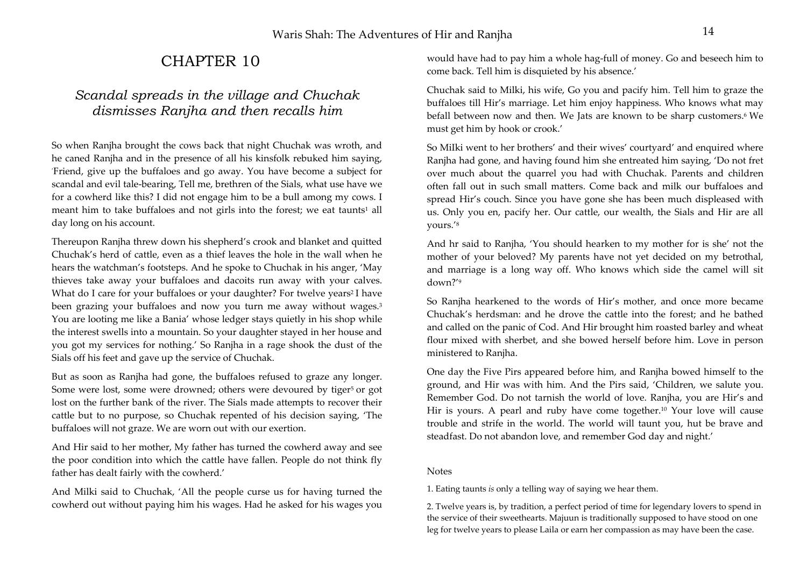# CHAPTER 10

# *Scandal spreads in the village and Chuchak dismisses Ranjha and then recalls him*

So when Ranjha brought the cows back that night Chuchak was wroth, and he caned Ranjha and in the presence of all his kinsfolk rebuked him saying, 'Friend, give up the buffaloes and go away. You have become a subject for scandal and evil tale-bearing, Tell me, brethren of the Sials, what use have we for a cowherd like this? I did not engage him to be a bull among my cows. I meant him to take buffaloes and not girls into the forest; we eat taunts<sup>1</sup> all day long on his account.

Thereupon Ranjha threw down his shepherd's crook and blanket and quitted Chuchak's herd of cattle, even as a thief leaves the hole in the wall when he hears the watchman's footsteps. And he spoke to Chuchak in his anger, 'May thieves take away your buffaloes and dacoits run away with your calves. What do I care for your buffaloes or your daughter? For twelve years<sup>2</sup>I have been grazing your buffaloes and now you turn me away without wages.<sup>3</sup> You are looting me like a Bania' whose ledger stays quietly in his shop while the interest swells into a mountain. So your daughter stayed in her house and you got my services for nothing.' So Ranjha in a rage shook the dust of the Sials off his feet and gave up the service of Chuchak.

But as soon as Ranjha had gone, the buffaloes refused to graze any longer. Some were lost, some were drowned; others were devoured by tiger<sup>5</sup> or got lost on the further bank of the river. The Sials made attempts to recover their cattle but to no purpose, so Chuchak repented of his decision saying, 'The buffaloes will not graze. We are worn out with our exertion.

And Hir said to her mother, My father has turned the cowherd away and see the poor condition into which the cattle have fallen. People do not think fly father has dealt fairly with the cowherd.'

And Milki said to Chuchak, 'All the people curse us for having turned the cowherd out without paying him his wages. Had he asked for his wages you

would have had to pay him a whole hag-full of money. Go and beseech him to come back. Tell him is disquieted by his absence.'

Chuchak said to Milki, his wife, Go you and pacify him. Tell him to graze the buffaloes till Hir's marriage. Let him enjoy happiness. Who knows what may befall between now and then. We Jats are known to be sharp customers.<sup>6</sup> We must get him by hook or crook.'

So MiIki went to her brothers' and their wives' courtyard' and enquired where Ranjha had gone, and having found him she entreated him saying, 'Do not fret over much about the quarrel you had with Chuchak. Parents and children often fall out in such small matters. Come back and milk our buffaloes and spread Hir's couch. Since you have gone she has been much displeased with us. Only you en, pacify her. Our cattle, our wealth, the Sials and Hir are all yours.'8

And hr said to Ranjha, 'You should hearken to my mother for is she' not the mother of your beloved? My parents have not yet decided on my betrothal, and marriage is a long way off. Who knows which side the camel will sit down?'9

So Ranjha hearkened to the words of Hir's mother, and once more became Chuchak's herdsman: and he drove the cattle into the forest; and he bathed and called on the panic of Cod. And Hir brought him roasted barley and wheat flour mixed with sherbet, and she bowed herself before him. Love in person ministered to Ranjha.

One day the Five Pirs appeared before him, and Ranjha bowed himself to the ground, and Hir was with him. And the Pirs said, 'Children, we salute you. Remember God. Do not tarnish the world of love. Ranjha, you are Hir's and Hir is yours. A pearl and ruby have come together.<sup>10</sup> Your love will cause trouble and strife in the world. The world will taunt you, hut be brave and steadfast. Do not abandon love, and remember God day and night.'

### Notes

1. Eating taunts *is* only a telling way of saying we hear them.

2. Twelve years is, by tradition, a perfect period of time for legendary lovers to spend in the service of their sweethearts. Majuun is traditionally supposed to have stood on one leg for twelve years to please Laila or earn her compassion as may have been the case.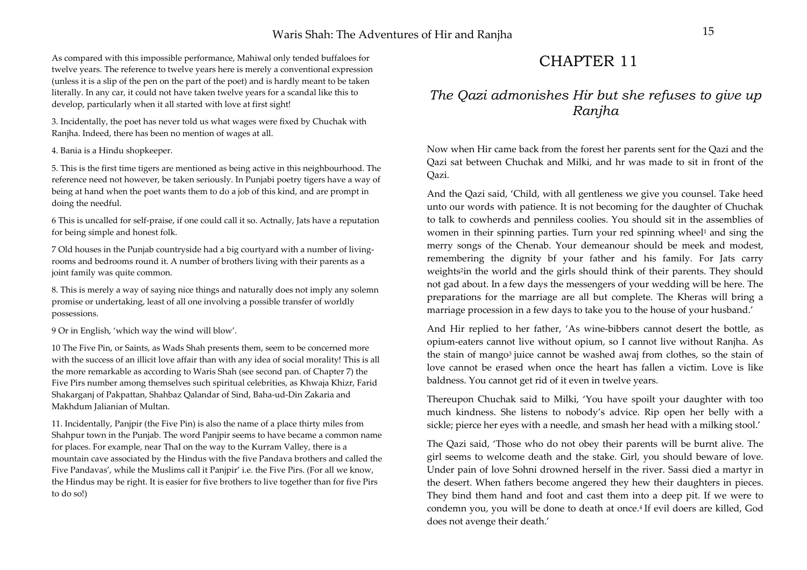As compared with this impossible performance, Mahiwal only tended buffaloes for twelve years. The reference to twelve years here is merely a conventional expression (unless it is a slip of the pen on the part of the poet) and is hardly meant to be taken literally. In any car, it could not have taken twelve years for a scandal like this to develop, particularly when it all started with love at first sight!

3. Incidentally, the poet has never told us what wages were fixed by Chuchak with Ranjha. Indeed, there has been no mention of wages at all.

#### 4. Bania is a Hindu shopkeeper.

5. This is the first time tigers are mentioned as being active in this neighbourhood. The reference need not however, be taken seriously. In Punjabi poetry tigers have a way of being at hand when the poet wants them to do a job of this kind, and are prompt in doing the needful.

6 This is uncalled for self-praise, if one could call it so. Actnally, Jats have a reputation for being simple and honest folk.

7 Old houses in the Punjab countryside had a big courtyard with a number of livingrooms and bedrooms round it. A number of brothers living with their parents as a joint family was quite common.

8. This is merely a way of saying nice things and naturally does not imply any solemn promise or undertaking, least of all one involving a possible transfer of worldly possessions.

9 Or in English, 'which way the wind will blow'.

10 The Five Pin, or Saints, as Wads Shah presents them, seem to be concerned more with the success of an illicit love affair than with any idea of social morality! This is all the more remarkable as according to Waris Shah (see second pan. of Chapter 7) the Five Pirs number among themselves such spiritual celebrities, as Khwaja Khizr, Farid Shakarganj of Pakpattan, Shahbaz Qalandar of Sind, Baha-ud-Din Zakaria and Makhdum Jalianian of Multan.

11. Incidentally, Panjpir (the Five Pin) is also the name of a place thirty miles from Shahpur town in the Punjab. The word Panjpir seems to have became a common name for places. For example, near ThaI on the way to the Kurram Valley, there is a mountain cave associated by the Hindus with the five Pandava brothers and called the Five Pandavas', while the Muslims call it Panjpir' i.e. the Five Pirs. (For all we know, the Hindus may be right. It is easier for five brothers to live together than for five Pirs to do so!)

# CHAPTER 11

## *The Qazi admonishes Hir but she refuses to give up Ranjha*

Now when Hir came back from the forest her parents sent for the Qazi and the Qazi sat between Chuchak and Milki, and hr was made to sit in front of the Qazi.

And the Qazi said, 'Child, with all gentleness we give you counsel. Take heed unto our words with patience. It is not becoming for the daughter of Chuchak to talk to cowherds and penniless coolies. You should sit in the assemblies of women in their spinning parties. Turn your red spinning wheel<sup>1</sup> and sing the merry songs of the Chenab. Your demeanour should be meek and modest, remembering the dignity bf your father and his family. For Jats carry weights<sup>2</sup>in the world and the girls should think of their parents. They should not gad about. In a few days the messengers of your wedding will be here. The preparations for the marriage are all but complete. The Kheras will bring a marriage procession in a few days to take you to the house of your husband.'

And Hir replied to her father, 'As wine-bibbers cannot desert the bottle, as opium-eaters cannot live without opium, so I cannot live without Ranjha. As the stain of mango<sup>3</sup> juice cannot be washed awaj from clothes, so the stain of love cannot be erased when once the heart has fallen a victim. Love is like baldness. You cannot get rid of it even in twelve years.

Thereupon Chuchak said to Milki, 'You have spoilt your daughter with too much kindness. She listens to nobody's advice. Rip open her belly with a sickle; pierce her eyes with a needle, and smash her head with a milking stool.'

The Qazi said, 'Those who do not obey their parents will be burnt alive. The girl seems to welcome death and the stake. Girl, you should beware of love. Under pain of love Sohni drowned herself in the river. Sassi died a martyr in the desert. When fathers become angered they hew their daughters in pieces. They bind them hand and foot and cast them into a deep pit. If we were to condemn you, you will be done to death at once.4 If evil doers are killed, God does not avenge their death.'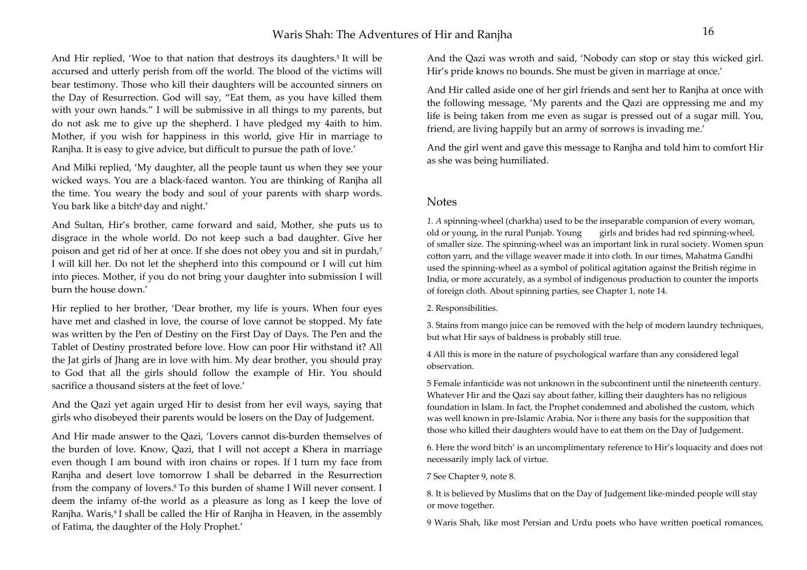### Waris Shah: The Adventures of Hir and Ranjha 16

And Hir replied, 'Woe to that nation that destroys its daughters.<sup>5</sup> It will be accursed and utterly perish from off the world. The blood of the victims will bear testimony. Those who kill their daughters will be accounted sinners on the Day of Resurrection. God will say, "Eat them, as you have killed them with your own hands." I will be submissive in all things to my parents, but do not ask me to give up the shepherd. I have pledged my 4aith to him. Mother, if you wish for happiness in this world, give Hir in marriage to Ranjha. It is easy to give advice, but difficult to pursue the path of love.'

And Milki replied, 'My daughter, all the people taunt us when they see your wicked ways. You are a black-faced wanton. You are thinking of Ranjha all the time. You weary the body and soul of your parents with sharp words. You bark like a bitch<sup>8</sup> day and night.'

And Sultan, Hir's brother, came forward and said, Mother, she puts us to disgrace in the whole world. Do not keep such a bad daughter. Give her poison and get rid of her at once. If she does not obey you and sit in purdah,7 I will kill her. Do not let the shepherd into this compound or I will cut him into pieces. Mother, if you do not bring your daughter into submission I will burn the house down.'

Hir replied to her brother, 'Dear brother, my life is yours. When four eyes have met and clashed in love, the course of love cannot be stopped. My fate was written by the Pen of Destiny on the First Day of Days. The Pen and the Tablet of Destiny prostrated before love. How can poor Hir withstand it? All the Jat girls of Jhang are in love with him. My dear brother, you should pray to God that all the girls should follow the example of Hir. You should sacrifice a thousand sisters at the feet of love.'

And the Qazi yet again urged Hir to desist from her evil ways, saying that girls who disobeyed their parents would be losers on the Day of Judgement.

And Hir made answer to the Qazi, 'Lovers cannot dis-burden themselves of the burden of love. Know, Qazi, that I will not accept a Khera in marriage even though I am bound with iron chains or ropes. If I turn my face from Ranjha and desert love tomorrow I shall be debarred in the Resurrection from the company of lovers.8 To this burden of shame I Will never consent. I deem the infamy of-the world as a pleasure as long as I keep the love of Ranjha. Waris,<sup>9</sup> I shall be called the Hir of Ranjha in Heaven, in the assembly of Fatima, the daughter of the Holy Prophet.'

And the Qazi was wroth and said, 'Nobody can stop or stay this wicked girl. Hir's pride knows no bounds. She must be given in marriage at once.'

And Hir called aside one of her girl friends and sent her to Ranjha at once with the following message, 'My parents and the Qazi are oppressing me and my life is being taken from me even as sugar is pressed out of a sugar mill. You, friend, are living happily but an army of sorrows is invading me.'

And the girl went and gave this message to Ranjha and told him to comfort Hir as she was being humiliated.

### Notes

*1. A* spinning-wheel (charkha) used to be the inseparable companion of every woman, old or young, in the rural Punjab. Young girls and brides had red spinning-wheel, of smaller size. The spinning-wheel was an important link in rural society. Women spun cotton yarn, and the village weaver made it into cloth. In our times, Mahatma Gandhi used the spinning-wheel as a symbol of political agitation against the British régime in India, or more accurately, as a symbol of indigenous production to counter the imports of foreign cloth. About spinning parties, see Chapter 1, note 14.

2. Responsibilities.

3. Stains from mango juice can be removed with the help of modern laundry techniques, but what Hir says of baldness is probably still true.

4 All this is more in the nature of psychological warfare than any considered legal observation.

5 Female infanticide was not unknown in the subcontinent until the nineteenth century. Whatever Hir and the Qazi say about father, killing their daughters has no religious foundation in Islam. In fact, the Prophet condemned and abolished the custom, which was well known in pre-Islamic Arabia. Nor is there any basis for the supposition that those who killed their daughters would have to eat them on the Day of Judgement.

6. Here the word bitch' is an uncomplimentary reference to Hir's loquacity and does not necessarily imply lack of virtue.

7 See Chapter 9, note 8.

8. It is believed by Muslims that on the Day of Judgement like-minded people will stay or move together.

9 Waris Shah, like most Persian and Urdu poets who have written poetical romances,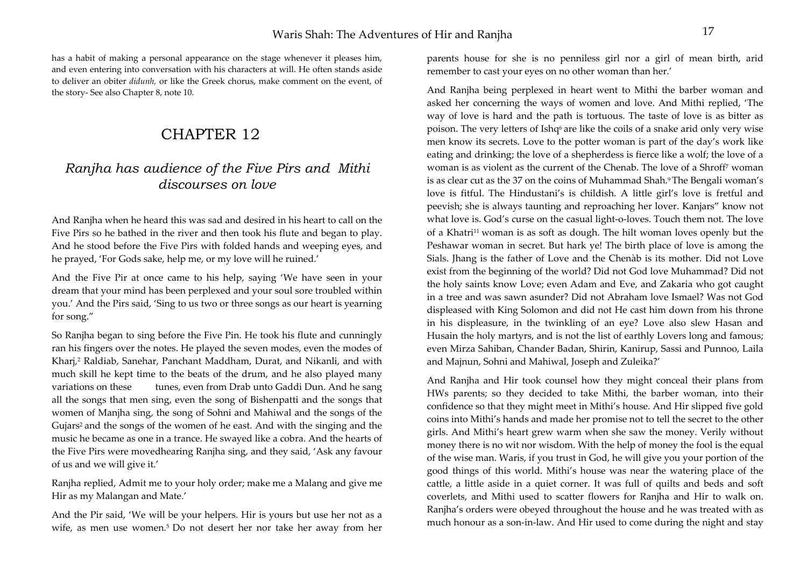has a habit of making a personal appearance on the stage whenever it pleases him, and even entering into conversation with his characters at will. He often stands aside to deliver an obiter *didunh,* or like the Greek chorus, make comment on the event, of the story- See also Chapter 8, note 10.

# CHAPTER 12

## *Ranjha has audience of the Five Pirs and Mithi discourses on love*

And Ranjha when he heard this was sad and desired in his heart to call on the Five Pirs so he bathed in the river and then took his flute and began to play. And he stood before the Five Pirs with folded hands and weeping eyes, and he prayed, 'For Gods sake, help me, or my love will he ruined.'

And the Five Pir at once came to his help, saying 'We have seen in your dream that your mind has been perplexed and your soul sore troubled within you.' And the Pirs said, 'Sing to us two or three songs as our heart is yearning for song."

So Ranjha began to sing before the Five Pin. He took his flute and cunningly ran his fingers over the notes. He played the seven modes, even the modes of Kharj,2 Raldiab, Sanehar, Panchant Maddham, Durat, and Nikanli, and with much skill he kept time to the beats of the drum, and he also played many variations on these tunes, even from Drab unto Gaddi Dun. And he sang all the songs that men sing, even the song of Bishenpatti and the songs that women of Manjha sing, the song of Sohni and Mahiwal and the songs of the Gujars2 and the songs of the women of he east. And with the singing and the music he became as one in a trance. He swayed like a cobra. And the hearts of the Five Pirs were movedhearing Ranjha sing, and they said, 'Ask any favour of us and we will give it.'

Ranjha replied, Admit me to your holy order; make me a Malang and give me Hir as my Malangan and Mate.'

And the Pir said, 'We will be your helpers. Hir is yours but use her not as a wife, as men use women.5 Do not desert her nor take her away from her parents house for she is no penniless girl nor a girl of mean birth, arid remember to cast your eyes on no other woman than her.'

And Ranjha being perplexed in heart went to Mithi the barber woman and asked her concerning the ways of women and love. And Mithi replied, 'The way of love is hard and the path is tortuous. The taste of love is as bitter as poison. The very letters of Ishq<sup>6</sup> are like the coils of a snake arid only very wise men know its secrets. Love to the potter woman is part of the day's work like eating and drinking; the love of a shepherdess is fierce like a wolf; the love of a woman is as violent as the current of the Chenab. The love of a Shroff7 woman is as clear cut as the 37 on the coins of Muhammad Shah.<sup>9</sup> The Bengali woman's love is fitful. The Hindustani's is childish. A little girl's love is fretful and peevish; she is always taunting and reproaching her lover. Kanjars" know not what love is. God's curse on the casual light-o-loves. Touch them not. The love of a Khatri<sup>11</sup> woman is as soft as dough. The hilt woman loves openly but the Peshawar woman in secret. But hark ye! The birth place of love is among the Sials. Jhang is the father of Love and the Chenàb is its mother. Did not Love exist from the beginning of the world? Did not God love Muhammad? Did not the holy saints know Love; even Adam and Eve, and Zakaria who got caught in a tree and was sawn asunder? Did not Abraham love Ismael? Was not God displeased with King Solomon and did not He cast him down from his throne in his displeasure, in the twinkling of an eye? Love also slew Hasan and Husain the holy martyrs, and is not the list of earthly Lovers long and famous; even Mirza Sahiban, Chander Badan, Shirin, Kanirup, Sassi and Punnoo, Laila and Majnun, Sohni and Mahiwal, Joseph and Zuleika?'

And Ranjha and Hir took counsel how they might conceal their plans from HWs parents; so they decided to take Mithi, the barber woman, into their confidence so that they might meet in Mithi's house. And Hir slipped five gold coins into Mithi's hands and made her promise not to tell the secret to the other girls. And Mithi's heart grew warm when she saw the money. Verily without money there is no wit nor wisdom. With the help of money the fool is the equal of the wise man. Waris, if you trust in God, he will give you your portion of the good things of this world. Mithi's house was near the watering place of the cattle, a little aside in a quiet corner. It was full of quilts and beds and soft coverlets, and Mithi used to scatter flowers for Ranjha and Hir to walk on. Ranjha's orders were obeyed throughout the house and he was treated with as much honour as a son-in-law. And Hir used to come during the night and stay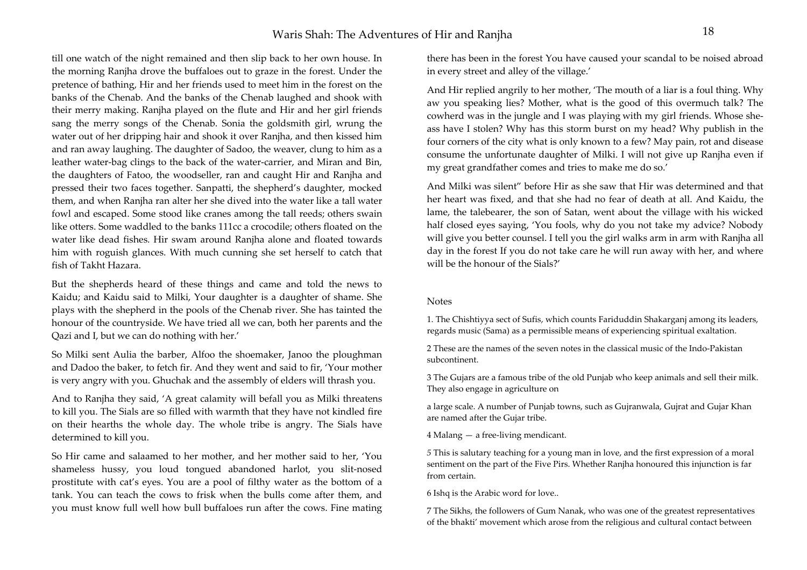## Waris Shah: The Adventures of Hir and Raniha

till one watch of the night remained and then slip back to her own house. In the morning Ranjha drove the buffaloes out to graze in the forest. Under the pretence of bathing, Hir and her friends used to meet him in the forest on the banks of the Chenab. And the banks of the Chenab laughed and shook with their merry making. Ranjha played on the flute and Hir and her girl friends sang the merry songs of the Chenab. Sonia the goldsmith girl, wrung the water out of her dripping hair and shook it over Ranjha, and then kissed him and ran away laughing. The daughter of Sadoo, the weaver, clung to him as a leather water-bag clings to the back of the water-carrier, and Miran and Bin, the daughters of Fatoo, the woodseller, ran and caught Hir and Ranjha and pressed their two faces together. Sanpatti, the shepherd's daughter, mocked them, and when Ranjha ran alter her she dived into the water like a tall water fowl and escaped. Some stood like cranes among the tall reeds; others swain like otters. Some waddled to the banks 111cc a crocodile; others floated on the water like dead fishes. Hir swam around Ranjha alone and floated towards him with roguish glances. With much cunning she set herself to catch that fish of Takht Hazara.

But the shepherds heard of these things and came and told the news to Kaidu; and Kaidu said to Milki, Your daughter is a daughter of shame. She plays with the shepherd in the pools of the Chenab river. She has tainted the honour of the countryside. We have tried all we can, both her parents and the Qazi and I, but we can do nothing with her.'

So Milki sent Aulia the barber, Alfoo the shoemaker, Janoo the ploughman and Dadoo the baker, to fetch fir. And they went and said to fir, 'Your mother is very angry with you. Ghuchak and the assembly of elders will thrash you.

And to Ranjha they said, 'A great calamity will befall you as Milki threatens to kill you. The Sials are so filled with warmth that they have not kindled fire on their hearths the whole day. The whole tribe is angry. The Sials have determined to kill you.

So Hir came and salaamed to her mother, and her mother said to her, 'You shameless hussy, you loud tongued abandoned harlot, you slit-nosed prostitute with cat's eyes. You are a pool of filthy water as the bottom of a tank. You can teach the cows to frisk when the bulls come after them, and you must know full well how bull buffaloes run after the cows. Fine mating there has been in the forest You have caused your scandal to be noised abroad in every street and alley of the village.'

And Hir replied angrily to her mother, 'The mouth of a liar is a foul thing. Why aw you speaking lies? Mother, what is the good of this overmuch talk? The cowherd was in the jungle and I was playing with my girl friends. Whose sheass have I stolen? Why has this storm burst on my head? Why publish in the four corners of the city what is only known to a few? May pain, rot and disease consume the unfortunate daughter of Milki. I will not give up Ranjha even if my great grandfather comes and tries to make me do so.'

And Milki was silent" before Hir as she saw that Hir was determined and that her heart was fixed, and that she had no fear of death at all. And Kaidu, the lame, the talebearer, the son of Satan, went about the village with his wicked half closed eyes saying, 'You fools, why do you not take my advice? Nobody will give you better counsel. I tell you the girl walks arm in arm with Ranjha all day in the forest If you do not take care he will run away with her, and where will be the honour of the Sials?'

#### Notes

1. The Chishtiyya sect of Sufis, which counts Fariduddin Shakarganj among its leaders, regards music (Sama) as a permissible means of experiencing spiritual exaltation.

2 These are the names of the seven notes in the classical music of the Indo-Pakistan subcontinent.

3 The Gujars are a famous tribe of the old Punjab who keep animals and sell their milk. They also engage in agriculture on

a large scale. A number of Punjab towns, such as Gujranwala, Gujrat and Gujar Khan are named after the Gujar tribe.

4 Malang — a free-living mendicant.

*<sup>5</sup>*This is salutary teaching for a young man in love, and the first expression of a moral sentiment on the part of the Five Pirs. Whether Ranjha honoured this injunction is far from certain.

6 Ishq is the Arabic word for love..

7 The Sikhs, the followers of Gum Nanak, who was one of the greatest representatives of the bhakti' movement which arose from the religious and cultural contact between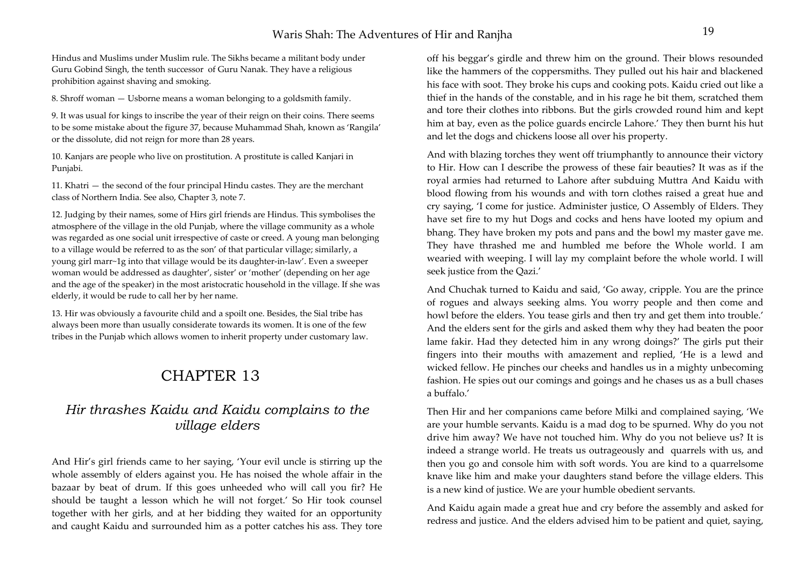Hindus and Muslims under Muslim rule. The Sikhs became a militant body under Guru Gobind Singh, the tenth successor of Guru Nanak. They have a religious prohibition against shaving and smoking.

8. Shroff woman — Usborne means a woman belonging to a goldsmith family.

9. It was usual for kings to inscribe the year of their reign on their coins. There seems to be some mistake about the figure 37, because Muhammad Shah, known as 'Rangila' or the dissolute, did not reign for more than 28 years.

10. Kanjars are people who live on prostitution. A prostitute is called Kanjari in Punjabi.

11. Khatri — the second of the four principal Hindu castes. They are the merchant class of Northern India. See also, Chapter 3, note 7.

12. Judging by their names, some of Hirs girl friends are Hindus. This symbolises the atmosphere of the village in the old Punjab, where the village community as a whole was regarded as one social unit irrespective of caste or creed. A young man belonging to a village would be referred to as the son' of that particular village; similarly, a young girl marr~1g into that village would be its daughter-in-law'. Even a sweeper woman would be addressed as daughter', sister' or 'mother' (depending on her age and the age of the speaker) in the most aristocratic household in the village. If she was elderly, it would be rude to call her by her name.

13. Hir was obviously a favourite child and a spoilt one. Besides, the Sial tribe has always been more than usually considerate towards its women. It is one of the few tribes in the Punjab which allows women to inherit property under customary law.

# CHAPTER 13

## *Hir thrashes Kaidu and Kaidu complains to the village elders*

And Hir's girl friends came to her saying, 'Your evil uncle is stirring up the whole assembly of elders against you. He has noised the whole affair in the bazaar by beat of drum. If this goes unheeded who will call you fir? He should be taught a lesson which he will not forget.' So Hir took counsel together with her girls, and at her bidding they waited for an opportunity and caught Kaidu and surrounded him as a potter catches his ass. They tore

off his beggar's girdle and threw him on the ground. Their blows resounded like the hammers of the coppersmiths. They pulled out his hair and blackened his face with soot. They broke his cups and cooking pots. Kaidu cried out like a thief in the hands of the constable, and in his rage he bit them, scratched them and tore their clothes into ribbons. But the girls crowded round him and kept him at bay, even as the police guards encircle Lahore.' They then burnt his hut and let the dogs and chickens loose all over his property.

And with blazing torches they went off triumphantly to announce their victory to Hir. How can I describe the prowess of these fair beauties? It was as if the royal armies had returned to Lahore after subduing Muttra And Kaidu with blood flowing from his wounds and with torn clothes raised a great hue and cry saying, 'I come for justice. Administer justice, O Assembly of Elders. They have set fire to my hut Dogs and cocks and hens have looted my opium and bhang. They have broken my pots and pans and the bowl my master gave me. They have thrashed me and humbled me before the Whole world. I am wearied with weeping. I will lay my complaint before the whole world. I will seek justice from the Qazi.'

And Chuchak turned to Kaidu and said, 'Go away, cripple. You are the prince of rogues and always seeking alms. You worry people and then come and howl before the elders. You tease girls and then try and get them into trouble.' And the elders sent for the girls and asked them why they had beaten the poor lame fakir. Had they detected him in any wrong doings?' The girls put their fingers into their mouths with amazement and replied, 'He is a lewd and wicked fellow. He pinches our cheeks and handles us in a mighty unbecoming fashion. He spies out our comings and goings and he chases us as a bull chases a buffalo.'

Then Hir and her companions came before Milki and complained saying, 'We are your humble servants. Kaidu is a mad dog to be spurned. Why do you not drive him away? We have not touched him. Why do you not believe us? It is indeed a strange world. He treats us outrageously and quarrels with us, and then you go and console him with soft words. You are kind to a quarrelsome knave like him and make your daughters stand before the village elders. This is a new kind of justice. We are your humble obedient servants.

And Kaidu again made a great hue and cry before the assembly and asked for redress and justice. And the elders advised him to be patient and quiet, saying,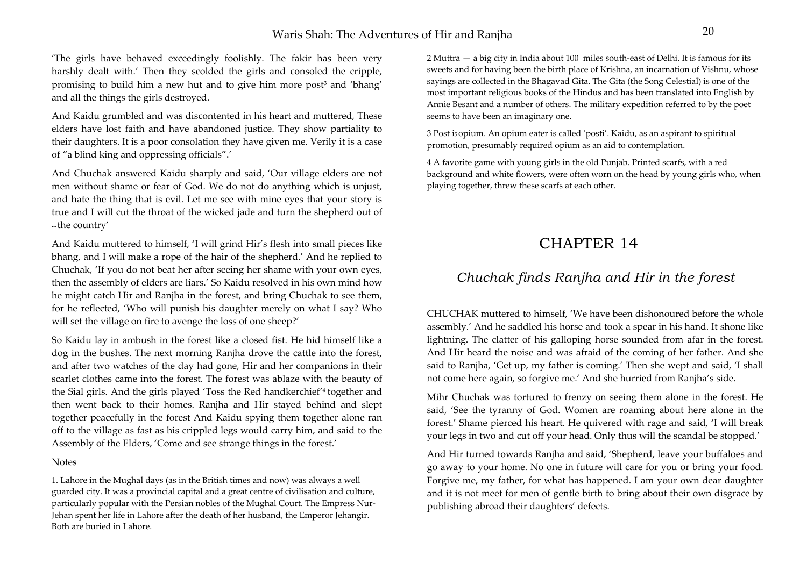### Waris Shah: The Adventures of Hir and Ranjha <sup>20</sup>

'The girls have behaved exceedingly foolishly. The fakir has been very harshly dealt with.' Then they scolded the girls and consoled the cripple, promising to build him a new hut and to give him more post<sup>3</sup> and 'bhang' and all the things the girls destroyed.

And Kaidu grumbled and was discontented in his heart and muttered, These elders have lost faith and have abandoned justice. They show partiality to their daughters. It is a poor consolation they have given me. Verily it is a case of "a blind king and oppressing officials".'

And Chuchak answered Kaidu sharply and said, 'Our village elders are not men without shame or fear of God. We do not do anything which is unjust, and hate the thing that is evil. Let me see with mine eyes that your story is true and I will cut the throat of the wicked jade and turn the shepherd out of •• the country'

And Kaidu muttered to himself, 'I will grind Hir's flesh into small pieces like bhang, and I will make a rope of the hair of the shepherd.' And he replied to Chuchak, 'If you do not beat her after seeing her shame with your own eyes, then the assembly of elders are liars.' So Kaidu resolved in his own mind how he might catch Hir and Ranjha in the forest, and bring Chuchak to see them, for he reflected, 'Who will punish his daughter merely on what I say? Who will set the village on fire to avenge the loss of one sheep?'

So Kaidu lay in ambush in the forest like a closed fist. He hid himself like a dog in the bushes. The next morning Ranjha drove the cattle into the forest, and after two watches of the day had gone, Hir and her companions in their scarlet clothes came into the forest. The forest was ablaze with the beauty of the Sial girls. And the girls played 'Toss the Red handkerchief'4 together and then went back to their homes. Ranjha and Hir stayed behind and slept together peacefully in the forest And Kaidu spying them together alone ran off to the village as fast as his crippled legs would carry him, and said to the Assembly of the Elders, 'Come and see strange things in the forest.'

#### Notes

1. Lahore in the Mughal days (as in the British times and now) was always a well guarded city. It was a provincial capital and a great centre of civilisation and culture, particularly popular with the Persian nobles of the Mughal Court. The Empress Nur-Jehan spent her life in Lahore after the death of her husband, the Emperor Jehangir. Both are buried in Lahore.

2 Muttra — a big city in India about 100 miles south-east of Delhi. It is famous for its sweets and for having been the birth place of Krishna, an incarnation of Vishnu, whose sayings are collected in the Bhagavad Gita. The Gita (the Song Celestial) is one of the most important religious books of the Hindus and has been translated into English by Annie Besant and a number of others. The military expedition referred to by the poet seems to have been an imaginary one.

3 Post i5 opium. An opium eater is called 'posti'. Kaidu, as an aspirant to spiritual promotion, presumably required opium as an aid to contemplation.

4 A favorite game with young girls in the old Punjab. Printed scarfs, with a red background and white flowers, were often worn on the head by young girls who, when playing together, threw these scarfs at each other.

# CHAPTER 14

## *Chuchak finds Ranjha and Hir in the forest*

CHUCHAK muttered to himself, 'We have been dishonoured before the whole assembly.' And he saddled his horse and took a spear in his hand. It shone like lightning. The clatter of his galloping horse sounded from afar in the forest. And Hir heard the noise and was afraid of the coming of her father. And she said to Ranjha, 'Get up, my father is coming.' Then she wept and said, 'I shall not come here again, so forgive me.' And she hurried from Ranjha's side.

Mihr Chuchak was tortured to frenzy on seeing them alone in the forest. He said, 'See the tyranny of God. Women are roaming about here alone in the forest.' Shame pierced his heart. He quivered with rage and said, 'I will break your legs in two and cut off your head. Only thus will the scandal be stopped.'

And Hir turned towards Ranjha and said, 'Shepherd, leave your buffaloes and go away to your home. No one in future will care for you or bring your food. Forgive me, my father, for what has happened. I am your own dear daughter and it is not meet for men of gentle birth to bring about their own disgrace by publishing abroad their daughters' defects.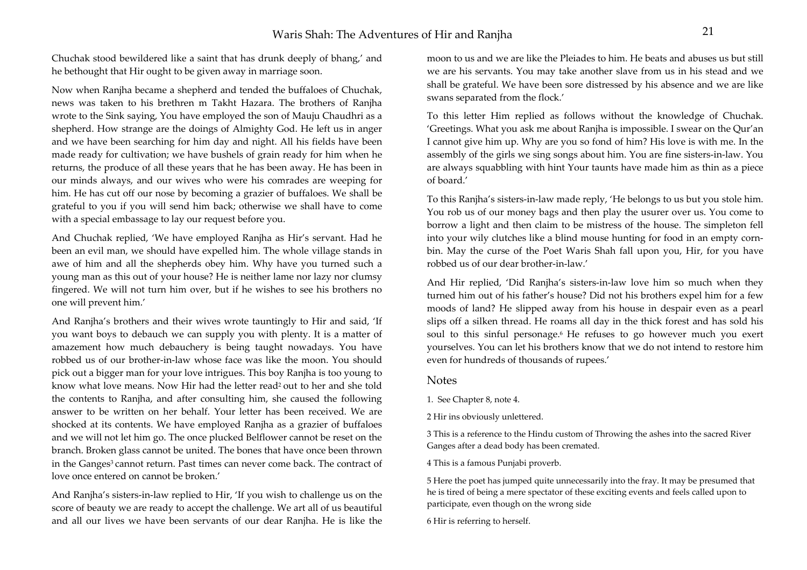Chuchak stood bewildered like a saint that has drunk deeply of bhang,' and he bethought that Hir ought to be given away in marriage soon.

Now when Ranjha became a shepherd and tended the buffaloes of Chuchak, news was taken to his brethren m Takht Hazara. The brothers of Ranjha wrote to the Sink saying, You have employed the son of Mauju Chaudhri as a shepherd. How strange are the doings of Almighty God. He left us in anger and we have been searching for him day and night. All his fields have been made ready for cultivation; we have bushels of grain ready for him when he returns, the produce of all these years that he has been away. He has been in our minds always, and our wives who were his comrades are weeping for him. He has cut off our nose by becoming a grazier of buffaloes. We shall be grateful to you if you will send him back; otherwise we shall have to come with a special embassage to lay our request before you.

And Chuchak replied, 'We have employed Ranjha as Hir's servant. Had he been an evil man, we should have expelled him. The whole village stands in awe of him and all the shepherds obey him. Why have you turned such a young man as this out of your house? He is neither lame nor lazy nor clumsy fingered. We will not turn him over, but if he wishes to see his brothers no one will prevent him.'

And Ranjha's brothers and their wives wrote tauntingly to Hir and said, 'If you want boys to debauch we can supply you with plenty. It is a matter of amazement how much debauchery is being taught nowadays. You have robbed us of our brother-in-law whose face was like the moon. You should pick out a bigger man for your love intrigues. This boy Ranjha is too young to know what love means. Now Hir had the letter read<sup>2</sup> out to her and she told the contents to Ranjha, and after consulting him, she caused the following answer to be written on her behalf. Your letter has been received. We are shocked at its contents. We have employed Ranjha as a grazier of buffaloes and we will not let him go. The once plucked Belflower cannot be reset on the branch. Broken glass cannot be united. The bones that have once been thrown in the Ganges<sup>3</sup> cannot return. Past times can never come back. The contract of love once entered on cannot be broken.'

And Ranjha's sisters-in-law replied to Hir, 'If you wish to challenge us on the score of beauty we are ready to accept the challenge. We art all of us beautiful and all our lives we have been servants of our dear Ranjha. He is like the

moon to us and we are like the Pleiades to him. He beats and abuses us but still we are his servants. You may take another slave from us in his stead and we shall be grateful. We have been sore distressed by his absence and we are like swans separated from the flock.'

To this letter Him replied as follows without the knowledge of Chuchak. 'Greetings. What you ask me about Ranjha is impossible. I swear on the Qur'an I cannot give him up. Why are you so fond of him? His love is with me. In the assembly of the girls we sing songs about him. You are fine sisters-in-law. You are always squabbling with hint Your taunts have made him as thin as a piece of board.'

To this Ranjha's sisters-in-law made reply, 'He belongs to us but you stole him. You rob us of our money bags and then play the usurer over us. You come to borrow a light and then claim to be mistress of the house. The simpleton fell into your wily clutches like a blind mouse hunting for food in an empty cornbin. May the curse of the Poet Waris Shah fall upon you, Hir, for you have robbed us of our dear brother-in-law.'

And Hir replied, 'Did Ranjha's sisters-in-law love him so much when they turned him out of his father's house? Did not his brothers expel him for a few moods of land? He slipped away from his house in despair even as a pearl slips off a silken thread. He roams all day in the thick forest and has sold his soul to this sinful personage.<sup>6</sup> He refuses to go however much you exert yourselves. You can let his brothers know that we do not intend to restore him even for hundreds of thousands of rupees.'

### Notes

1. See Chapter 8, note 4.

2 Hir ins obviously unlettered.

3 This is a reference to the Hindu custom of Throwing the ashes into the sacred River Ganges after a dead body has been cremated.

4 This is a famous Punjabi proverb.

5 Here the poet has jumped quite unnecessarily into the fray. It may be presumed that he is tired of being a mere spectator of these exciting events and feels called upon to participate, even though on the wrong side

6 Hir is referring to herself.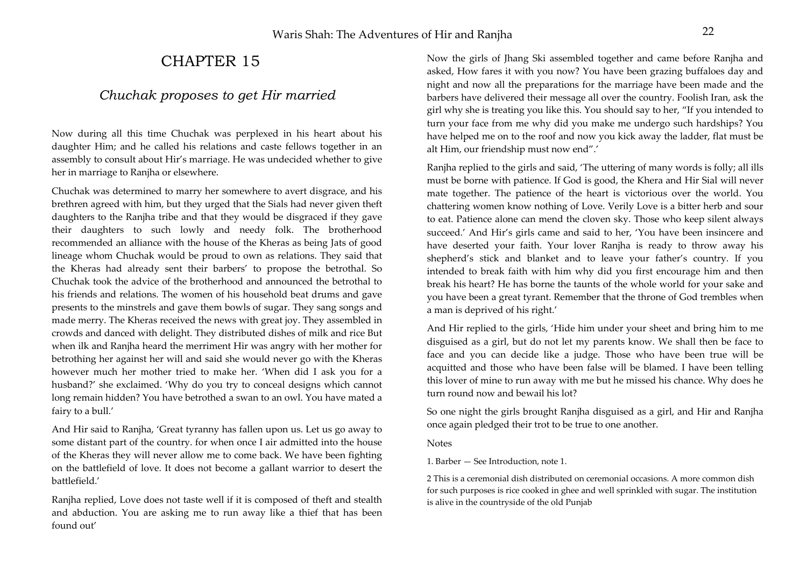# CHAPTER 15

## *Chuchak proposes to get Hir married*

Now during all this time Chuchak was perplexed in his heart about his daughter Him; and he called his relations and caste fellows together in an assembly to consult about Hir's marriage. He was undecided whether to give her in marriage to Ranjha or elsewhere.

Chuchak was determined to marry her somewhere to avert disgrace, and his brethren agreed with him, but they urged that the Sials had never given theft daughters to the Ranjha tribe and that they would be disgraced if they gave their daughters to such lowly and needy folk. The brotherhood recommended an alliance with the house of the Kheras as being Jats of good lineage whom Chuchak would be proud to own as relations. They said that the Kheras had already sent their barbers' to propose the betrothal. So Chuchak took the advice of the brotherhood and announced the betrothal to his friends and relations. The women of his household beat drums and gave presents to the minstrels and gave them bowls of sugar. They sang songs and made merry. The Kheras received the news with great joy. They assembled in crowds and danced with delight. They distributed dishes of milk and rice But when ilk and Ranjha heard the merriment Hir was angry with her mother for betrothing her against her will and said she would never go with the Kheras however much her mother tried to make her. 'When did I ask you for a husband?' she exclaimed. 'Why do you try to conceal designs which cannot long remain hidden? You have betrothed a swan to an owl. You have mated a fairy to a bull.'

And Hir said to Ranjha, 'Great tyranny has fallen upon us. Let us go away to some distant part of the country. for when once I air admitted into the house of the Kheras they will never allow me to come back. We have been fighting on the battlefield of love. It does not become a gallant warrior to desert the battlefield.'

Ranjha replied, Love does not taste well if it is composed of theft and stealth and abduction. You are asking me to run away like a thief that has been found out'

Now the girls of Jhang Ski assembled together and came before Ranjha and asked, How fares it with you now? You have been grazing buffaloes day and night and now all the preparations for the marriage have been made and the barbers have delivered their message all over the country. Foolish Iran, ask the girl why she is treating you like this. You should say to her, "If you intended to turn your face from me why did you make me undergo such hardships? You have helped me on to the roof and now you kick away the ladder, flat must be alt Him, our friendship must now end".'

Ranjha replied to the girls and said, 'The uttering of many words is folly; all ills must be borne with patience. If God is good, the Khera and Hir Sial will never mate together. The patience of the heart is victorious over the world. You chattering women know nothing of Love. Verily Love is a bitter herb and sour to eat. Patience alone can mend the cloven sky. Those who keep silent always succeed.' And Hir's girls came and said to her, 'You have been insincere and have deserted your faith. Your lover Ranjha is ready to throw away his shepherd's stick and blanket and to leave your father's country. If you intended to break faith with him why did you first encourage him and then break his heart? He has borne the taunts of the whole world for your sake and you have been a great tyrant. Remember that the throne of God trembles when a man is deprived of his right.'

And Hir replied to the girls, 'Hide him under your sheet and bring him to me disguised as a girl, but do not let my parents know. We shall then be face to face and you can decide like a judge. Those who have been true will be acquitted and those who have been false will be blamed. I have been telling this lover of mine to run away with me but he missed his chance. Why does he turn round now and bewail his lot?

So one night the girls brought Ranjha disguised as a girl, and Hir and Ranjha once again pledged their trot to be true to one another.

### Notes

1. Barber — See Introduction, note 1.

2 This is a ceremonial dish distributed on ceremonial occasions. A more common dish for such purposes is rice cooked in ghee and well sprinkled with sugar. The institution is alive in the countryside of the old Punjab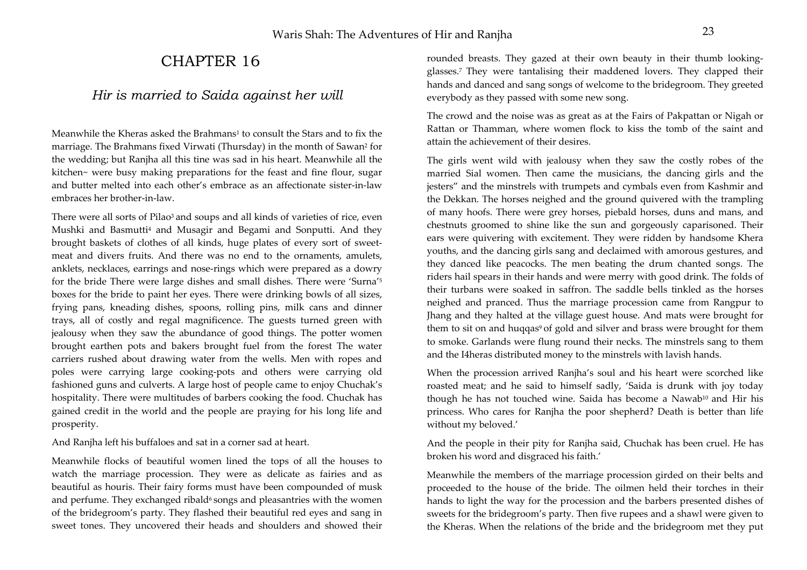# CHAPTER 16

## *Hir is married to Saida against her will*

Meanwhile the Kheras asked the Brahmans<sup>1</sup> to consult the Stars and to fix the marriage. The Brahmans fixed Virwati (Thursday) in the month of Sawan2 for the wedding; but Ranjha all this tine was sad in his heart. Meanwhile all the kitchen~ were busy making preparations for the feast and fine flour, sugar and butter melted into each other's embrace as an affectionate sister-in-law embraces her brother-in-law.

There were all sorts of Pilao<sup>3</sup> and soups and all kinds of varieties of rice, even Mushki and Basmutti<sup>4</sup> and Musagir and Begami and Sonputti. And they brought baskets of clothes of all kinds, huge plates of every sort of sweetmeat and divers fruits. And there was no end to the ornaments, amulets, anklets, necklaces, earrings and nose-rings which were prepared as a dowry for the bride There were large dishes and small dishes. There were 'Surna'5 boxes for the bride to paint her eyes. There were drinking bowls of all sizes, frying pans, kneading dishes, spoons, rolling pins, milk cans and dinner trays, all of costly and regal magnificence. The guests turned green with jealousy when they saw the abundance of good things. The potter women brought earthen pots and bakers brought fuel from the forest The water carriers rushed about drawing water from the wells. Men with ropes and poles were carrying large cooking-pots and others were carrying old fashioned guns and culverts. A large host of people came to enjoy Chuchak's hospitality. There were multitudes of barbers cooking the food. Chuchak has gained credit in the world and the people are praying for his long life and prosperity.

And Ranjha left his buffaloes and sat in a corner sad at heart.

Meanwhile flocks of beautiful women lined the tops of all the houses to watch the marriage procession. They were as delicate as fairies and as beautiful as houris. Their fairy forms must have been compounded of musk and perfume. They exchanged ribald<sup>6</sup> songs and pleasantries with the women of the bridegroom's party. They flashed their beautiful red eyes and sang in sweet tones. They uncovered their heads and shoulders and showed their rounded breasts. They gazed at their own beauty in their thumb lookingglasses.7 They were tantalising their maddened lovers. They clapped their hands and danced and sang songs of welcome to the bridegroom. They greeted everybody as they passed with some new song.

The crowd and the noise was as great as at the Fairs of Pakpattan or Nigah or Rattan or Thamman, where women flock to kiss the tomb of the saint and attain the achievement of their desires.

The girls went wild with jealousy when they saw the costly robes of the married Sial women. Then came the musicians, the dancing girls and the jesters" and the minstrels with trumpets and cymbals even from Kashmir and the Dekkan. The horses neighed and the ground quivered with the trampling of many hoofs. There were grey horses, piebald horses, duns and mans, and chestnuts groomed to shine like the sun and gorgeously caparisoned. Their ears were quivering with excitement. They were ridden by handsome Khera youths, and the dancing girls sang and declaimed with amorous gestures, and they danced like peacocks. The men beating the drum chanted songs. The riders hail spears in their hands and were merry with good drink. The folds of their turbans were soaked in saffron. The saddle bells tinkled as the horses neighed and pranced. Thus the marriage procession came from Rangpur to Jhang and they halted at the village guest house. And mats were brought for them to sit on and huqqas<sup>9</sup> of gold and silver and brass were brought for them to smoke. Garlands were flung round their necks. The minstrels sang to them and the I4heras distributed money to the minstrels with lavish hands.

When the procession arrived Ranjha's soul and his heart were scorched like roasted meat; and he said to himself sadly, 'Saida is drunk with joy today though he has not touched wine. Saida has become a Nawab<sup>10</sup> and Hir his princess. Who cares for Ranjha the poor shepherd? Death is better than life without my beloved.'

And the people in their pity for Ranjha said, Chuchak has been cruel. He has broken his word and disgraced his faith.'

Meanwhile the members of the marriage procession girded on their belts and proceeded to the house of the bride. The oilmen held their torches in their hands to light the way for the procession and the barbers presented dishes of sweets for the bridegroom's party. Then five rupees and a shawl were given to the Kheras. When the relations of the bride and the bridegroom met they put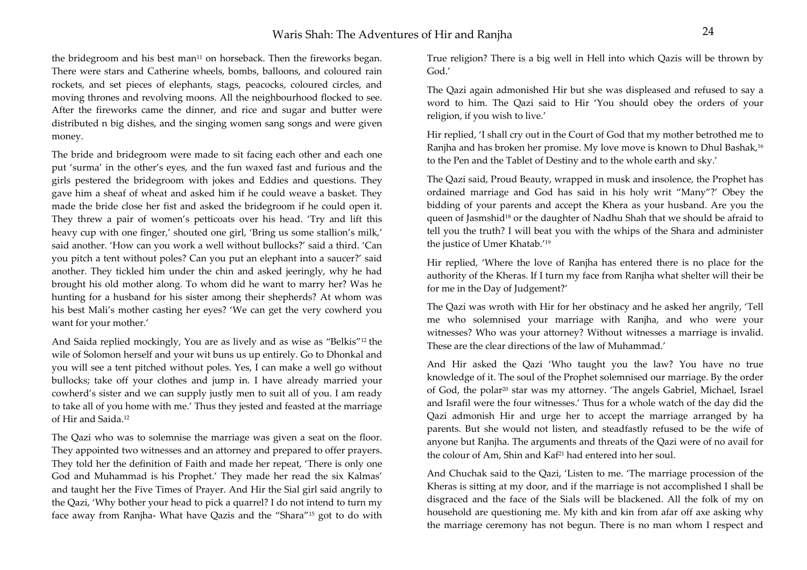the bridegroom and his best man<sup>11</sup> on horseback. Then the fireworks began. There were stars and Catherine wheels, bombs, balloons, and coloured rain rockets, and set pieces of elephants, stags, peacocks, coloured circles, and moving thrones and revolving moons. All the neighbourhood flocked to see. After the fireworks came the dinner, and rice and sugar and butter were distributed n big dishes, and the singing women sang songs and were given money.

The bride and bridegroom were made to sit facing each other and each one pu<sup>t</sup>'surma' in the other's eyes, and the fun waxed fast and furious and the girls pestered the bridegroom with jokes and Eddies and questions. They gave him a sheaf of wheat and asked him if he could weave a basket. They made the bride close her fist and asked the bridegroom if he could open it. They threw a pair of women's petticoats over his head. 'Try and lift this heavy cup with one finger,' shouted one girl, 'Bring us some stallion's milk,' said another. 'How can you work a well without bullocks?' said a third. 'Can you pitch a tent without poles? Can you put an elephant into a saucer?' said another. They tickled him under the chin and asked jeeringly, why he had brought his old mother along. To whom did he want to marry her? Was he hunting for a husband for his sister among their shepherds? At whom was his best Mali's mother casting her eyes? 'We can get the very cowherd you want for your mother.'

And Saida replied mockingly, You are as lively and as wise as "Belkis"12 the wile of Solomon herself and your wit buns us up entirely. Go to Dhonkal and you will see a tent pitched without poles. Yes, I can make a well go without bullocks; take off your clothes and jump in. I have already married your cowherd's sister and we can supply justly men to suit all of you. I am ready to take all of you home with me.' Thus they jested and feasted at the marriage of Hir and Saida.12

The Qazi who was to solemnise the marriage was given a seat on the floor. They appointed two witnesses and an attorney and prepared to offer prayers. They told her the definition of Faith and made her repeat, 'There is only one God and Muhammad is his Prophet.' They made her read the six Kalmas' and taught her the Five Times of Prayer. And Hir the Sial girl said angrily to the Qazi, 'Why bother your head to pick a quarrel? I do not intend to turn my face away from Ranjha- What have Qazis and the "Shara"15 got to do with True religion? There is a big well in Hell into which Qazis will be thrown by God<sup>'</sup>

The Qazi again admonished Hir but she was displeased and refused to say a word to him. The Qazi said to Hir 'You should obey the orders of your religion, if you wish to live.'

Hir replied, 'I shall cry out in the Court of God that my mother betrothed me to Ranjha and has broken her promise. My love move is known to Dhul Bashak,16 to the Pen and the Tablet of Destiny and to the whole earth and sky.'

The Qazi said, Proud Beauty, wrapped in musk and insolence, the Prophet has ordained marriage and God has said in his holy writ "Many"?' Obey the bidding of your parents and accept the Khera as your husband. Are you the queen of Jasmshid<sup>18</sup> or the daughter of Nadhu Shah that we should be afraid to tell you the truth? I will beat you with the whips of the Shara and administer the justice of Umer Khatab.'19

Hir replied, 'Where the love of Ranjha has entered there is no place for the authority of the Kheras. If I turn my face from Ranjha what shelter will their be for me in the Day of Judgement?'

The Qazi was wroth with Hir for her obstinacy and he asked her angrily, 'Tell me who solemnised your marriage with Ranjha, and who were your witnesses? Who was your attorney? Without witnesses a marriage is invalid. These are the clear directions of the law of Muhammad.'

And Hir asked the Qazi 'Who taught you the law? You have no true knowledge of it. The soul of the Prophet solemnised our marriage. By the order of God, the polar20 star was my attorney. 'The angels Gabriel, Michael, Israel and Israfil were the four witnesses.' Thus for a whole watch of the day did the Qazi admonish Hir and urge her to accept the marriage arranged by ha parents. But she would not listen, and steadfastly refused to be the wife of anyone but Ranjha. The arguments and threats of the Qazi were of no avail for the colour of Am, Shin and Kaf<sup>21</sup> had entered into her soul.

And Chuchak said to the Qazi, 'Listen to me. 'The marriage procession of the Kheras is sitting at my door, and if the marriage is not accomplished I shall be disgraced and the face of the Sials will be blackened. All the folk of my on household are questioning me. My kith and kin from afar off axe asking why the marriage ceremony has not begun. There is no man whom I respect and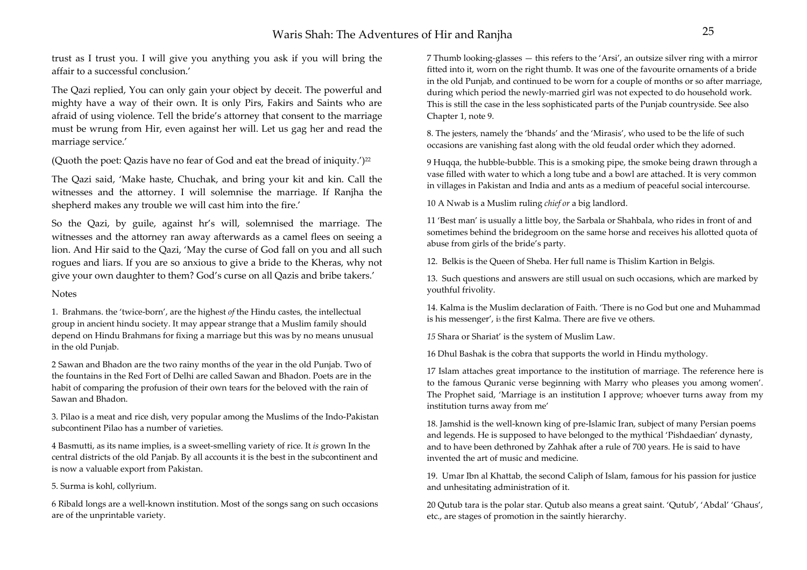trust as I trust you. I will give you anything you ask if you will bring the affair to a successful conclusion.'

The Qazi replied, You can only gain your object by deceit. The powerful and mighty have a way of their own. It is only Pirs, Fakirs and Saints who are afraid of using violence. Tell the bride's attorney that consent to the marriage must be wrung from Hir, even against her will. Let us gag her and read the marriage service.'

(Quoth the poet: Qazis have no fear of God and eat the bread of iniquity.')<sup>22</sup>

The Qazi said, 'Make haste, Chuchak, and bring your kit and kin. Call the witnesses and the attorney. I will solemnise the marriage. If Ranjha the shepherd makes any trouble we will cast him into the fire.'

So the Qazi, by guile, against hr's will, solemnised the marriage. The witnesses and the attorney ran away afterwards as a camel flees on seeing a lion. And Hir said to the Qazi, 'May the curse of God fall on you and all such rogues and liars. If you are so anxious to give a bride to the Kheras, why not give your own daughter to them? God's curse on all Qazis and bribe takers.'

#### **Notes**

1. Brahmans. the 'twice-born', are the highest *of* the Hindu castes, the intellectual group in ancient hindu society. It may appear strange that a Muslim family should depend on Hindu Brahmans for fixing a marriage but this was by no means unusual in the old Punjab.

2 Sawan and Bhadon are the two rainy months of the year in the old Punjab. Two of the fountains in the Red Fort of Delhi are called Sawan and Bhadon. Poets are in the habit of comparing the profusion of their own tears for the beloved with the rain of Sawan and Bhadon.

3. Pilao is a meat and rice dish, very popular among the Muslims of the Indo-Pakistan subcontinent Pilao has a number of varieties.

4 Basmutti, as its name implies, is a sweet-smelling variety of rice. It *is* grown In the central districts of the old Panjab. By all accounts it is the best in the subcontinent and is now a valuable export from Pakistan.

5. Surma is kohl, collyrium.

6 Ribald longs are a well-known institution. Most of the songs sang on such occasions are of the unprintable variety.

7 Thumb looking-glasses — this refers to the 'Arsi', an outsize silver ring with a mirror fitted into it, worn on the right thumb. It was one of the favourite ornaments of a bride in the old Punjab, and continued to be worn for a couple of months or so after marriage, during which period the newly-married girl was not expected to do household work. This is still the case in the less sophisticated parts of the Punjab countryside. See also Chapter 1, note 9.

8. The jesters, namely the 'bhands' and the 'Mirasis', who used to be the life of such occasions are vanishing fast along with the old feudal order which they adorned.

9 Huqqa, the hubble-bubble. This is a smoking pipe, the smoke being drawn through a vase filled with water to which a long tube and a bowl are attached. It is very common in villages in Pakistan and India and ants as a medium of peaceful social intercourse.

10 A Nwab is a Muslim ruling *chief or* a big landlord.

11 'Best man' is usually a little boy, the Sarbala or Shahbala, who rides in front of and sometimes behind the bridegroom on the same horse and receives his allotted quota of abuse from girls of the bride's party.

12. Belkis is the Queen of Sheba. Her full name is Thislim Kartion in Belgis.

13. Such questions and answers are still usual on such occasions, which are marked by youthful frivolity.

14. Kalma is the Muslim declaration of Faith. 'There is no God but one and Muhammad is his messenger', is the first Kalma. There are five ve others.

*15* Shara or Shariat' is the system of Muslim Law.

16 Dhul Bashak is the cobra that supports the world in Hindu mythology.

17 Islam attaches great importance to the institution of marriage. The reference here is to the famous Quranic verse beginning with Marry who pleases you among women'. The Prophet said, 'Marriage is an institution I approve; whoever turns away from my institution turns away from me'

18. Jamshid is the well-known king of pre-Islamic Iran, subject of many Persian poems and legends. He is supposed to have belonged to the mythical 'Pishdaedian' dynasty, and to have been dethroned by Zahhak after a rule of 700 years. He is said to have invented the art of music and medicine.

19. Umar Ibn al Khattab, the second Caliph of Islam, famous for his passion for justice and unhesitating administration of it.

20 Qutub tara is the polar star. Qutub also means a great saint. 'Qutub', 'Abdal' 'Ghaus', etc., are stages of promotion in the saintly hierarchy.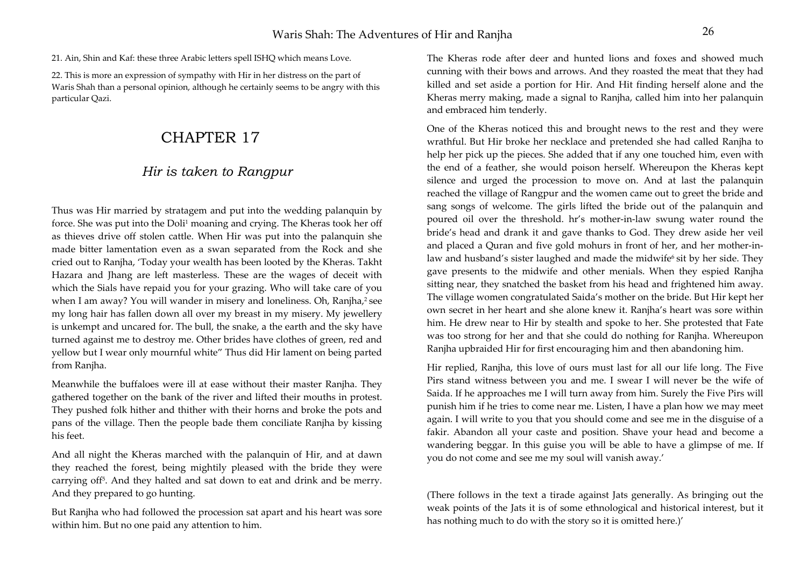21. Ain, Shin and Kaf: these three Arabic letters spell ISHQ which means Love.

22. This is more an expression of sympathy with Hir in her distress on the part of Waris Shah than a personal opinion, although he certainly seems to be angry with this particular Qazi.

# CHAPTER 17

## *Hir is taken to Rangpur*

Thus was Hir married by stratagem and put into the wedding palanquin by force. She was put into the Doli<sup>1</sup> moaning and crying. The Kheras took her off as thieves drive off stolen cattle. When Hir was put into the palanquin she made bitter lamentation even as a swan separated from the Rock and she cried out to Ranjha, 'Today your wealth has been looted by the Kheras. Takht Hazara and Jhang are left masterless. These are the wages of deceit with which the Sials have repaid you for your grazing. Who will take care of you when I am away? You will wander in misery and loneliness. Oh, Ranjha,<sup>2</sup> see my long hair has fallen down all over my breast in my misery. My jewellery is unkempt and uncared for. The bull, the snake, a the earth and the sky have turned against me to destroy me. Other brides have clothes of green, red and yellow but I wear only mournful white" Thus did Hir lament on being parted from Ranjha.

Meanwhile the buffaloes were ill at ease without their master Ranjha. They gathered together on the bank of the river and lifted their mouths in protest. They pushed folk hither and thither with their horns and broke the pots and pans of the village. Then the people bade them conciliate Ranjha by kissing his feet.

And all night the Kheras marched with the palanquin of Hir, and at dawn they reached the forest, being mightily pleased with the bride they were carrying off5. And they halted and sat down to eat and drink and be merry. And they prepared to go hunting.

But Ranjha who had followed the procession sat apart and his heart was sore within him. But no one paid any attention to him.

The Kheras rode after deer and hunted lions and foxes and showed much cunning with their bows and arrows. And they roasted the meat that they had killed and set aside a portion for Hir. And Hit finding herself alone and the Kheras merry making, made a signal to Ranjha, called him into her palanquin and embraced him tenderly.

One of the Kheras noticed this and brought news to the rest and they were wrathful. But Hir broke her necklace and pretended she had called Ranjha to help her pick up the pieces. She added that if any one touched him, even with the end of a feather, she would poison herself. Whereupon the Kheras kept silence and urged the procession to move on. And at last the palanquin reached the village of Rangpur and the women came out to greet the bride and sang songs of welcome. The girls lifted the bride out of the palanquin and poured oil over the threshold. hr's mother-in-law swung water round the bride's head and drank it and gave thanks to God. They drew aside her veil and placed a Quran and five gold mohurs in front of her, and her mother-inlaw and husband's sister laughed and made the midwife6 sit by her side. They gave presents to the midwife and other menials. When they espied Ranjha sitting near, they snatched the basket from his head and frightened him away. The village women congratulated Saida's mother on the bride. But Hir kept her own secret in her heart and she alone knew it. Ranjha's heart was sore within him. He drew near to Hir by stealth and spoke to her. She protested that Fate was too strong for her and that she could do nothing for Ranjha. Whereupon Ranjha upbraided Hir for first encouraging him and then abandoning him.

Hir replied, Ranjha, this love of ours must last for all our life long. The Five Pirs stand witness between you and me. I swear I will never be the wife of Saida. If he approaches me I will turn away from him. Surely the Five Pirs will punish him if he tries to come near me. Listen, I have a plan how we may meet again. I will write to you that you should come and see me in the disguise of a fakir. Abandon all your caste and position. Shave your head and become a wandering beggar. In this guise you will be able to have a glimpse of me. If you do not come and see me my soul will vanish away.'

(There follows in the text a tirade against Jats generally. As bringing out the weak points of the Jats it is of some ethnological and historical interest, but it has nothing much to do with the story so it is omitted here.)'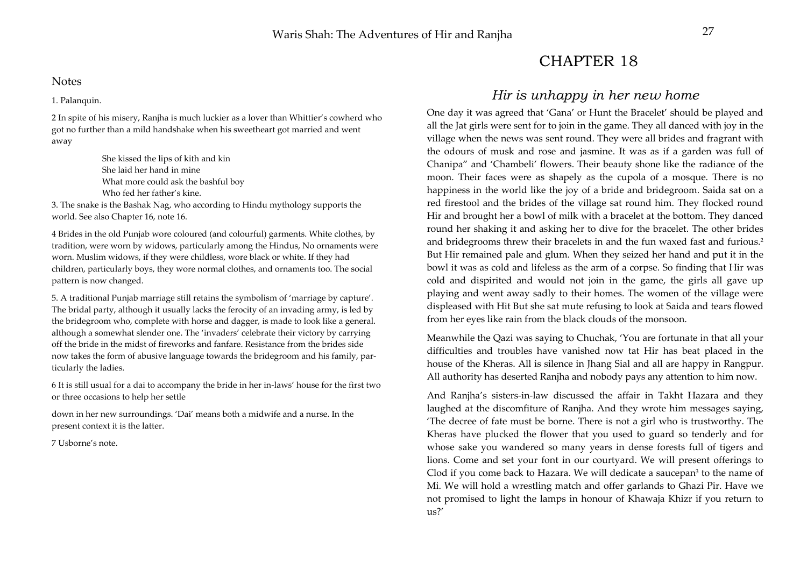### **Notes**

1. Palanquin.

2 In spite of his misery, Ranjha is much luckier as a lover than Whittier's cowherd who got no further than a mild handshake when his sweetheart got married and went away

> She kissed the lips of kith and kin She laid her hand in mine What more could ask the bashful boy Who fed her father's kine.

3. The snake is the Bashak Nag, who according to Hindu mythology supports the world. See also Chapter 16, note 16.

4 Brides in the old Punjab wore coloured (and colourful) garments. White clothes, by tradition, were worn by widows, particularly among the Hindus, No ornaments were worn. Muslim widows, if they were childless, wore black or white. If they had children, particularly boys, they wore normal clothes, and ornaments too. The social pattern is now changed.

5. A traditional Punjab marriage still retains the symbolism of 'marriage by capture'. The bridal party, although it usually lacks the ferocity of an invading army, is led by the bridegroom who, complete with horse and dagger, is made to look like a general. although a somewhat slender one. The 'invaders' celebrate their victory by carrying off the bride in the midst of fireworks and fanfare. Resistance from the brides side now takes the form of abusive language towards the bridegroom and his family, particularly the ladies.

6 It is still usual for a dai to accompany the bride in her in-laws' house for the first two or three occasions to help her settle

down in her new surroundings. 'Dai' means both a midwife and a nurse. In the present context it is the latter.

7 Usborne's note.

# CHAPTER 18

### *Hir is unhappy in her new home*

One day it was agreed that 'Gana' or Hunt the Bracelet' should be played and all the Jat girls were sent for to join in the game. They all danced with joy in the village when the news was sent round. They were all brides and fragrant with the odours of musk and rose and jasmine. It was as if a garden was full of Chanipa" and 'Chambeli' flowers. Their beauty shone like the radiance of the moon. Their faces were as shapely as the cupola of a mosque. There is no happiness in the world like the joy of a bride and bridegroom. Saida sat on a red firestool and the brides of the village sat round him. They flocked round Hir and brought her a bowl of milk with a bracelet at the bottom. They danced round her shaking it and asking her to dive for the bracelet. The other brides and bridegrooms threw their bracelets in and the fun waxed fast and furious.2 But Hir remained pale and glum. When they seized her hand and put it in the bowl it was as cold and lifeless as the arm of a corpse. So finding that Hir was cold and dispirited and would not join in the game, the girls all gave up playing and went away sadly to their homes. The women of the village were displeased with Hit But she sat mute refusing to look at Saida and tears flowed from her eyes like rain from the black clouds of the monsoon.

Meanwhile the Qazi was saying to Chuchak, 'You are fortunate in that all your difficulties and troubles have vanished now tat Hir has beat placed in the house of the Kheras. All is silence in Jhang Sial and all are happy in Rangpur. All authority has deserted Ranjha and nobody pays any attention to him now.

And Ranjha's sisters-in-law discussed the affair in Takht Hazara and they laughed at the discomfiture of Ranjha. And they wrote him messages saying, 'The decree of fate must be borne. There is not a girl who is trustworthy. The Kheras have plucked the flower that you used to guard so tenderly and for whose sake you wandered so many years in dense forests full of tigers and lions. Come and set your font in our courtyard. We will present offerings to Clod if you come back to Hazara. We will dedicate a saucepan<sup>3</sup> to the name of Mi. We will hold a wrestling match and offer garlands to Ghazi Pir. Have we not promised to light the lamps in honour of Khawaja Khizr if you return to  $11s<sup>2</sup>$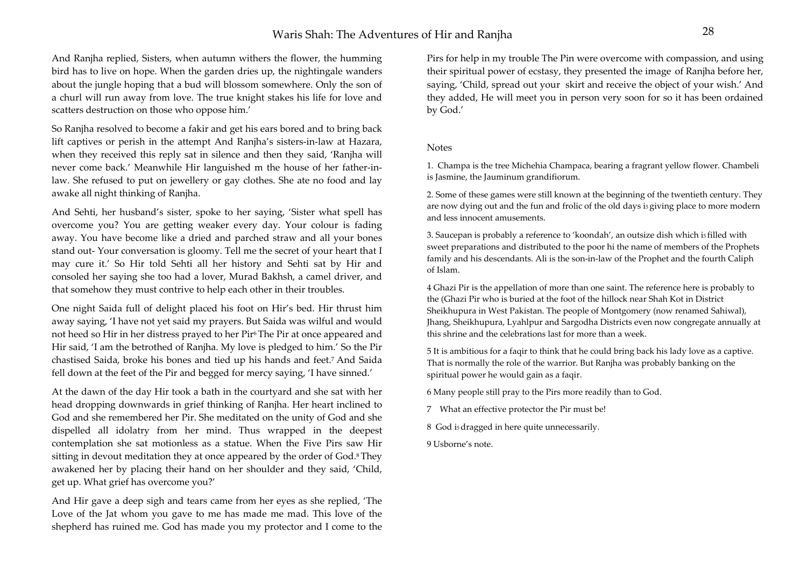And Ranjha replied, Sisters, when autumn withers the flower, the humming bird has to live on hope. When the garden dries up, the nightingale wanders about the jungle hoping that a bud will blossom somewhere. Only the son of a churl will run away from love. The true knight stakes his life for love and scatters destruction on those who oppose him.'

So Ranjha resolved to become a fakir and get his ears bored and to bring back lift captives or perish in the attempt And Ranjha's sisters-in-law at Hazara, when they received this reply sat in silence and then they said, 'Ranjha will never come back.' Meanwhile Hir languished m the house of her father-inlaw. She refused to put on jewellery or gay clothes. She ate no food and lay awake all night thinking of Ranjha.

And Sehti, her husband's sister, spoke to her saying, 'Sister what spell has overcome you? You are getting weaker every day. Your colour is fading away. You have become like a dried and parched straw and all your bones stand out- Your conversation is gloomy. Tell me the secret of your heart that I may cure it.' So Hir told Sehti all her history and Sehti sat by Hir and consoled her saying she too had a lover, Murad Bakhsh, a camel driver, and that somehow they must contrive to help each other in their troubles.

One night Saida full of delight placed his foot on Hir's bed. Hir thrust him away saying, 'I have not yet said my prayers. But Saida was wilful and would not heed so Hir in her distress prayed to her Pir<sup>6</sup> The Pir at once appeared and Hir said, 'I am the betrothed of Ranjha. My love is pledged to him.' So the Pir chastised Saida, broke his bones and tied up his hands and feet.7 And Saida fell down at the feet of the Pir and begged for mercy saying, 'I have sinned.'

At the dawn of the day Hir took a bath in the courtyard and she sat with her head dropping downwards in grief thinking of Ranjha. Her heart inclined to God and she remembered her Pir. She meditated on the unity of God and she dispelled all idolatry from her mind. Thus wrapped in the deepest contemplation she sat motionless as a statue. When the Five Pirs saw Hir sitting in devout meditation they at once appeared by the order of God.8 They awakened her by placing their hand on her shoulder and they said, 'Child, get up. What grief has overcome you?'

And Hir gave a deep sigh and tears came from her eyes as she replied, 'The Love of the Jat whom you gave to me has made me mad. This love of the shepherd has ruined me. God has made you my protector and I come to the Pirs for help in my trouble The Pin were overcome with compassion, and using their spiritual power of ecstasy, they presented the image of Ranjha before her, saying, 'Child, spread out your skirt and receive the object of your wish.' And they added, He will meet you in person very soon for so it has been ordained by God.'

#### Notes

1. Champa is the tree Michehia Champaca, bearing a fragrant yellow flower. Chambeli is Jasmine, the Jauminum grandifiorum.

2. Some of these games were still known at the beginning of the twentieth century. They are now dying out and the fun and frolic of the old days is giving place to more modern and less innocent amusements.

3. Saucepan is probably a reference to 'koondah', an outsize dish which i5 filled with sweet preparations and distributed to the poor hi the name of members of the Prophets family and his descendants. Ali is the son-in-law of the Prophet and the fourth Caliph of Islam.

4 Ghazi Pir is the appellation of more than one saint. The reference here is probably to the (Ghazi Pir who is buried at the foot of the hillock near Shah Kot in District Sheikhupura in West Pakistan. The people of Montgomery (now renamed Sahiwal), Jhang, Sheikhupura, Lyahlpur and Sargodha Districts even now congregate annually at this shrine and the celebrations last for more than a week.

5 It is ambitious for a faqir to think that he could bring back his lady love as a captive. That is normally the role of the warrior. But Ranjha was probably banking on the spiritual power he would gain as a faqir.

6 Many people still pray to the Pirs more readily than to God.

7 What an effective protector the Pir must be!

8 God i5 dragged in here quite unnecessarily.

9 Usborne's note.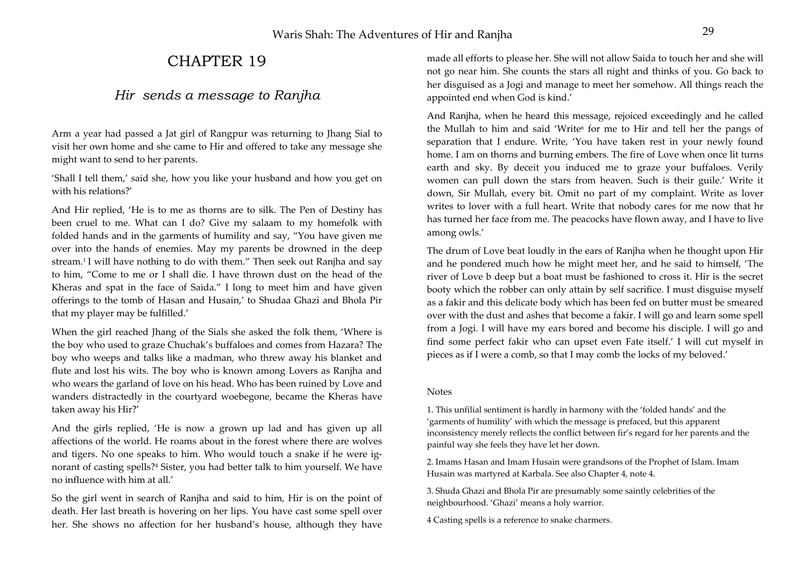# CHAPTER 19

## *Hir sends a message to Ranjha*

Arm a year had passed a Jat girl of Rangpur was returning to Jhang Sial to visit her own home and she came to Hir and offered to take any message she might want to send to her parents.

'Shall I tell them,' said she, how you like your husband and how you get on with his relations?'

And Hir replied, 'He is to me as thorns are to silk. The Pen of Destiny has been cruel to me. What can I do? Give my salaam to my homefolk with folded hands and in the garments of humility and say, "You have given me over into the hands of enemies. May my parents be drowned in the deep stream.1 I will have nothing to do with them." Then seek out Ranjha and say to him, "Come to me or I shall die. I have thrown dust on the head of the Kheras and spat in the face of Saida." I long to meet him and have given offerings to the tomb of Hasan and Husain,' to Shudaa Ghazi and Bhola Pir that my player may be fulfilled.'

When the girl reached Jhang of the Sials she asked the folk them, 'Where is the boy who used to graze Chuchak's buffaloes and comes from Hazara? The boy who weeps and talks like a madman, who threw away his blanket and flute and lost his wits. The boy who is known among Lovers as Ranjha and who wears the garland of love on his head. Who has been ruined by Love and wanders distractedly in the courtyard woebegone, became the Kheras have taken away his Hir?'

And the girls replied, 'He is now a grown up lad and has given up all affections of the world. He roams about in the forest where there are wolves and tigers. No one speaks to him. Who would touch a snake if he were ignorant of casting spells?4 Sister, you had better talk to him yourself. We have no influence with him at all.'

So the girl went in search of Ranjha and said to him, Hir is on the point of death. Her last breath is hovering on her lips. You have cast some spell over her. She shows no affection for her husband's house, although they have

made all efforts to please her. She will not allow Saida to touch her and she will not go near him. She counts the stars all night and thinks of you. Go back to her disguised as a Jogi and manage to meet her somehow. All things reach the appointed end when God is kind.'

And Ranjha, when he heard this message, rejoiced exceedingly and he called the Mullah to him and said 'Write<sup>6</sup> for me to Hir and tell her the pangs of separation that I endure. Write, 'You have taken rest in your newly found home. I am on thorns and burning embers. The fire of Love when once lit turns earth and sky. By deceit you induced me to graze your buffaloes. Verily women can pull down the stars from heaven. Such is their guile.' Write it down, Sir Mullah, every bit. Omit no part of my complaint. Write as lover writes to lover with a full heart. Write that nobody cares for me now that hr has turned her face from me. The peacocks have flown away, and I have to live among owls.'

The drum of Love beat loudly in the ears of Ranjha when he thought upon Hir and he pondered much how he might meet her, and he said to himself, 'The river of Love b deep but a boat must be fashioned to cross it. Hir is the secret booty which the robber can only attain by self sacrifice. I must disguise myself as a fakir and this delicate body which has been fed on butter must be smeared over with the dust and ashes that become a fakir. I will go and learn some spell from a Jogi. I will have my ears bored and become his disciple. I will go and find some perfect fakir who can upset even Fate itself.' I will cut myself in pieces as if I were a comb, so that I may comb the locks of my beloved.'

### Notes

1. This unfilial sentiment is hardly in harmony with the 'folded hands' and the 'garments of humility' with which the message is prefaced, but this apparent inconsistency merely reflects the conflict between fir's regard for her parents and the painful way she feels they have let her down.

2. Imams Hasan and Imam Husain were grandsons of the Prophet of Islam. Imam Husain was martyred at Karbala. See also Chapter 4, note 4.

3. Shuda Ghazi and Bhola Pir are presumably some saintly celebrities of the neighbourhood. 'Ghazi' means a holy warrior.

4 Casting spells is a reference to snake charmers.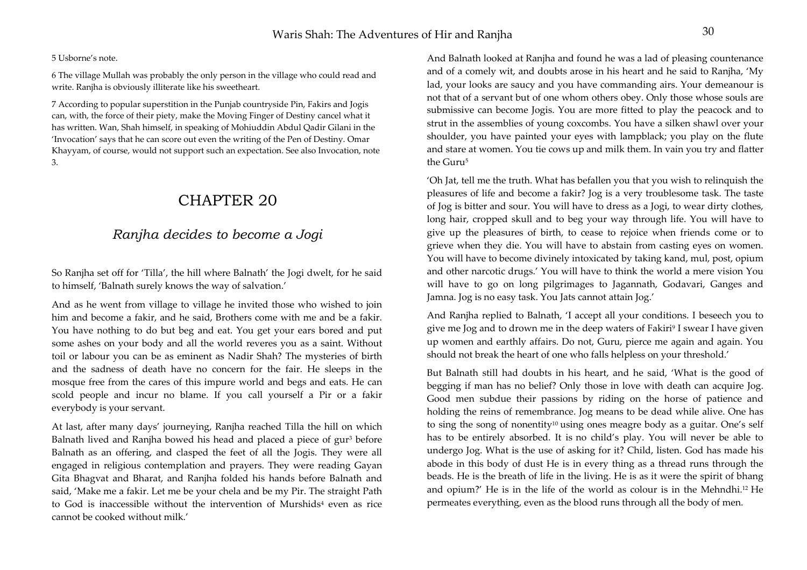5 Usborne's note.

6 The village Mullah was probably the only person in the village who could read and write. Ranjha is obviously illiterate like his sweetheart.

7 According to popular superstition in the Punjab countryside Pin, Fakirs and Jogis can, with, the force of their piety, make the Moving Finger of Destiny cancel what it has written. Wan, Shah himself, in speaking of Mohiuddin Abdul Qadir Gilani in the 'Invocation' says that he can score out even the writing of the Pen of Destiny. Omar Khayyam, of course, would not support such an expectation. See also Invocation, note 3.

# CHAPTER 20

## *Ranjha decides to become a Jogi*

So Ranjha set off for 'Tilla', the hill where Balnath' the Jogi dwelt, for he said to himself, 'Balnath surely knows the way of salvation.'

And as he went from village to village he invited those who wished to join him and become a fakir, and he said, Brothers come with me and be a fakir. You have nothing to do but beg and eat. You get your ears bored and put some ashes on your body and all the world reveres you as a saint. Without toil or labour you can be as eminent as Nadir Shah? The mysteries of birth and the sadness of death have no concern for the fair. He sleeps in the mosque free from the cares of this impure world and begs and eats. He can scold people and incur no blame. If you call yourself a Pir or a fakir everybody is your servant.

At last, after many days' journeying, Ranjha reached Tilla the hill on which Balnath lived and Ranjha bowed his head and placed a piece of gur<sup>3</sup> before Balnath as an offering, and clasped the feet of all the Jogis. They were all engaged in religious contemplation and prayers. They were reading Gayan Gita Bhagvat and Bharat, and Ranjha folded his hands before Balnath and said, 'Make me a fakir. Let me be your chela and be my Pir. The straight Path to God is inaccessible without the intervention of Murshids<sup>4</sup> even as rice cannot be cooked without milk.'

And Balnath looked at Ranjha and found he was a lad of pleasing countenance and of a comely wit, and doubts arose in his heart and he said to Ranjha, 'My lad, your looks are saucy and you have commanding airs. Your demeanour is not that of a servant but of one whom others obey. Only those whose souls are submissive can become Jogis. You are more fitted to play the peacock and to strut in the assemblies of young coxcombs. You have a silken shawl over your shoulder, you have painted your eyes with lampblack; you play on the flute and stare at women. You tie cows up and milk them. In vain you try and flatter the Guru5

'Oh Jat, tell me the truth. What has befallen you that you wish to relinquish the pleasures of life and become a fakir? Jog is a very troublesome task. The taste of Jog is bitter and sour. You will have to dress as a Jogi, to wear dirty clothes, long hair, cropped skull and to beg your way through life. You will have to give up the pleasures of birth, to cease to rejoice when friends come or to grieve when they die. You will have to abstain from casting eyes on women. You will have to become divinely intoxicated by taking kand, mul, post, opium and other narcotic drugs.' You will have to think the world a mere vision You will have to go on long pilgrimages to Jagannath, Godavari, Ganges and Jamna. Jog is no easy task. You Jats cannot attain Jog.'

And Ranjha replied to Balnath, 'I accept all your conditions. I beseech you to give me Jog and to drown me in the deep waters of Fakiri9 I swear I have given up women and earthly affairs. Do not, Guru, pierce me again and again. You should not break the heart of one who falls helpless on your threshold.'

But Balnath still had doubts in his heart, and he said, 'What is the good of begging if man has no belief? Only those in love with death can acquire Jog. Good men subdue their passions by riding on the horse of patience and holding the reins of remembrance. Jog means to be dead while alive. One has to sing the song of nonentity<sup>10</sup> using ones meagre body as a guitar. One's self has to be entirely absorbed. It is no child's play. You will never be able to undergo Jog. What is the use of asking for it? Child, listen. God has made his abode in this body of dust He is in every thing as a thread runs through the beads. He is the breath of life in the living. He is as it were the spirit of bhang and opium?' He is in the life of the world as colour is in the Mehndhi.12 He permeates everything, even as the blood runs through all the body of men.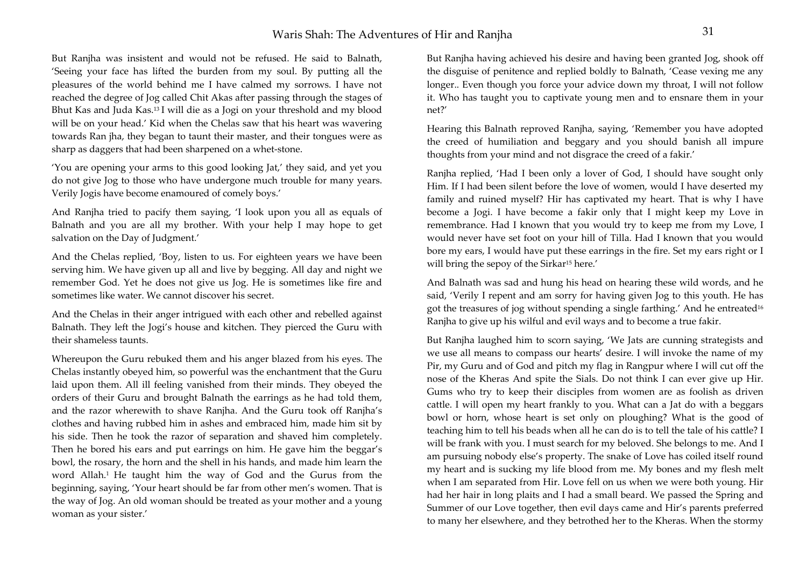But Ranjha was insistent and would not be refused. He said to Balnath, 'Seeing your face has lifted the burden from my soul. By putting all the pleasures of the world behind me I have calmed my sorrows. I have not reached the degree of Jog called Chit Akas after passing through the stages of Bhut Kas and Juda Kas.13 I will die as a Jogi on your threshold and my blood will be on your head.' Kid when the Chelas saw that his heart was wavering towards Ran jha, they began to taunt their master, and their tongues were as sharp as daggers that had been sharpened on a whet-stone.

'You are opening your arms to this good looking Jat,' they said, and yet you do not give Jog to those who have undergone much trouble for many years. Verily Jogis have become enamoured of comely boys.'

And Ranjha tried to pacify them saying, 'I look upon you all as equals of Balnath and you are all my brother. With your help I may hope to get salvation on the Day of Judgment.'

And the Chelas replied, 'Boy, listen to us. For eighteen years we have been serving him. We have given up all and live by begging. All day and night we remember God. Yet he does not give us Jog. He is sometimes like fire and sometimes like water. We cannot discover his secret.

And the Chelas in their anger intrigued with each other and rebelled against Balnath. They left the Jogi's house and kitchen. They pierced the Guru with their shameless taunts.

Whereupon the Guru rebuked them and his anger blazed from his eyes. The Chelas instantly obeyed him, so powerful was the enchantment that the Guru laid upon them. All ill feeling vanished from their minds. They obeyed the orders of their Guru and brought Balnath the earrings as he had told them, and the razor wherewith to shave Ranjha. And the Guru took off Ranjha's clothes and having rubbed him in ashes and embraced him, made him sit by his side. Then he took the razor of separation and shaved him completely. Then he bored his ears and put earrings on him. He gave him the beggar's bowl, the rosary, the horn and the shell in his hands, and made him learn the word Allah.1 He taught him the way of God and the Gurus from the beginning, saying, 'Your heart should be far from other men's women. That is the way of Jog. An old woman should be treated as your mother and a young woman as your sister.'

But Ranjha having achieved his desire and having been granted Jog, shook off the disguise of penitence and replied boldly to Balnath, 'Cease vexing me any longer.. Even though you force your advice down my throat, I will not follow it. Who has taught you to captivate young men and to ensnare them in your net?'

Hearing this Balnath reproved Ranjha, saying, 'Remember you have adopted the creed of humiliation and beggary and you should banish all impure thoughts from your mind and not disgrace the creed of a fakir.'

Ranjha replied, 'Had I been only a lover of God, I should have sought only Him. If I had been silent before the love of women, would I have deserted my family and ruined myself? Hir has captivated my heart. That is why I have become a Jogi. I have become a fakir only that I might keep my Love in remembrance. Had I known that you would try to keep me from my Love, I would never have set foot on your hill of Tilla. Had I known that you would bore my ears, I would have put these earrings in the fire. Set my ears right or I will bring the sepoy of the Sirkar<sup>15</sup> here.'

And Balnath was sad and hung his head on hearing these wild words, and he said, 'Verily I repent and am sorry for having given Jog to this youth. He has got the treasures of jog without spending a single farthing.' And he entreated<sup>16</sup> Ranjha to give up his wilful and evil ways and to become a true fakir.

But Ranjha laughed him to scorn saying, 'We Jats are cunning strategists and we use all means to compass our hearts' desire. I will invoke the name of my Pir, my Guru and of God and pitch my flag in Rangpur where I will cut off the nose of the Kheras And spite the Sials. Do not think I can ever give up Hir. Gums who try to keep their disciples from women are as foolish as driven cattle. I will open my heart frankly to you. What can a Jat do with a beggars bowl or horn, whose heart is set only on ploughing? What is the good of teaching him to tell his beads when all he can do is to tell the tale of his cattle? I will be frank with you. I must search for my beloved. She belongs to me. And I am pursuing nobody else's property. The snake of Love has coiled itself round my heart and is sucking my life blood from me. My bones and my flesh melt when I am separated from Hir. Love fell on us when we were both young. Hir had her hair in long plaits and I had a small beard. We passed the Spring and Summer of our Love together, then evil days came and Hir's parents preferred to many her elsewhere, and they betrothed her to the Kheras. When the stormy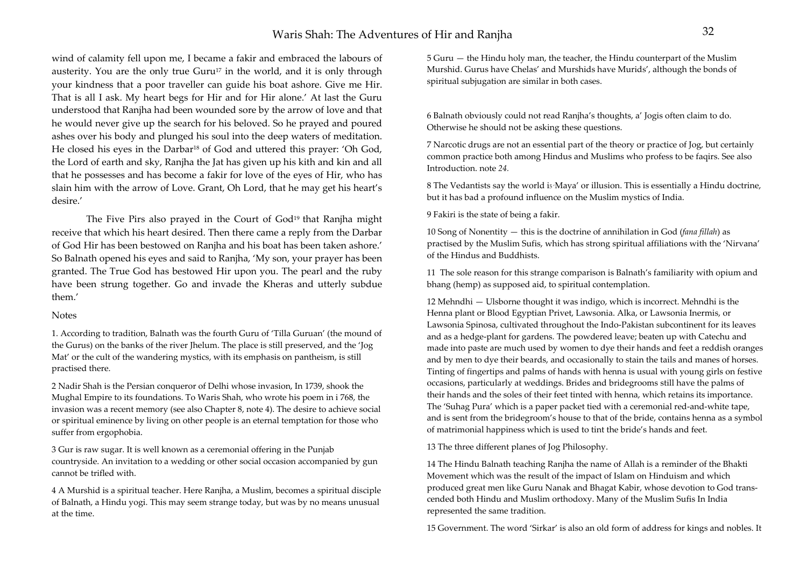### Waris Shah: The Adventures of Hir and Raniha

wind of calamity fell upon me, I became a fakir and embraced the labours of austerity. You are the only true  $Guru^{17}$  in the world, and it is only through your kindness that a poor traveller can guide his boat ashore. Give me Hir. That is all I ask. My heart begs for Hir and for Hir alone.' At last the Guru understood that Ranjha had been wounded sore by the arrow of love and that he would never give up the search for his beloved. So he prayed and poured ashes over his body and plunged his soul into the deep waters of meditation. He closed his eyes in the Darbar<sup>18</sup> of God and uttered this prayer: 'Oh God, the Lord of earth and sky, Ranjha the Jat has given up his kith and kin and all that he possesses and has become a fakir for love of the eyes of Hir, who has slain him with the arrow of Love. Grant, Oh Lord, that he may get his heart's desire.'

The Five Pirs also prayed in the Court of God<sup>19</sup> that Ranjha might receive that which his heart desired. Then there came a reply from the Darbar of God Hir has been bestowed on Ranjha and his boat has been taken ashore.' So Balnath opened his eyes and said to Ranjha, 'My son, your prayer has been granted. The True God has bestowed Hir upon you. The pearl and the ruby have been strung together. Go and invade the Kheras and utterly subdue them.'

### **Notes**

1. According to tradition, Balnath was the fourth Guru of 'Tilla Guruan' (the mound of the Gurus) on the banks of the river Jhelum. The place is still preserved, and the 'Jog Mat' or the cult of the wandering mystics, with its emphasis on pantheism, is still practised there.

2 Nadir Shah is the Persian conqueror of Delhi whose invasion, In 1739, shook the Mughal Empire to its foundations. To Waris Shah, who wrote his poem in i 768, the invasion was a recent memory (see also Chapter 8, note 4). The desire to achieve social or spiritual eminence by living on other people is an eternal temptation for those who suffer from ergophobia.

3 Gur is raw sugar. It is well known as a ceremonial offering in the Punjab countryside. An invitation to a wedding or other social occasion accompanied by gun cannot be trifled with.

4 A Murshid is a spiritual teacher. Here Ranjha, a Muslim, becomes a spiritual disciple of Balnath, a Hindu yogi. This may seem strange today, but was by no means unusual at the time.

5 Guru — the Hindu holy man, the teacher, the Hindu counterpart of the Muslim Murshid. Gurus have Chelas' and Murshids have Murids', although the bonds of spiritual subjugation are similar in both cases.

6 Balnath obviously could not read Ranjha's thoughts, a' Jogis often claim to do. Otherwise he should not be asking these questions.

7 Narcotic drugs are not an essential part of the theory or practice of Jog, but certainly common practice both among Hindus and Muslims who profess to be faqirs. See also Introduction. note *24.* 

8 The Vedantists say the world is Maya' or illusion. This is essentially a Hindu doctrine, but it has bad a profound influence on the Muslim mystics of India.

9 Fakiri is the state of being a fakir.

10 Song of Nonentity — this is the doctrine of annihilation in God (*fana fillah*) as practised by the Muslim Sufis, which has strong spiritual affiliations with the 'Nirvana' of the Hindus and Buddhists.

11 The sole reason for this strange comparison is Balnath's familiarity with opium and bhang (hemp) as supposed aid, to spiritual contemplation.

12 Mehndhi — Ulsborne thought it was indigo, which is incorrect. Mehndhi is the Henna plant or Blood Egyptian Privet, Lawsonia. Alka, or Lawsonia Inermis, or Lawsonia Spinosa, cultivated throughout the Indo-Pakistan subcontinent for its leaves and as a hedge-plant for gardens. The powdered leave; beaten up with Catechu and made into paste are much used by women to dye their hands and feet a reddish oranges and by men to dye their beards, and occasionally to stain the tails and manes of horses. Tinting of fingertips and palms of hands with henna is usual with young girls on festive occasions, particularly at weddings. Brides and bridegrooms still have the palms of their hands and the soles of their feet tinted with henna, which retains its importance. The 'Suhag Pura' which is a paper packet tied with a ceremonial red-and-white tape, and is sent from the bridegroom's house to that of the bride, contains henna as a symbol of matrimonial happiness which is used to tint the bride's hands and feet.

13 The three different planes of Jog Philosophy.

14 The Hindu Balnath teaching Ranjha the name of Allah is a reminder of the Bhakti Movement which was the result of the impact of Islam on Hinduism and which produced great men like Guru Nanak and Bhagat Kabir, whose devotion to God transcended both Hindu and Muslim orthodoxy. Many of the Muslim Sufis In India represented the same tradition.

15 Government. The word 'Sirkar' is also an old form of address for kings and nobles. It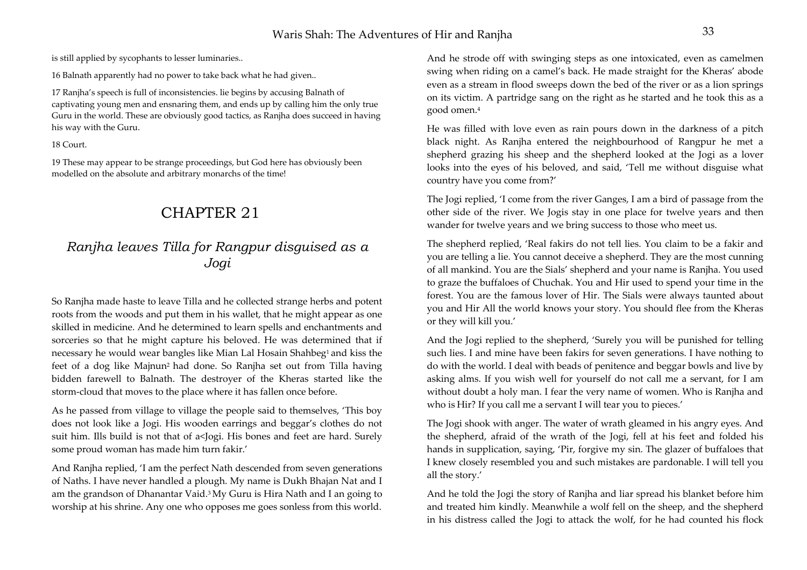is still applied by sycophants to lesser luminaries..

16 Balnath apparently had no power to take back what he had given..

17 Ranjha's speech is full of inconsistencies. lie begins by accusing Balnath of captivating young men and ensnaring them, and ends up by calling him the only true Guru in the world. These are obviously good tactics, as Ranjha does succeed in having his way with the Guru.

18 Court.

19 These may appear to be strange proceedings, but God here has obviously been modelled on the absolute and arbitrary monarchs of the time!

# CHAPTER 21

## *Ranjha leaves Tilla for Rangpur disguised as a Jogi*

So Ranjha made haste to leave Tilla and he collected strange herbs and potent roots from the woods and put them in his wallet, that he might appear as one skilled in medicine. And he determined to learn spells and enchantments and sorceries so that he might capture his beloved. He was determined that if necessary he would wear bangles like Mian Lal Hosain Shahbeg<sup>1</sup> and kiss the feet of a dog like Majnun2 had done. So Ranjha set out from Tilla having bidden farewell to Balnath. The destroyer of the Kheras started like the storm-cloud that moves to the place where it has fallen once before.

As he passed from village to village the people said to themselves, 'This boy does not look like a Jogi. His wooden earrings and beggar's clothes do not suit him. Ills build is not that of a<Jogi. His bones and feet are hard. Surely some proud woman has made him turn fakir.'

And Ranjha replied, 'I am the perfect Nath descended from seven generations of Naths. I have never handled a plough. My name is Dukh Bhajan Nat and I am the grandson of Dhanantar Vaid.3 My Guru is Hira Nath and I an going to worship at his shrine. Any one who opposes me goes sonless from this world.

And he strode off with swinging steps as one intoxicated, even as camelmen swing when riding on a camel's back. He made straight for the Kheras' abode even as a stream in flood sweeps down the bed of the river or as a lion springs on its victim. A partridge sang on the right as he started and he took this as a good omen.4

He was filled with love even as rain pours down in the darkness of a pitch black night. As Ranjha entered the neighbourhood of Rangpur he met a shepherd grazing his sheep and the shepherd looked at the Jogi as a lover looks into the eyes of his beloved, and said, 'Tell me without disguise what country have you come from?'

The Jogi replied, 'I come from the river Ganges, I am a bird of passage from the other side of the river. We Jogis stay in one place for twelve years and then wander for twelve years and we bring success to those who meet us.

The shepherd replied, 'Real fakirs do not tell lies. You claim to be a fakir and you are telling a lie. You cannot deceive a shepherd. They are the most cunning of all mankind. You are the Sials' shepherd and your name is Ranjha. You used to graze the buffaloes of Chuchak. You and Hir used to spend your time in the forest. You are the famous lover of Hir. The Sials were always taunted about you and Hir All the world knows your story. You should flee from the Kheras or they will kill you.'

And the Jogi replied to the shepherd, 'Surely you will be punished for telling such lies. I and mine have been fakirs for seven generations. I have nothing to do with the world. I deal with beads of penitence and beggar bowls and live by asking alms. If you wish well for yourself do not call me a servant, for I am without doubt a holy man. I fear the very name of women. Who is Ranjha and who is Hir? If you call me a servant I will tear you to pieces.'

The Jogi shook with anger. The water of wrath gleamed in his angry eyes. And the shepherd, afraid of the wrath of the Jogi, fell at his feet and folded his hands in supplication, saying, 'Pir, forgive my sin. The glazer of buffaloes that I knew closely resembled you and such mistakes are pardonable. I will tell you all the story.'

And he told the Jogi the story of Ranjha and liar spread his blanket before him and treated him kindly. Meanwhile a wolf fell on the sheep, and the shepherd in his distress called the Jogi to attack the wolf, for he had counted his flock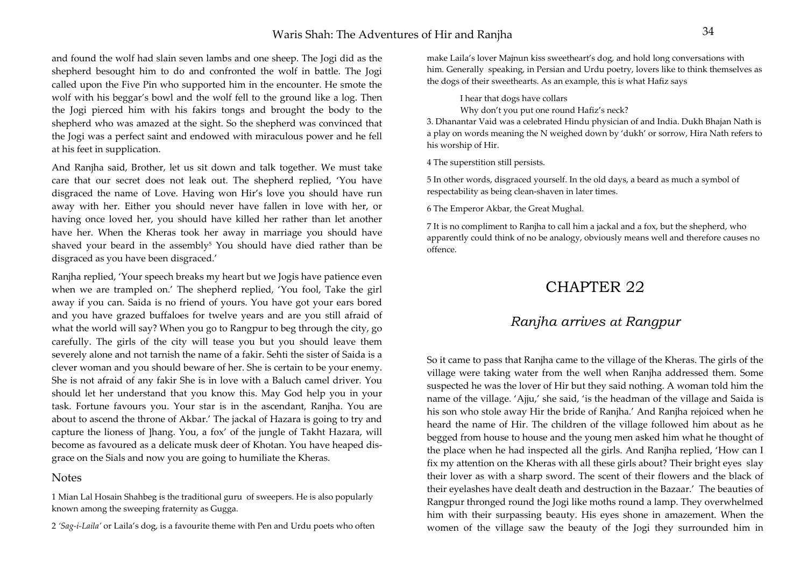### Waris Shah: The Adventures of Hir and Ranjha <sup>34</sup>

and found the wolf had slain seven lambs and one sheep. The Jogi did as the shepherd besought him to do and confronted the wolf in battle. The Jogi called upon the Five Pin who supported him in the encounter. He smote the wolf with his beggar's bowl and the wolf fell to the ground like a log. Then the Jogi pierced him with his fakirs tongs and brought the body to the shepherd who was amazed at the sight. So the shepherd was convinced that the Jogi was a perfect saint and endowed with miraculous power and he fell at his feet in supplication.

And Ranjha said, Brother, let us sit down and talk together. We must take care that our secret does not leak out. The shepherd replied, 'You have disgraced the name of Love. Having won Hir's love you should have run away with her. Either you should never have fallen in love with her, or having once loved her, you should have killed her rather than let another have her. When the Kheras took her away in marriage you should have shaved your beard in the assembly<sup>5</sup> You should have died rather than be disgraced as you have been disgraced.'

Ranjha replied, 'Your speech breaks my heart but we Jogis have patience even when we are trampled on.' The shepherd replied, 'You fool, Take the girl away if you can. Saida is no friend of yours. You have got your ears bored and you have grazed buffaloes for twelve years and are you still afraid of what the world will say? When you go to Rangpur to beg through the city, go carefully. The girls of the city will tease you but you should leave them severely alone and not tarnish the name of a fakir. Sehti the sister of Saida is a clever woman and you should beware of her. She is certain to be your enemy. She is not afraid of any fakir She is in love with a Baluch camel driver. You should let her understand that you know this. May God help you in your task. Fortune favours you. Your star is in the ascendant, Ranjha. You are about to ascend the throne of Akbar.' The jackal of Hazara is going to try and capture the lioness of ]hang. You, a fox' of the jungle of Takht Hazara, will become as favoured as a delicate musk deer of Khotan. You have heaped disgrace on the Sials and now you are going to humiliate the Kheras.

### **Notes**

1 Mian Lal Hosain Shahbeg is the traditional guru of sweepers. He is also popularly known among the sweeping fraternity as Gugga.

<sup>2</sup>*'Sag-i-Laila'* or Laila's dog, is a favourite theme with Pen and Urdu poets who often

make Laila's lover Majnun kiss sweetheart's dog, and hold long conversations with him*.* Generally speaking, in Persian and Urdu poetry, lovers like to think themselves as the dogs of their sweethearts. As an example, this i*s* what Hafiz says

I hear that dogs have collars

Why don't you put one round Hafiz's neck?

3. Dhanantar Vaid was a celebrated Hindu physician of and India. Dukh Bhajan Nath is a play on words meaning the N weighed down by 'dukh' or sorrow, Hira Nath refers to his worship of Hir.

4 The superstition still persists.

5 In other words, disgraced yourself. In the old days, a beard as much a symbol of respectability as being clean-shaven in later times.

6 The Emperor Akbar, the Great Mughal.

7 It is no compliment to Ranjha to call him a jackal and a fox, but the shepherd, who apparently could think of no be analogy, obviously means well and therefore causes no offence.

## CHAPTER 22

### *Ranjha arrives at Rangpur*

So it came to pass that Ranjha came to the village of the Kheras. The girls of the village were taking water from the well when Ranjha addressed them. Some suspected he was the lover of Hir but they said nothing. A woman told him the name of the village. 'Ajju,' she said, 'is the headman of the village and Saida is his son who stole away Hir the bride of Ranjha.' And Ranjha rejoiced when he heard the name of Hir. The children of the village followed him about as he begged from house to house and the young men asked him what he thought of the place when he had inspected all the girls. And Ranjha replied, 'How can I fix my attention on the Kheras with all these girls about? Their bright eyes slay their lover as with a sharp sword. The scent of their flowers and the black of their eyelashes have dealt death and destruction in the Bazaar.' The beauties of Rangpur thronged round the Jogi like moths round a lamp. They overwhelmed him with their surpassing beauty. His eyes shone in amazement. When the women of the village saw the beauty of the Jogi they surrounded him in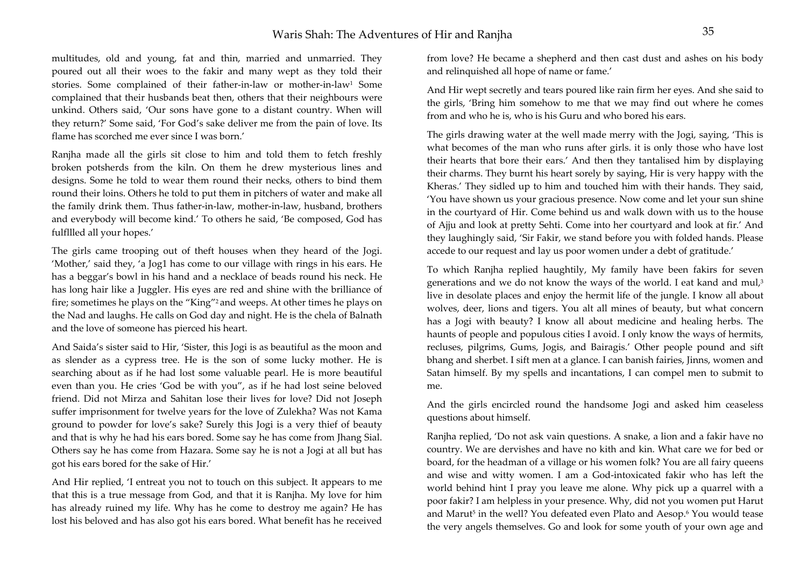multitudes, old and young, fat and thin, married and unmarried. They poured out all their woes to the fakir and many wept as they told their stories. Some complained of their father-in-law or mother-in-law1 Some complained that their husbands beat then, others that their neighbours were unkind. Others said, 'Our sons have gone to a distant country. When will they return?' Some said, 'For God's sake deliver me from the pain of love. Its flame has scorched me ever since I was born.'

Ranjha made all the girls sit close to him and told them to fetch freshly broken potsherds from the kiln. On them he drew mysterious lines and designs. Some he told to wear them round their necks, others to bind them round their loins. Others he told to put them in pitchers of water and make all the family drink them. Thus father-in-law, mother-in-law, husband, brothers and everybody will become kind.' To others he said, 'Be composed, God has fulfllled all your hopes.'

The girls came trooping out of theft houses when they heard of the Jogi. 'Mother,' said they, 'a Jog1 has come to our village with rings in his ears. He has a beggar's bowl in his hand and a necklace of beads round his neck. He has long hair like a Juggler. His eyes are red and shine with the brilliance of fire; sometimes he plays on the "King"2 and weeps. At other times he plays on the Nad and laughs. He calls on God day and night. He is the chela of Balnath and the love of someone has pierced his heart.

And Saida's sister said to Hir, 'Sister, this Jogi is as beautiful as the moon and as slender as a cypress tree. He is the son of some lucky mother. He is searching about as if he had lost some valuable pearl. He is more beautiful even than you. He cries 'God be with you", as if he had lost seine beloved friend. Did not Mirza and Sahitan lose their lives for love? Did not Joseph suffer imprisonment for twelve years for the love of Zulekha? Was not Kama ground to powder for love's sake? Surely this Jogi is a very thief of beauty and that is why he had his ears bored. Some say he has come from Jhang Sial. Others say he has come from Hazara. Some say he is not a Jogi at all but has got his ears bored for the sake of Hir.'

And Hir replied, 'I entreat you not to touch on this subject. It appears to me that this is a true message from God, and that it is Ranjha. My love for him has already ruined my life. Why has he come to destroy me again? He has lost his beloved and has also got his ears bored. What benefit has he received

from love? He became a shepherd and then cast dust and ashes on his body and relinquished all hope of name or fame.'

And Hir wept secretly and tears poured like rain firm her eyes. And she said to the girls, 'Bring him somehow to me that we may find out where he comes from and who he is, who is his Guru and who bored his ears.

The girls drawing water at the well made merry with the Jogi, saying, 'This is what becomes of the man who runs after girls. it is only those who have lost their hearts that bore their ears.' And then they tantalised him by displaying their charms. They burnt his heart sorely by saying, Hir is very happy with the Kheras.' They sidled up to him and touched him with their hands. They said, 'You have shown us your gracious presence. Now come and let your sun shine in the courtyard of Hir. Come behind us and walk down with us to the house of Ajju and look at pretty Sehti. Come into her courtyard and look at fir.' And they laughingly said, 'Sir Fakir, we stand before you with folded hands. Please accede to our request and lay us poor women under a debt of gratitude.'

To which Ranjha replied haughtily, My family have been fakirs for seven generations and we do not know the ways of the world. I eat kand and mul,<sup>3</sup> live in desolate places and enjoy the hermit life of the jungle. I know all about wolves, deer, lions and tigers. You alt all mines of beauty, but what concern has a Jogi with beauty? I know all about medicine and healing herbs. The haunts of people and populous cities I avoid. I only know the ways of hermits, recluses, pilgrims, Gums, Jogis, and Bairagis.' Other people pound and sift bhang and sherbet. I sift men at a glance. I can banish fairies, Jinns, women and Satan himself. By my spells and incantations, I can compel men to submit to me.

And the girls encircled round the handsome Jogi and asked him ceaseless questions about himself.

Ranjha replied, 'Do not ask vain questions. A snake, a lion and a fakir have no country. We are dervishes and have no kith and kin. What care we for bed or board, for the headman of a village or his women folk? You are all fairy queens and wise and witty women. I am a God-intoxicated fakir who has left the world behind hint I pray you leave me alone. Why pick up a quarrel with a poor fakir? I am helpless in your presence. Why, did not you women put Harut and Marut<sup>5</sup> in the well? You defeated even Plato and Aesop.<sup>6</sup> You would tease the very angels themselves. Go and look for some youth of your own age and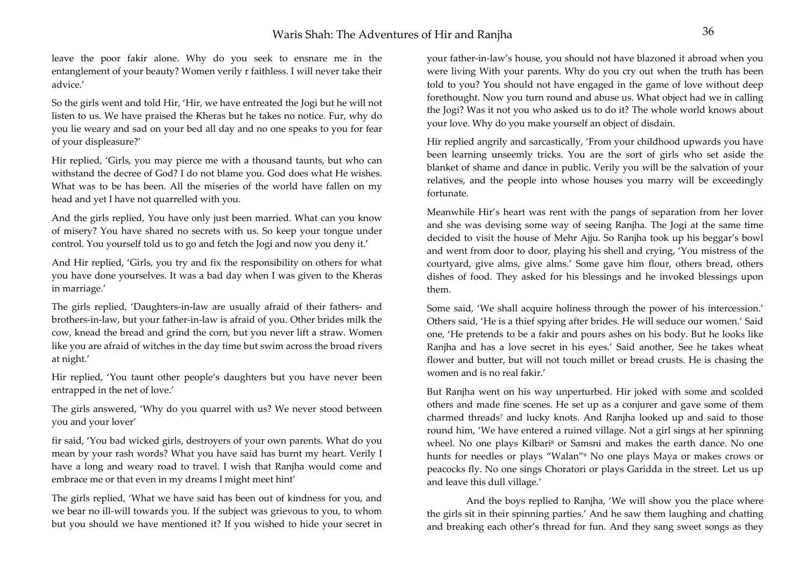leave the poor fakir alone. Why do you seek to ensnare me in the entanglement of your beauty? Women verily r faithless. I will never take their advice.'

So the girls went and told Hir, 'Hir, we have entreated the Jogi but he will not listen to us. We have praised the Kheras but he takes no notice. Fur, why do you lie weary and sad on your bed all day and no one speaks to you for fear of your displeasure?'

Hir replied, 'Girls, you may pierce me with a thousand taunts, but who can withstand the decree of God? I do not blame you. God does what He wishes. What was to be has been. All the miseries of the world have fallen on my head and yet I have not quarrelled with you.

And the girls replied, You have only just been married. What can you know of misery? You have shared no secrets with us. So keep your tongue under control. You yourself told us to go and fetch the Jogi and now you deny it.'

And Hir replied, 'Girls, you try and fix the responsibility on others for what you have done yourselves. It was a bad day when I was given to the Kheras in marriage.'

The girls replied, 'Daughters-in-law are usually afraid of their fathers- and brothers-in-law, but your father-in-law is afraid of you. Other brides milk the cow, knead the bread and grind the corn, but you never lift a straw. Women like you are afraid of witches in the day time but swim across the broad rivers at night.'

Hir replied, 'You taunt other people's daughters but you have never been entrapped in the net of love.'

The girls answered, 'Why do you quarrel with us? We never stood between you and your lover'

fir said, 'You bad wicked girls, destroyers of your own parents. What do you mean by your rash words? What you have said has burnt my heart. Verily I have a long and weary road to travel. I wish that Ranjha would come and embrace me or that even in my dreams I might meet hint'

The girls replied, 'What we have said has been out of kindness for you, and we bear no ill-will towards you. If the subject was grievous to you, to whom but you should we have mentioned it? If you wished to hide your secret in your father-in-law's house, you should not have blazoned it abroad when you were living With your parents. Why do you cry out when the truth has been told to you? You should not have engaged in the game of love without deep forethought. Now you turn round and abuse us. What object had we in calling the Jogi? Was it not you who asked us to do it? The whole world knows about your love. Why do you make yourself an object of disdain.

Hir replied angrily and sarcastically, 'From your childhood upwards you have been learning unseemly tricks. You are the sort of girls who set aside the blanket of shame and dance in public. Verily you will be the salvation of your relatives, and the people into whose houses you marry will be exceedingly fortunate.

Meanwhile Hir's heart was rent with the pangs of separation from her lover and she was devising some way of seeing Ranjha. The Jogi at the same time decided to visit the house of Mehr Ajju. So Ranjha took up his beggar's bowl and went from door to door, playing his shell and crying, 'You mistress of the courtyard, give alms, give alms.' Some gave him flour, others bread, others dishes of food. They asked for his blessings and he invoked blessings upon them.

Some said, 'We shall acquire holiness through the power of his intercession.' Others said, 'He is a thief spying after brides. He will seduce our women.' Said one, 'He pretends to be a fakir and pours ashes on his body. But he looks like Ranjha and has a love secret in his eyes.' Said another, See he takes wheat flower and butter, but will not touch millet or bread crusts. He is chasing the women and is no real fakir.'

But Ranjha went on his way unperturbed. Hir joked with some and scolded others and made fine scenes. He set up as a conjurer and gave some of them charmed threads<sup>7</sup> and lucky knots. And Ranjha looked up and said to those round him, 'We have entered a ruined village. Not a girl sings at her spinning wheel. No one plays Kilbari<sup>8</sup> or Samsni and makes the earth dance. No one hunts for needles or plays "Walan"9 No one plays Maya or makes crows or peacocks fly. No one sings Choratori or plays Garidda in the street. Let us up and leave this dull village.'

 And the boys replied to Ranjha, 'We will show you the place where the girls sit in their spinning parties.' And he saw them laughing and chatting and breaking each other's thread for fun. And they sang sweet songs as they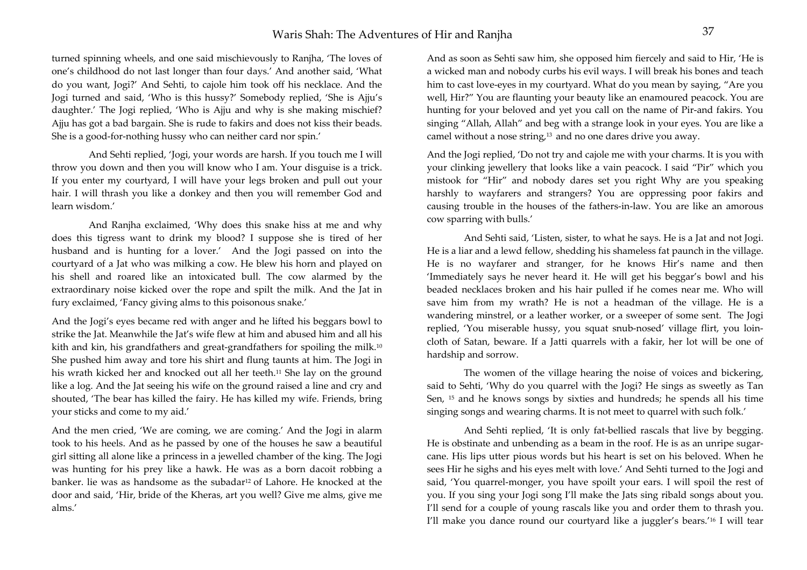turned spinning wheels, and one said mischievously to Ranjha, 'The loves of one's childhood do not last longer than four days.' And another said, 'What do you want, Jogi?' And Sehti, to cajole him took off his necklace. And the Jogi turned and said, 'Who is this hussy?' Somebody replied, 'She is Ajju's daughter.' The Jogi replied, 'Who is Ajju and why is she making mischief? Ajju has got a bad bargain. She is rude to fakirs and does not kiss their beads. She is a good-for-nothing hussy who can neither card nor spin.'

 And Sehti replied, 'Jogi, your words are harsh. If you touch me I will throw you down and then you will know who I am. Your disguise is a trick. If you enter my courtyard, I will have your legs broken and pull out your hair. I will thrash you like a donkey and then you will remember God and learn wisdom.'

 And Ranjha exclaimed, 'Why does this snake hiss at me and why does this tigress want to drink my blood? I suppose she is tired of her husband and is hunting for a lover.' And the Jogi passed on into the courtyard of a Jat who was milking a cow. He blew his horn and played on his shell and roared like an intoxicated bull. The cow alarmed by the extraordinary noise kicked over the rope and spilt the milk. And the Jat in fury exclaimed, 'Fancy giving alms to this poisonous snake.'

And the Jogi's eyes became red with anger and he lifted his beggars bowl to strike the Jat. Meanwhile the Jat's wife flew at him and abused him and all his kith and kin, his grandfathers and great-grandfathers for spoiling the milk.<sup>10</sup> She pushed him away and tore his shirt and flung taunts at him. The Jogi in his wrath kicked her and knocked out all her teeth.<sup>11</sup> She lay on the ground like a log. And the Jat seeing his wife on the ground raised a line and cry and shouted, 'The bear has killed the fairy. He has killed my wife. Friends, bring your sticks and come to my aid.'

And the men cried, 'We are coming, we are coming.' And the Jogi in alarm took to his heels. And as he passed by one of the houses he saw a beautiful girl sitting all alone like a princess in a jewelled chamber of the king. The Jogi was hunting for his prey like a hawk. He was as a born dacoit robbing a banker. lie was as handsome as the subadar12 of Lahore. He knocked at the door and said, 'Hir, bride of the Kheras, art you well? Give me alms, give me alms.'

And as soon as Sehti saw him, she opposed him fiercely and said to Hir, 'He is a wicked man and nobody curbs his evil ways. I will break his bones and teach him to cast love-eyes in my courtyard. What do you mean by saying, "Are you well, Hir?" You are flaunting your beauty like an enamoured peacock. You are hunting for your beloved and yet you call on the name of Pir-and fakirs. You singing "Allah, Allah" and beg with a strange look in your eyes. You are like a camel without a nose string,13 and no one dares drive you away.

And the Jogi replied, 'Do not try and cajole me with your charms. It is you with your clinking jewellery that looks like a vain peacock. I said "Pir" which you mistook for "Hir" and nobody dares set you right Why are you speaking harshly to wayfarers and strangers? You are oppressing poor fakirs and causing trouble in the houses of the fathers-in-law. You are like an amorous cow sparring with bulls.'

 And Sehti said, 'Listen, sister, to what he says. He is a Jat and not Jogi. He is a liar and a lewd fellow, shedding his shameless fat paunch in the village. He is no wayfarer and stranger, for he knows Hir's name and then 'Immediately says he never heard it. He will get his beggar's bowl and his beaded necklaces broken and his hair pulled if he comes near me. Who will save him from my wrath? He is not a headman of the village. He is a wandering minstrel, or a leather worker, or a sweeper of some sent. The Jogi replied, 'You miserable hussy, you squat snub-nosed' village flirt, you loincloth of Satan, beware. If a Jatti quarrels with a fakir, her lot will be one of hardship and sorrow.

 The women of the village hearing the noise of voices and bickering, said to Sehti, 'Why do you quarrel with the Jogi? He sings as sweetly as Tan Sen, 15 and he knows songs by sixties and hundreds; he spends all his time singing songs and wearing charms. It is not meet to quarrel with such folk.'

 And Sehti replied, 'It is only fat-bellied rascals that live by begging. He is obstinate and unbending as a beam in the roof. He is as an unripe sugarcane. His lips utter pious words but his heart is set on his beloved. When he sees Hir he sighs and his eyes melt with love.' And Sehti turned to the Jogi and said, 'You quarrel-monger, you have spoilt your ears. I will spoil the rest of you. If you sing your Jogi song I'll make the Jats sing ribald songs about you. I'll send for a couple of young rascals like you and order them to thrash you. I'll make you dance round our courtyard like a juggler's bears.'16 I will tear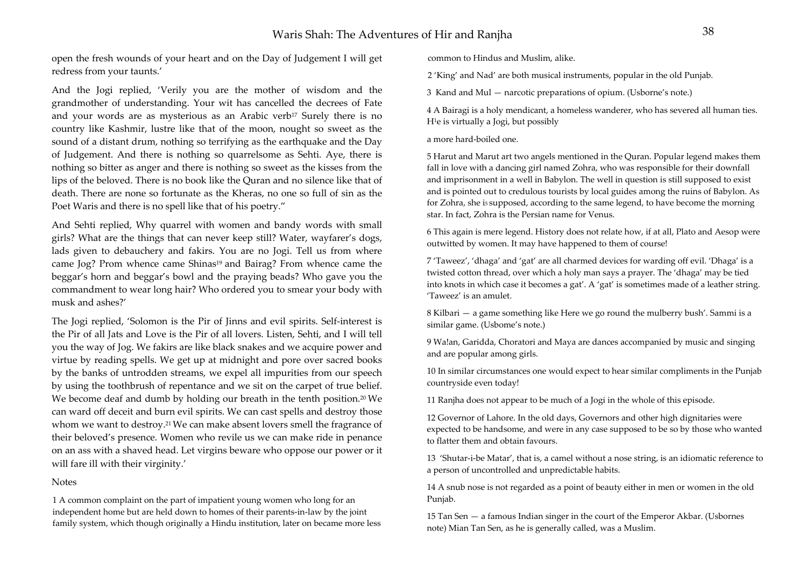open the fresh wounds of your heart and on the Day of Judgement I will get redress from your taunts.'

And the Jogi replied, 'Verily you are the mother of wisdom and the grandmother of understanding. Your wit has cancelled the decrees of Fate and your words are as mysterious as an Arabic verb<sup>17</sup> Surely there is no country like Kashmir, lustre like that of the moon, nought so sweet as the sound of a distant drum, nothing so terrifying as the earthquake and the Day of Judgement. And there is nothing so quarrelsome as Sehti. Aye, there is nothing so bitter as anger and there is nothing so sweet as the kisses from the lips of the beloved. There is no book like the Quran and no silence like that of death. There are none so fortunate as the Kheras, no one so full of sin as the Poet Waris and there is no spell like that of his poetry."

And Sehti replied, Why quarrel with women and bandy words with small girls? What are the things that can never keep still? Water, wayfarer's dogs, lads given to debauchery and fakirs. You are no Jogi. Tell us from where came Jog? Prom whence came Shinas<sup>19</sup> and Bairag? From whence came the beggar's horn and beggar's bowl and the praying beads? Who gave you the commandment to wear long hair? Who ordered you to smear your body with musk and ashes?'

The Jogi replied, 'Solomon is the Pir of Jinns and evil spirits. Self-interest is the Pir of all Jats and Love is the Pir of all lovers. Listen, Sehti, and I will tell you the way of Jog. We fakirs are like black snakes and we acquire power and virtue by reading spells. We get up at midnight and pore over sacred books by the banks of untrodden streams, we expel all impurities from our speech by using the toothbrush of repentance and we sit on the carpet of true belief. We become deaf and dumb by holding our breath in the tenth position.20 We can ward off deceit and burn evil spirits. We can cast spells and destroy those whom we want to destroy.<sup>21</sup> We can make absent lovers smell the fragrance of their beloved's presence. Women who revile us we can make ride in penance on an ass with a shaved head. Let virgins beware who oppose our power or it will fare ill with their virginity.'

#### Notes

1 A common complaint on the part of impatient young women who long for an independent home but are held down to homes of their parents-in-law by the joint family system, which though originally a Hindu institution, later on became more less common to Hindus and Muslim, alike.

2 'King' and Nad' are both musical instruments, popular in the old Punjab.

3 Kand and Mul — narcotic preparations of opium. (Usborne's note.)

4 A Bairagi is a holy mendicant, a homeless wanderer, who has severed all human ties. H1e is virtually a Jogi, but possibly

a more hard-boiled one.

5 Harut and Marut art two angels mentioned in the Quran. Popular legend makes them fall in love with a dancing girl named Zohra, who was responsible for their downfall and imprisonment in a well in Babylon. The well in question is still supposed to exist and is pointed out to credulous tourists by local guides among the ruins of Babylon. As for Zohra, she is supposed, according to the same legend, to have become the morning star. In fact, Zohra is the Persian name for Venus.

6 This again is mere legend. History does not relate how, if at all, Plato and Aesop were outwitted by women. It may have happened to them of course!

7 'Taweez', 'dhaga' and 'gat' are all charmed devices for warding off evil. 'Dhaga' is a twisted cotton thread, over which a holy man says a prayer. The 'dhaga' may be tied into knots in which case it becomes a gat'. A 'gat' is sometimes made of a leather string. 'Taweez' is an amulet.

8 Kilbari — a game something like Here we go round the mulberry bush'. Sammi is a similar game. (Usbome's note.)

9 Wa!an, Garidda, Choratori and Maya are dances accompanied by music and singing and are popular among girls.

10 In similar circumstances one would expect to hear similar compliments in the Punjab countryside even today!

11 Ranjha does not appear to be much of a Jogi in the whole of this episode.

12 Governor of Lahore. In the old days, Governors and other high dignitaries were expected to be handsome, and were in any case supposed to be so by those who wanted to flatter them and obtain favours.

13 'Shutar-i-be Matar', that is, a camel without a nose string, is an idiomatic reference to a person of uncontrolled and unpredictable habits.

14 A snub nose is not regarded as a point of beauty either in men or women in the old Punjab.

15 Tan Sen — a famous Indian singer in the court of the Emperor Akbar. (Usbornes note) Mian Tan Sen, as he is generally called, was a Muslim.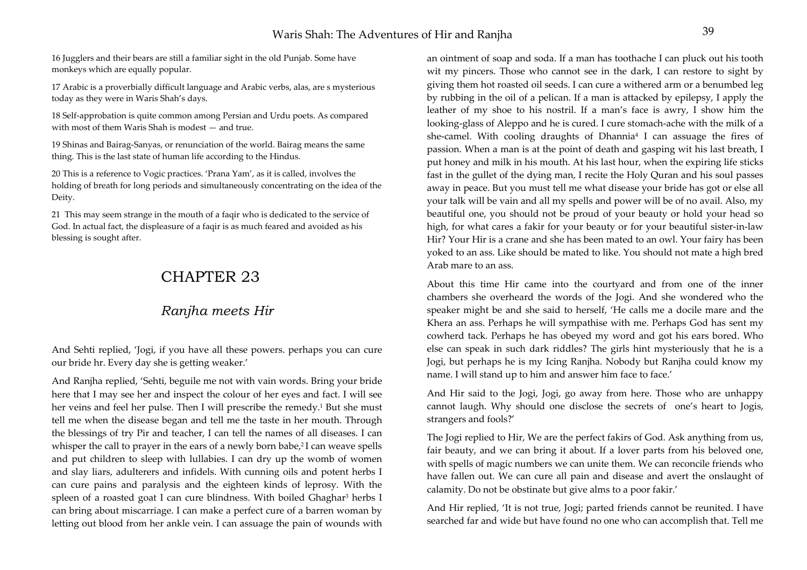16 Jugglers and their bears are still a familiar sight in the old Punjab. Some have monkeys which are equally popular.

17 Arabic is a proverbially difficult language and Arabic verbs, alas, are s mysterious today as they were in Waris Shah's days.

18 Self-approbation is quite common among Persian and Urdu poets. As compared with most of them Waris Shah is modest — and true.

19 Shinas and Bairag-Sanyas, or renunciation of the world. Bairag means the same thing. This is the last state of human life according to the Hindus.

20 This is a reference to Vogic practices. 'Prana Yam', as it is called, involves the holding of breath for long periods and simultaneously concentrating on the idea of the Deity.

21 This may seem strange in the mouth of a faqir who is dedicated to the service of God. In actual fact, the displeasure of a faqir is as much feared and avoided as his blessing is sought after.

# CHAPTER 23

## *Ranjha meets Hir*

And Sehti replied, 'Jogi, if you have all these powers. perhaps you can cure our bride hr. Every day she is getting weaker.'

And Ranjha replied, 'Sehti, beguile me not with vain words. Bring your bride here that I may see her and inspect the colour of her eyes and fact. I will see her veins and feel her pulse. Then I will prescribe the remedy.<sup>1</sup> But she must tell me when the disease began and tell me the taste in her mouth. Through the blessings of try Pir and teacher, I can tell the names of all diseases. I can whisper the call to prayer in the ears of a newly born babe,<sup>2</sup>I can weave spells and put children to sleep with lullabies. I can dry up the womb of women and slay liars, adulterers and infidels. With cunning oils and potent herbs I can cure pains and paralysis and the eighteen kinds of leprosy. With the spleen of a roasted goat I can cure blindness. With boiled Ghaghar<sup>3</sup> herbs I can bring about miscarriage. I can make a perfect cure of a barren woman by letting out blood from her ankle vein. I can assuage the pain of wounds with

an ointment of soap and soda. If a man has toothache I can pluck out his tooth wit my pincers. Those who cannot see in the dark, I can restore to sight by giving them hot roasted oil seeds. I can cure a withered arm or a benumbed leg by rubbing in the oil of a pelican. If a man is attacked by epilepsy, I apply the leather of my shoe to his nostril. If a man's face is awry, I show him the looking-glass of Aleppo and he is cured. I cure stomach-ache with the milk of a she-camel. With cooling draughts of Dhannia<sup>4</sup> I can assuage the fires of passion. When a man is at the point of death and gasping wit his last breath, I put honey and milk in his mouth. At his last hour, when the expiring life sticks fast in the gullet of the dying man, I recite the Holy Quran and his soul passes away in peace. But you must tell me what disease your bride has got or else all your talk will be vain and all my spells and power will be of no avail. Also, my beautiful one, you should not be proud of your beauty or hold your head so high, for what cares a fakir for your beauty or for your beautiful sister-in-law Hir? Your Hir is a crane and she has been mated to an owl. Your fairy has been yoked to an ass. Like should be mated to like. You should not mate a high bred Arab mare to an ass.

About this time Hir came into the courtyard and from one of the inner chambers she overheard the words of the Jogi. And she wondered who the speaker might be and she said to herself, 'He calls me a docile mare and the Khera an ass. Perhaps he will sympathise with me. Perhaps God has sent my cowherd tack. Perhaps he has obeyed my word and got his ears bored. Who else can speak in such dark riddles? The girls hint mysteriously that he is a Jogi, but perhaps he is my Icing Ranjha. Nobody but Ranjha could know my name. I will stand up to him and answer him face to face.'

And Hir said to the Jogi, Jogi, go away from here. Those who are unhappy cannot laugh. Why should one disclose the secrets of one's heart to Jogis, strangers and fools?'

The Jogi replied to Hir, We are the perfect fakirs of God. Ask anything from us, fair beauty, and we can bring it about. If a lover parts from his beloved one, with spells of magic numbers we can unite them. We can reconcile friends who have fallen out. We can cure all pain and disease and avert the onslaught of calamity. Do not be obstinate but give alms to a poor fakir.'

And Hir replied, 'It is not true, Jogi; parted friends cannot be reunited. I have searched far and wide but have found no one who can accomplish that. Tell me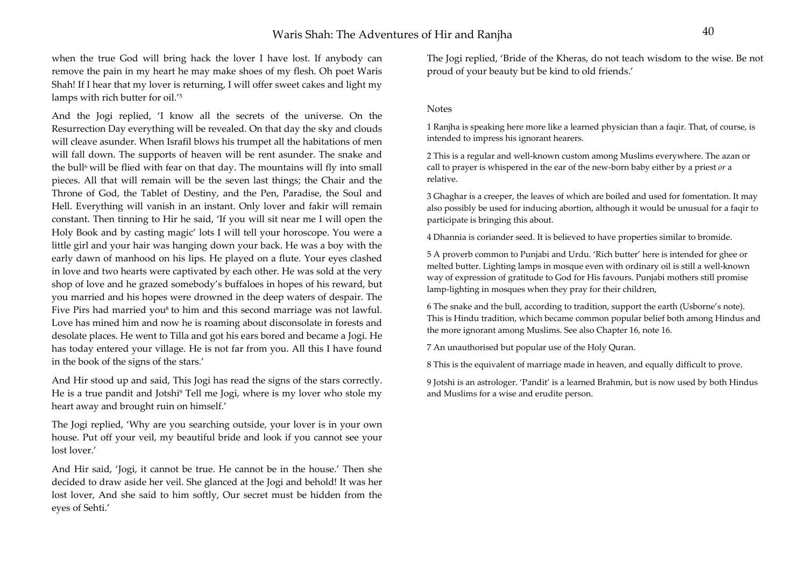when the true God will bring hack the lover I have lost. If anybody can remove the pain in my heart he may make shoes of my flesh. Oh poet Waris Shah! If I hear that my lover is returning, I will offer sweet cakes and light my lamps with rich butter for oil.'5

And the Jogi replied, 'I know all the secrets of the universe. On the Resurrection Day everything will be revealed. On that day the sky and clouds will cleave asunder. When Israfil blows his trumpet all the habitations of men will fall down. The supports of heaven will be rent asunder. The snake and the bull<sup>6</sup> will be flied with fear on that day. The mountains will fly into small pieces. All that will remain will be the seven last things; the Chair and the Throne of God, the Tablet of Destiny, and the Pen, Paradise, the Soul and Hell. Everything will vanish in an instant. Only lover and fakir will remain constant. Then tinning to Hir he said, 'If you will sit near me I will open the Holy Book and by casting magic' lots I will tell your horoscope. You were a little girl and your hair was hanging down your back. He was a boy with the early dawn of manhood on his lips. He played on a flute. Your eyes clashed in love and two hearts were captivated by each other. He was sold at the very shop of love and he grazed somebody's buffaloes in hopes of his reward, but you married and his hopes were drowned in the deep waters of despair. The Five Pirs had married you<sup>8</sup> to him and this second marriage was not lawful. Love has mined him and now he is roaming about disconsolate in forests and desolate places. He went to Tilla and got his ears bored and became a Jogi. He has today entered your village. He is not far from you. All this I have found in the book of the signs of the stars.'

And Hir stood up and said, This Jogi has read the signs of the stars correctly. He is a true pandit and Jotshi9 Tell me Jogi, where is my lover who stole my heart away and brought ruin on himself.'

The Jogi replied, 'Why are you searching outside, your lover is in your own house. Put off your veil, my beautiful bride and look if you cannot see your lost lover.'

And Hir said, 'Jogi, it cannot be true. He cannot be in the house.' Then she decided to draw aside her veil. She glanced at the Jogi and behold! It was her lost lover, And she said to him softly, Our secret must be hidden from the eyes of Sehti.'

The Jogi replied, 'Bride of the Kheras, do not teach wisdom to the wise. Be not proud of your beauty but be kind to old friends.'

#### Notes

1 Ranjha is speaking here more like a learned physician than a faqir. That, of course, is intended to impress his ignorant hearers.

2 This is a regular and well-known custom among Muslims everywhere. The azan or call to prayer is whispered in the ear of the new-born baby either by a priest *or* <sup>a</sup> relative.

3 Ghaghar is a creeper, the leaves of which are boiled and used for fomentation. It may also possibly be used for inducing abortion, although it would be unusual for a faqir to participate is bringing this about.

4 Dhannia is coriander seed. It is believed to have properties similar to bromide.

5 A proverb common to Punjabi and Urdu. 'Rich butter' here is intended for ghee or melted butter. Lighting lamps in mosque even with ordinary oil is still a well-known way of expression of gratitude to God for His favours. Punjabi mothers still promise lamp-lighting in mosques when they pray for their children,

6 The snake and the bull, according to tradition, support the earth (Usborne's note). This is Hindu tradition, which became common popular belief both among Hindus and the more ignorant among Muslims. See also Chapter 16, note 16.

7 An unauthorised but popular use of the Holy Quran.

8 This is the equivalent of marriage made in heaven, and equally difficult to prove.

9 Jotshi is an astrologer. 'Pandit' is a learned Brahmin, but is now used by both Hindus and Muslims for a wise and erudite person.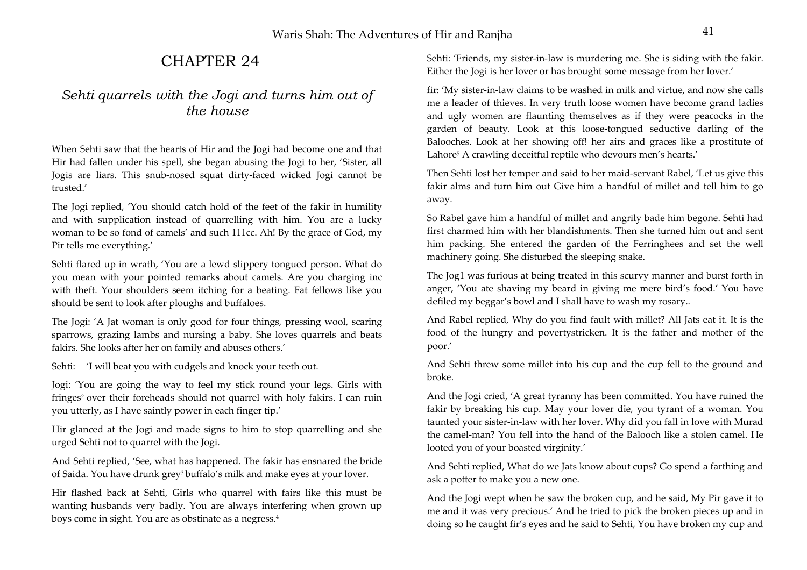# CHAPTER 24

## *Sehti quarrels with the Jogi and turns him out of the house*

When Sehti saw that the hearts of Hir and the Jogi had become one and that Hir had fallen under his spell, she began abusing the Jogi to her, 'Sister, all Jogis are liars. This snub-nosed squat dirty-faced wicked Jogi cannot be trusted.'

The Jogi replied, 'You should catch hold of the feet of the fakir in humility and with supplication instead of quarrelling with him. You are a lucky woman to be so fond of camels' and such 111cc. Ah! By the grace of God, my Pir tells me everything.'

Sehti flared up in wrath, 'You are a lewd slippery tongued person. What do you mean with your pointed remarks about camels. Are you charging inc with theft. Your shoulders seem itching for a beating. Fat fellows like you should be sent to look after ploughs and buffaloes.

The Jogi: 'A Jat woman is only good for four things, pressing wool, scaring sparrows, grazing lambs and nursing a baby. She loves quarrels and beats fakirs. She looks after her on family and abuses others.'

Sehti: 'I will beat you with cudgels and knock your teeth out.

Jogi: 'You are going the way to feel my stick round your legs. Girls with fringes<sup>2</sup> over their foreheads should not quarrel with holy fakirs. I can ruin you utterly, as I have saintly power in each finger tip.'

Hir glanced at the Jogi and made signs to him to stop quarrelling and she urged Sehti not to quarrel with the Jogi.

And Sehti replied, 'See, what has happened. The fakir has ensnared the bride of Saida. You have drunk grey<sup>3</sup> buffalo's milk and make eyes at your lover.

Hir flashed back at Sehti, Girls who quarrel with fairs like this must be wanting husbands very badly. You are always interfering when grown up boys come in sight. You are as obstinate as a negress.4

Sehti: 'Friends, my sister-in-law is murdering me. She is siding with the fakir. Either the Jogi is her lover or has brought some message from her lover.'

fir: 'My sister-in-law claims to be washed in milk and virtue, and now she calls me a leader of thieves. In very truth loose women have become grand ladies and ugly women are flaunting themselves as if they were peacocks in the garden of beauty. Look at this loose-tongued seductive darling of the Balooches. Look at her showing off! her airs and graces like a prostitute of Lahore5 A crawling deceitful reptile who devours men's hearts.'

Then Sehti lost her temper and said to her maid-servant Rabel, 'Let us give this fakir alms and turn him out Give him a handful of millet and tell him to go away.

So Rabel gave him a handful of millet and angrily bade him begone. Sehti had first charmed him with her blandishments. Then she turned him out and sent him packing. She entered the garden of the Ferringhees and set the well machinery going. She disturbed the sleeping snake.

The Jog1 was furious at being treated in this scurvy manner and burst forth in anger, 'You ate shaving my beard in giving me mere bird's food.' You have defiled my beggar's bowl and I shall have to wash my rosary..

And Rabel replied, Why do you find fault with millet? All Jats eat it. It is the food of the hungry and povertystricken. It is the father and mother of the poor.'

And Sehti threw some millet into his cup and the cup fell to the ground and broke.

And the Jogi cried, 'A great tyranny has been committed. You have ruined the fakir by breaking his cup. May your lover die, you tyrant of a woman. You taunted your sister-in-law with her lover. Why did you fall in love with Murad the camel-man? You fell into the hand of the Balooch like a stolen camel. He looted you of your boasted virginity.'

And Sehti replied, What do we Jats know about cups? Go spend a farthing and ask a potter to make you a new one.

And the Jogi wept when he saw the broken cup, and he said, My Pir gave it to me and it was very precious.' And he tried to pick the broken pieces up and in doing so he caught fir's eyes and he said to Sehti, You have broken my cup and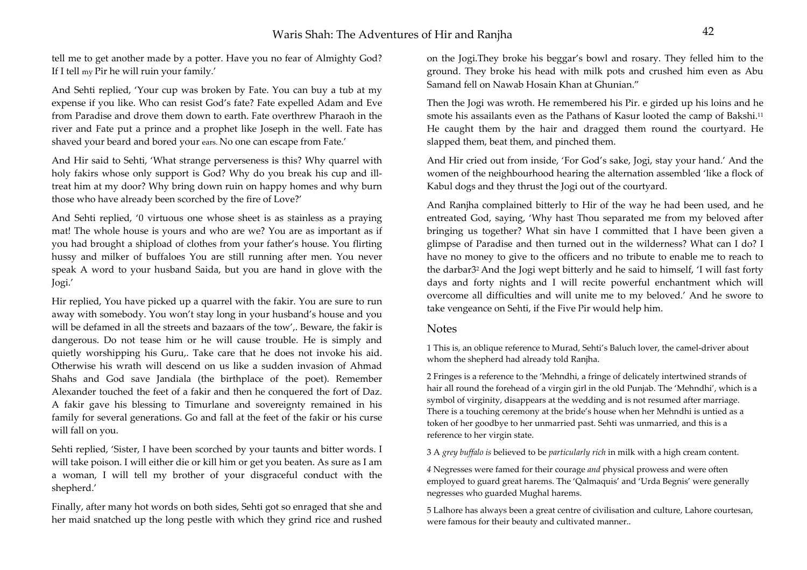tell me to get another made by a potter. Have you no fear of Almighty God? If I tell my Pir he will ruin your family.'

And Sehti replied, 'Your cup was broken by Fate. You can buy a tub at my expense if you like. Who can resist God's fate? Fate expelled Adam and Eve from Paradise and drove them down to earth. Fate overthrew Pharaoh in the river and Fate put a prince and a prophet like Joseph in the well. Fate has shaved your beard and bored your ears. No one can escape from Fate.'

And Hir said to Sehti, 'What strange perverseness is this? Why quarrel with holy fakirs whose only support is God? Why do you break his cup and illtreat him at my door? Why bring down ruin on happy homes and why burn those who have already been scorched by the fire of Love?'

And Sehti replied, '0 virtuous one whose sheet is as stainless as a praying mat! The whole house is yours and who are we? You are as important as if you had brought a shipload of clothes from your father's house. You flirting hussy and milker of buffaloes You are still running after men. You never speak A word to your husband Saida, but you are hand in glove with the Jogi.'

Hir replied, You have picked up a quarrel with the fakir. You are sure to run away with somebody. You won't stay long in your husband's house and you will be defamed in all the streets and bazaars of the tow'. Beware, the fakir is dangerous. Do not tease him or he will cause trouble. He is simply and quietly worshipping his Guru,. Take care that he does not invoke his aid. Otherwise his wrath will descend on us like a sudden invasion of Ahmad Shahs and God save Jandiala (the birthplace of the poet). Remember Alexander touched the feet of a fakir and then he conquered the fort of Daz. A fakir gave his blessing to Timurlane and sovereignty remained in his family for several generations. Go and fall at the feet of the fakir or his curse will fall on you.

Sehti replied, 'Sister, I have been scorched by your taunts and bitter words. I will take poison. I will either die or kill him or get you beaten. As sure as I am a woman, I will tell my brother of your disgraceful conduct with the shepherd.'

Finally, after many hot words on both sides, Sehti got so enraged that she and her maid snatched up the long pestle with which they grind rice and rushed

on the Jogi.They broke his beggar's bowl and rosary. They felled him to the ground. They broke his head with milk pots and crushed him even as Abu Samand fell on Nawab Hosain Khan at Ghunian."

Then the Jogi was wroth. He remembered his Pir. e girded up his loins and he smote his assailants even as the Pathans of Kasur looted the camp of Bakshi.11 He caught them by the hair and dragged them round the courtyard. He slapped them, beat them, and pinched them.

And Hir cried out from inside, 'For God's sake, Jogi, stay your hand.' And the women of the neighbourhood hearing the alternation assembled 'like a flock of Kabul dogs and they thrust the Jogi out of the courtyard.

And Ranjha complained bitterly to Hir of the way he had been used, and he entreated God, saying, 'Why hast Thou separated me from my beloved after bringing us together? What sin have I committed that I have been given a glimpse of Paradise and then turned out in the wilderness? What can I do? I have no money to give to the officers and no tribute to enable me to reach to the darbar32 And the Jogi wept bitterly and he said to himself, 'I will fast forty days and forty nights and I will recite powerful enchantment which will overcome all difficulties and will unite me to my beloved.' And he swore to take vengeance on Sehti, if the Five Pir would help him.

### Notes

1 This is, an oblique reference to Murad, Sehti's Baluch lover, the camel-driver about whom the shepherd had already told Ranjha.

2 Fringes is a reference to the 'Mehndhi, a fringe of delicately intertwined strands of hair all round the forehead of a virgin girl in the old Punjab. The 'Mehndhi', which is a symbol of virginity, disappears at the wedding and is not resumed after marriage. There is a touching ceremony at the bride's house when her Mehndhi is untied as a token of her goodbye to her unmarried past. Sehti was unmarried, and this is a reference to her virgin state.

3 A *grey buffalo is* believed to be *particularly rich* in milk with a high cream content.

*<sup>4</sup>*Negresses were famed for their courage *and* physical prowess and were often employed to guard great harems. The 'Qalmaquis' and 'Urda Begnis' were generally negresses who guarded Mughal harems.

5 Lalhore has always been a great centre of civilisation and culture, Lahore courtesan, were famous for their beauty and cultivated manner..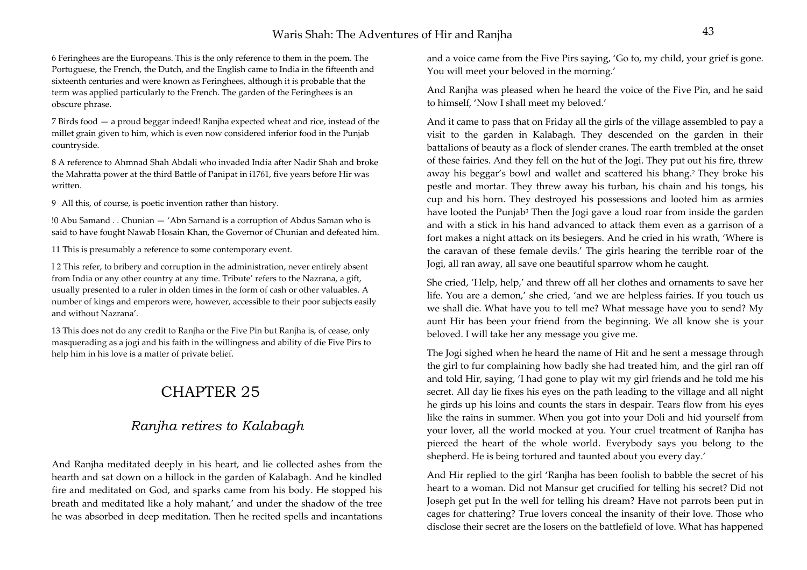6 Feringhees are the Europeans. This is the only reference to them in the poem. The Portuguese, the French, the Dutch, and the English came to India in the fifteenth and sixteenth centuries and were known as Feringhees, although it is probable that the term was applied particularly to the French. The garden of the Feringhees is an obscure phrase.

7 Birds food — a proud beggar indeed! Ranjha expected wheat and rice, instead of the millet grain given to him, which is even now considered inferior food in the Punjab countryside.

8 A reference to Ahmnad Shah Abdali who invaded India after Nadir Shah and broke the Mahratta power at the third Battle of Panipat in i1761, five years before Hir was written.

9 All this, of course, is poetic invention rather than history.

!0 Abu Samand . . Chunian — 'Abn Sarnand is a corruption of Abdus Saman who is said to have fought Nawab Hosain Khan, the Governor of Chunian and defeated him.

11 This is presumably a reference to some contemporary event.

I 2 This refer, to bribery and corruption in the administration, never entirely absent from India or any other country at any time. Tribute' refers to the Nazrana, a gift, usually presented to a ruler in olden times in the form of cash or other valuables. A number of kings and emperors were, however, accessible to their poor subjects easily and without Nazrana'.

13 This does not do any credit to Ranjha or the Five Pin but Ranjha is, of cease, only masquerading as a jogi and his faith in the willingness and ability of die Five Pirs to help him in his love is a matter of private belief.

# CHAPTER 25

## *Ranjha retires to Kalabagh*

And Ranjha meditated deeply in his heart, and lie collected ashes from the hearth and sat down on a hillock in the garden of Kalabagh. And he kindled fire and meditated on God, and sparks came from his body. He stopped his breath and meditated like a holy mahant,' and under the shadow of the tree he was absorbed in deep meditation. Then he recited spells and incantations and a voice came from the Five Pirs saying, 'Go to, my child, your grief is gone. You will meet your beloved in the morning.'

And Ranjha was pleased when he heard the voice of the Five Pin, and he said to himself, 'Now I shall meet my beloved.'

And it came to pass that on Friday all the girls of the village assembled to pay a visit to the garden in Kalabagh. They descended on the garden in their battalions of beauty as a flock of slender cranes. The earth trembled at the onset of these fairies. And they fell on the hut of the Jogi. They put out his fire, threw away his beggar's bowl and wallet and scattered his bhang.2 They broke his pestle and mortar. They threw away his turban, his chain and his tongs, his cup and his horn. They destroyed his possessions and looted him as armies have looted the Punjab<sup>3</sup> Then the Jogi gave a loud roar from inside the garden and with a stick in his hand advanced to attack them even as a garrison of a fort makes a night attack on its besiegers. And he cried in his wrath, 'Where is the caravan of these female devils.' The girls hearing the terrible roar of the Jogi, all ran away, all save one beautiful sparrow whom he caught.

She cried, 'Help, help,' and threw off all her clothes and ornaments to save her life. You are a demon,' she cried, 'and we are helpless fairies. If you touch us we shall die. What have you to tell me? What message have you to send? My aunt Hir has been your friend from the beginning. We all know she is your beloved. I will take her any message you give me.

The Jogi sighed when he heard the name of Hit and he sent a message through the girl to fur complaining how badly she had treated him, and the girl ran off and told Hir, saying, 'I had gone to play wit my girl friends and he told me his secret. All day lie fixes his eyes on the path leading to the village and all night he girds up his loins and counts the stars in despair. Tears flow from his eyes like the rains in summer. When you got into your Doli and hid yourself from your lover, all the world mocked at you. Your cruel treatment of Ranjha has pierced the heart of the whole world. Everybody says you belong to the shepherd. He is being tortured and taunted about you every day.'

And Hir replied to the girl 'Ranjha has been foolish to babble the secret of his heart to a woman. Did not Mansur get crucified for telling his secret? Did not Joseph get put In the well for telling his dream? Have not parrots been put in cages for chattering? True lovers conceal the insanity of their love. Those who disclose their secret are the losers on the battlefield of love. What has happened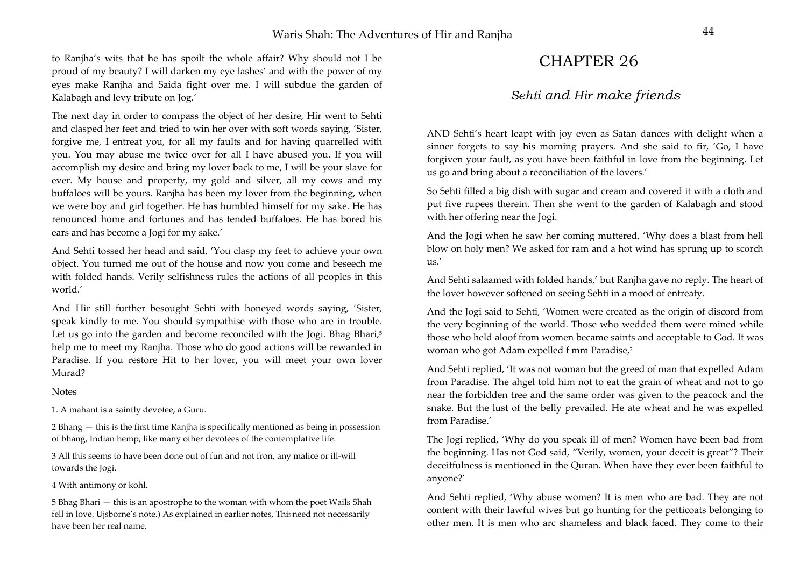to Ranjha's wits that he has spoilt the whole affair? Why should not I be proud of my beauty? I will darken my eye lashes' and with the power of my eyes make Ranjha and Saida fight over me. I will subdue the garden of Kalabagh and levy tribute on Jog.'

The next day in order to compass the object of her desire, Hir went to Sehti and clasped her feet and tried to win her over with soft words saying, 'Sister, forgive me, I entreat you, for all my faults and for having quarrelled with you. You may abuse me twice over for all I have abused you. If you will accomplish my desire and bring my lover back to me, I will be your slave for ever. My house and property, my gold and silver, all my cows and my buffaloes will be yours. Ranjha has been my lover from the beginning, when we were boy and girl together. He has humbled himself for my sake. He has renounced home and fortunes and has tended buffaloes. He has bored his ears and has become a Jogi for my sake.'

And Sehti tossed her head and said, 'You clasp my feet to achieve your own object. You turned me out of the house and now you come and beseech me with folded hands. Verily selfishness rules the actions of all peoples in this world.'

And Hir still further besought Sehti with honeyed words saying, 'Sister, speak kindly to me. You should sympathise with those who are in trouble. Let us go into the garden and become reconciled with the Jogi. Bhag Bhari,<sup>5</sup> help me to meet my Ranjha. Those who do good actions will be rewarded in Paradise. If you restore Hit to her lover, you will meet your own lover Murad?

#### **Notes**

1. A mahant is a saintly devotee, a Guru.

2 Bhang — this is the first time Ranjha is specifically mentioned as being in possession of bhang, Indian hemp, like many other devotees of the contemplative life.

3 All this seems to have been done out of fun and not fron, any malice or ill-will towards the Jogi.

#### 4 With antimony or kohl.

5 Bhag Bhari — this is an apostrophe to the woman with whom the poet Wails Shah fell in love. Ujsborne's note.) As explained in earlier notes, This need not necessarily have been her real name.

# CHAPTER 26

### *Sehti and Hir make friends*

AND Sehti's heart leapt with joy even as Satan dances with delight when a sinner forgets to say his morning prayers. And she said to fir, 'Go, I have forgiven your fault, as you have been faithful in love from the beginning. Let us go and bring about a reconciliation of the lovers.'

So Sehti filled a big dish with sugar and cream and covered it with a cloth and put five rupees therein. Then she went to the garden of Kalabagh and stood with her offering near the Jogi.

And the Jogi when he saw her coming muttered, 'Why does a blast from hell blow on holy men? We asked for ram and a hot wind has sprung up to scorch us.'

And Sehti salaamed with folded hands,' but Ranjha gave no reply. The heart of the lover however softened on seeing Sehti in a mood of entreaty.

And the Jogi said to Sehti, 'Women were created as the origin of discord from the very beginning of the world. Those who wedded them were mined while those who held aloof from women became saints and acceptable to God. It was woman who got Adam expelled f mm Paradise,<sup>2</sup>

And Sehti replied, 'It was not woman but the greed of man that expelled Adam from Paradise. The ahgel told him not to eat the grain of wheat and not to go near the forbidden tree and the same order was given to the peacock and the snake. But the lust of the belly prevailed. He ate wheat and he was expelled from Paradise.'

The Jogi replied, 'Why do you speak ill of men? Women have been bad from the beginning. Has not God said, "Verily, women, your deceit is great"? Their deceitfulness is mentioned in the Quran. When have they ever been faithful to anyone?'

And Sehti replied, 'Why abuse women? It is men who are bad. They are not content with their lawful wives but go hunting for the petticoats belonging to other men. It is men who arc shameless and black faced. They come to their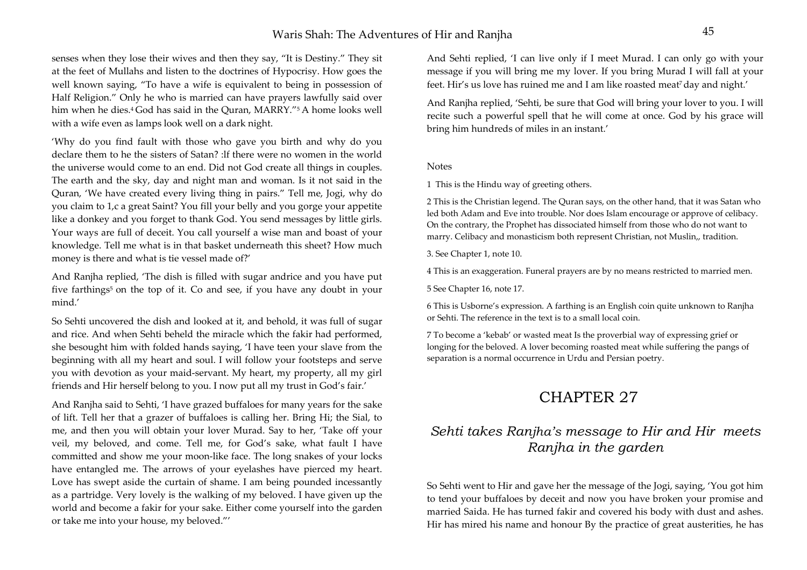### Waris Shah: The Adventures of Hir and Ranjha <sup>45</sup>

senses when they lose their wives and then they say, "It is Destiny." They sit at the feet of Mullahs and listen to the doctrines of Hypocrisy. How goes the well known saying, "To have a wife is equivalent to being in possession of Half Religion." Only he who is married can have prayers lawfully said over him when he dies.<sup>4</sup> God has said in the Ouran, MARRY."<sup>5</sup> A home looks well with a wife even as lamps look well on a dark night.

'Why do you find fault with those who gave you birth and why do you declare them to he the sisters of Satan? :lf there were no women in the world the universe would come to an end. Did not God create all things in couples. The earth and the sky, day and night man and woman. Is it not said in the Quran, 'We have created every living thing in pairs." Tell me, Jogi, why do you claim to 1,c a great Saint? You fill your belly and you gorge your appetite like a donkey and you forget to thank God. You send messages by little girls. Your ways are full of deceit. You call yourself a wise man and boast of your knowledge. Tell me what is in that basket underneath this sheet? How much money is there and what is tie vessel made of?'

And Ranjha replied, 'The dish is filled with sugar andrice and you have put five farthings<sup>5</sup> on the top of it. Co and see, if you have any doubt in your mind.'

So Sehti uncovered the dish and looked at it, and behold, it was full of sugar and rice. And when Sehti beheld the miracle which the fakir had performed, she besought him with folded hands saying, 'I have teen your slave from the beginning with all my heart and soul. I will follow your footsteps and serve you with devotion as your maid-servant. My heart, my property, all my girl friends and Hir herself belong to you. I now put all my trust in God's fair.'

And Ranjha said to Sehti, 'I have grazed buffaloes for many years for the sake of lift. Tell her that a grazer of buffaloes is calling her. Bring Hi; the Sial, to me, and then you will obtain your lover Murad. Say to her, 'Take off your veil, my beloved, and come. Tell me, for God's sake, what fault I have committed and show me your moon-like face. The long snakes of your locks have entangled me. The arrows of your eyelashes have pierced my heart. Love has swept aside the curtain of shame. I am being pounded incessantly as a partridge. Very lovely is the walking of my beloved. I have given up the world and become a fakir for your sake. Either come yourself into the garden or take me into your house, my beloved."'

And Sehti replied, 'I can live only if I meet Murad. I can only go with your message if you will bring me my lover. If you bring Murad I will fall at your feet. Hir's us love has ruined me and I am like roasted meat<sup>7</sup> day and night.'

And Ranjha replied, 'Sehti, be sure that God will bring your lover to you. I will recite such a powerful spell that he will come at once. God by his grace will bring him hundreds of miles in an instant.'

#### Notes

1 This is the Hindu way of greeting others.

2 This is the Christian legend. The Quran says, on the other hand, that it was Satan who led both Adam and Eve into trouble. Nor does Islam encourage or approve of celibacy. On the contrary, the Prophet has dissociated himself from those who do not want to marry. Celibacy and monasticism both represent Christian, not Muslin,, tradition.

3. See Chapter 1, note 10.

4 This is an exaggeration. Funeral prayers are by no means restricted to married men.

5 See Chapter 16, note 17.

6 This is Usborne's expression. A farthing is an English coin quite unknown to Ranjha or Sehti. The reference in the text is to a small local coin.

7 To become a 'kebab' or wasted meat Is the proverbial way of expressing grief or longing for the beloved. A lover becoming roasted meat while suffering the pangs of separation is a normal occurrence in Urdu and Persian poetry.

## CHAPTER 27

## *Sehti takes Ranjha's message to Hir and Hir meets Ranjha in the garden*

So Sehti went to Hir and gave her the message of the Jogi, saying, 'You got him to tend your buffaloes by deceit and now you have broken your promise and married Saida. He has turned fakir and covered his body with dust and ashes. Hir has mired his name and honour By the practice of great austerities, he has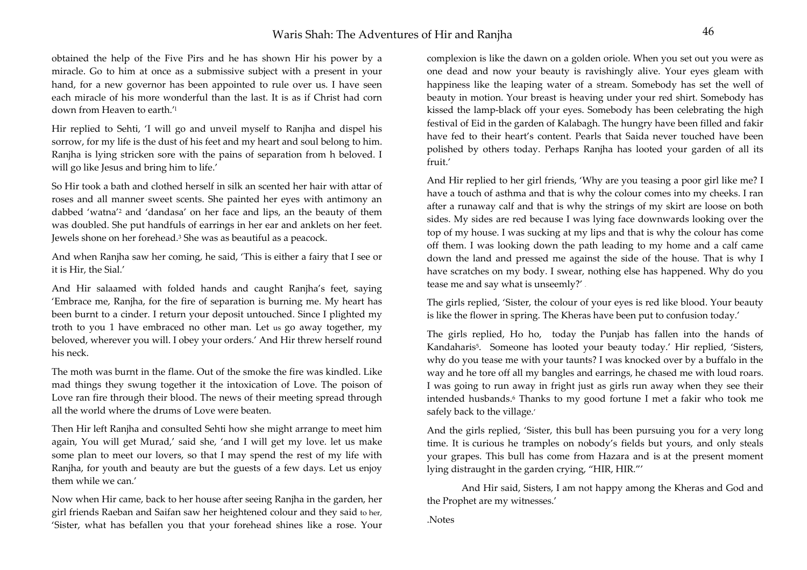obtained the help of the Five Pirs and he has shown Hir his power by a miracle. Go to him at once as a submissive subject with a present in your hand, for a new governor has been appointed to rule over us. I have seen each miracle of his more wonderful than the last. It is as if Christ had corn down from Heaven to earth.'l

Hir replied to Sehti, 'I will go and unveil myself to Ranjha and dispel his sorrow, for my life is the dust of his feet and my heart and soul belong to him. Ranjha is lying stricken sore with the pains of separation from h beloved. I will go like Jesus and bring him to life.'

So Hir took a bath and clothed herself in silk an scented her hair with attar of roses and all manner sweet scents. She painted her eyes with antimony an dabbed 'watna'2 and 'dandasa' on her face and lips, an the beauty of them was doubled. She put handfuls of earrings in her ear and anklets on her feet. Jewels shone on her forehead.3 She was as beautiful as a peacock.

And when Ranjha saw her coming, he said, 'This is either a fairy that I see or it is Hir, the Sial.'

And Hir salaamed with folded hands and caught Ranjha's feet, saying 'Embrace me, Ranjha, for the fire of separation is burning me. My heart has been burnt to a cinder. I return your deposit untouched. Since I plighted my troth to you 1 have embraced no other man. Let us go away together, my beloved, wherever you will. I obey your orders.' And Hir threw herself round his neck.

The moth was burnt in the flame. Out of the smoke the fire was kindled. Like mad things they swung together it the intoxication of Love. The poison of Love ran fire through their blood. The news of their meeting spread through all the world where the drums of Love were beaten.

Then Hir left Ranjha and consulted Sehti how she might arrange to meet him again, You will get Murad,' said she, 'and I will get my love. let us make some plan to meet our lovers, so that I may spend the rest of my life with Ranjha, for youth and beauty are but the guests of a few days. Let us enjoy them while we can.'

Now when Hir came, back to her house after seeing Ranjha in the garden, her girl friends Raeban and Saifan saw her heightened colour and they said to her, 'Sister, what has befallen you that your forehead shines like a rose. Your complexion is like the dawn on a golden oriole. When you set out you were as one dead and now your beauty is ravishingly alive. Your eyes gleam with happiness like the leaping water of a stream. Somebody has set the well of beauty in motion. Your breast is heaving under your red shirt. Somebody has kissed the lamp-black off your eyes. Somebody has been celebrating the high festival of Eid in the garden of Kalabagh. The hungry have been filled and fakir have fed to their heart's content. Pearls that Saida never touched have been polished by others today. Perhaps Ranjha has looted your garden of all its fruit.'

And Hir replied to her girl friends, 'Why are you teasing a poor girl like me? I have a touch of asthma and that is why the colour comes into my cheeks. I ran after a runaway calf and that is why the strings of my skirt are loose on both sides. My sides are red because I was lying face downwards looking over the top of my house. I was sucking at my lips and that is why the colour has come off them. I was looking down the path leading to my home and a calf came down the land and pressed me against the side of the house. That is why I have scratches on my body. I swear, nothing else has happened. Why do you tease me and say what is unseemly?' -

The girls replied, 'Sister, the colour of your eyes is red like blood. Your beauty is like the flower in spring. The Kheras have been put to confusion today.'

The girls replied, Ho ho, today the Punjab has fallen into the hands of Kandaharis<sup>5</sup>. Someone has looted your beauty today.' Hir replied, 'Sisters, why do you tease me with your taunts? I was knocked over by a buffalo in the way and he tore off all my bangles and earrings, he chased me with loud roars. I was going to run away in fright just as girls run away when they see their intended husbands.6 Thanks to my good fortune I met a fakir who took me safely back to the village.'

And the girls replied, 'Sister, this bull has been pursuing you for a very long time. It is curious he tramples on nobody's fields but yours, and only steals your grapes. This bull has come from Hazara and is at the present moment lying distraught in the garden crying, "HIR, HIR."'

 And Hir said, Sisters, I am not happy among the Kheras and God and the Prophet are my witnesses.'

.Notes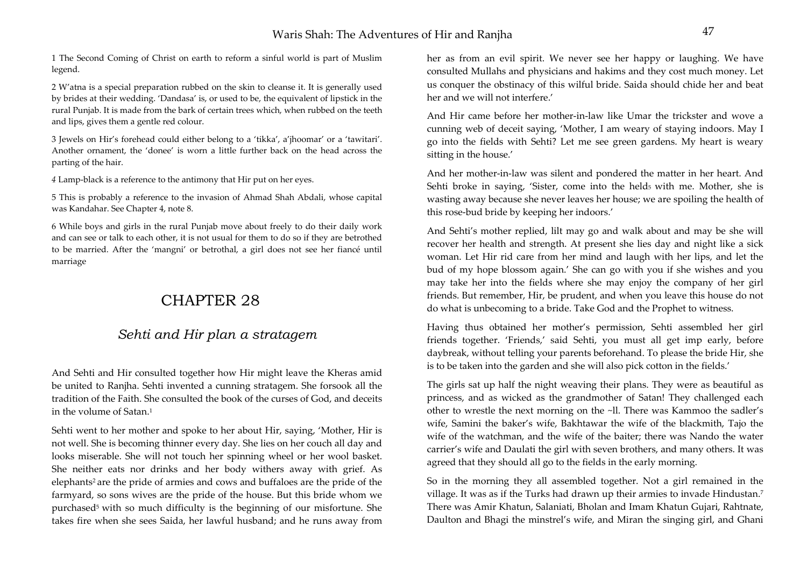1 The Second Coming of Christ on earth to reform a sinful world is part of Muslim legend.

2 W'atna is a special preparation rubbed on the skin to cleanse it. It is generally used by brides at their wedding. 'Dandasa' is, or used to be, the equivalent of lipstick in the rural Punjab. It is made from the bark of certain trees which, when rubbed on the teeth and lips, gives them a gentle red colour.

3 Jewels on Hir's forehead could either belong to a 'tikka', a'jhoomar' or a 'tawitari'. Another ornament, the 'donee' is worn a little further back on the head across the parting of the hair.

*<sup>4</sup>*Lamp-black is a reference to the antimony that Hir put on her eyes.

5 This is probably a reference to the invasion of Ahmad Shah Abdali, whose capital was Kandahar. See Chapter 4, note 8.

6 While boys and girls in the rural Punjab move about freely to do their daily work and can see or talk to each other, it is not usual for them to do so if they are betrothed to be married. After the 'mangni' or betrothal, a girl does not see her fiancé until marriage

# CHAPTER 28

### *Sehti and Hir plan a stratagem*

And Sehti and Hir consulted together how Hir might leave the Kheras amid be united to Ranjha. Sehti invented a cunning stratagem. She forsook all the tradition of the Faith. She consulted the book of the curses of God, and deceits in the volume of Satan.1

Sehti went to her mother and spoke to her about Hir, saying, 'Mother, Hir is not well. She is becoming thinner every day. She lies on her couch all day and looks miserable. She will not touch her spinning wheel or her wool basket. She neither eats nor drinks and her body withers away with grief. As elephants<sup>2</sup> are the pride of armies and cows and buffaloes are the pride of the farmyard, so sons wives are the pride of the house. But this bride whom we purchased<sup>5</sup> with so much difficulty is the beginning of our misfortune. She takes fire when she sees Saida, her lawful husband; and he runs away from her as from an evil spirit. We never see her happy or laughing. We have consulted Mullahs and physicians and hakims and they cost much money. Let us conquer the obstinacy of this wilful bride. Saida should chide her and beat her and we will not interfere.'

And Hir came before her mother-in-law like Umar the trickster and wove a cunning web of deceit saying, 'Mother, I am weary of staying indoors. May I go into the fields with Sehti? Let me see green gardens. My heart is weary sitting in the house.'

And her mother-in-law was silent and pondered the matter in her heart. And Sehti broke in saying, 'Sister, come into the held<sub>5</sub> with me. Mother, she is wasting away because she never leaves her house; we are spoiling the health of this rose-bud bride by keeping her indoors.'

And Sehti's mother replied, lilt may go and walk about and may be she will recover her health and strength. At present she lies day and night like a sick woman. Let Hir rid care from her mind and laugh with her lips, and let the bud of my hope blossom again.' She can go with you if she wishes and you may take her into the fields where she may enjoy the company of her girl friends. But remember, Hir, be prudent, and when you leave this house do not do what is unbecoming to a bride. Take God and the Prophet to witness.

Having thus obtained her mother's permission, Sehti assembled her girl friends together. 'Friends,' said Sehti, you must all get imp early, before daybreak, without telling your parents beforehand. To please the bride Hir, she is to be taken into the garden and she will also pick cotton in the fields.'

The girls sat up half the night weaving their plans. They were as beautiful as princess, and as wicked as the grandmother of Satan! They challenged each other to wrestle the next morning on the ~ll. There was Kammoo the sadler's wife, Samini the baker's wife, Bakhtawar the wife of the blackmith, Tajo the wife of the watchman, and the wife of the baiter; there was Nando the water carrier's wife and Daulati the girl with seven brothers, and many others. It was agreed that they should all go to the fields in the early morning.

So in the morning they all assembled together. Not a girl remained in the village. It was as if the Turks had drawn up their armies to invade Hindustan.7 There was Amir Khatun, Salaniati, Bholan and Imam Khatun Gujari, Rahtnate, Daulton and Bhagi the minstrel's wife, and Miran the singing girl, and Ghani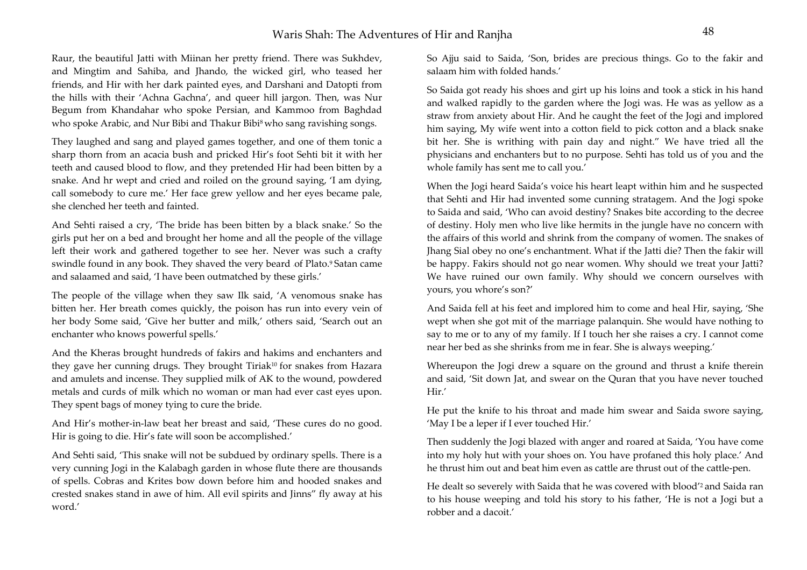Raur, the beautiful Jatti with Miinan her pretty friend. There was Sukhdev, and Mingtim and Sahiba, and Jhando, the wicked girl, who teased her friends, and Hir with her dark painted eyes, and Darshani and Datopti from the hills with their 'Achna Gachna', and queer hill jargon. Then, was Nur Begum from Khandahar who spoke Persian, and Kammoo from Baghdad who spoke Arabic, and Nur Bibi and Thakur Bibi<sup>8</sup> who sang ravishing songs.

They laughed and sang and played games together, and one of them tonic a sharp thorn from an acacia bush and pricked Hir's foot Sehti bit it with her teeth and caused blood to flow, and they pretended Hir had been bitten by a snake. And hr wept and cried and roiled on the ground saying, 'I am dying, call somebody to cure me.' Her face grew yellow and her eyes became pale, she clenched her teeth and fainted.

And Sehti raised a cry, 'The bride has been bitten by a black snake.' So the girls put her on a bed and brought her home and all the people of the village left their work and gathered together to see her. Never was such a crafty swindle found in any book. They shaved the very beard of Plato.<sup>9</sup> Satan came and salaamed and said, 'I have been outmatched by these girls.'

The people of the village when they saw Ilk said, 'A venomous snake has bitten her. Her breath comes quickly, the poison has run into every vein of her body Some said, 'Give her butter and milk,' others said, 'Search out an enchanter who knows powerful spells.'

And the Kheras brought hundreds of fakirs and hakims and enchanters and they gave her cunning drugs. They brought Tiriak<sup>10</sup> for snakes from Hazara and amulets and incense. They supplied milk of AK to the wound, powdered metals and curds of milk which no woman or man had ever cast eyes upon. They spent bags of money tying to cure the bride.

And Hir's mother-in-law beat her breast and said, 'These cures do no good. Hir is going to die. Hir's fate will soon be accomplished.'

And Sehti said, 'This snake will not be subdued by ordinary spells. There is a very cunning Jogi in the Kalabagh garden in whose flute there are thousands of spells. Cobras and Krites bow down before him and hooded snakes and crested snakes stand in awe of him. All evil spirits and Jinns" fly away at his word.'

So Ajju said to Saida, 'Son, brides are precious things. Go to the fakir and salaam him with folded hands.'

So Saida got ready his shoes and girt up his loins and took a stick in his hand and walked rapidly to the garden where the Jogi was. He was as yellow as a straw from anxiety about Hir. And he caught the feet of the Jogi and implored him saying, My wife went into a cotton field to pick cotton and a black snake bit her. She is writhing with pain day and night." We have tried all the physicians and enchanters but to no purpose. Sehti has told us of you and the whole family has sent me to call you.'

When the Jogi heard Saida's voice his heart leapt within him and he suspected that Sehti and Hir had invented some cunning stratagem. And the Jogi spoke to Saida and said, 'Who can avoid destiny? Snakes bite according to the decree of destiny. Holy men who live like hermits in the jungle have no concern with the affairs of this world and shrink from the company of women. The snakes of Jhang Sial obey no one's enchantment. What if the Jatti die? Then the fakir will be happy. Fakirs should not go near women. Why should we treat your Jatti? We have ruined our own family. Why should we concern ourselves with yours, you whore's son?'

And Saida fell at his feet and implored him to come and heal Hir, saying, 'She wept when she got mit of the marriage palanquin. She would have nothing to say to me or to any of my family. If I touch her she raises a cry. I cannot come near her bed as she shrinks from me in fear. She is always weeping.'

Whereupon the Jogi drew a square on the ground and thrust a knife therein and said, 'Sit down Jat, and swear on the Quran that you have never touched Hir.'

He put the knife to his throat and made him swear and Saida swore saying, 'May I be a leper if I ever touched Hir.'

Then suddenly the Jogi blazed with anger and roared at Saida, 'You have come into my holy hut with your shoes on. You have profaned this holy place.' And he thrust him out and beat him even as cattle are thrust out of the cattle-pen.

He dealt so severely with Saida that he was covered with blood'2 and Saida ran to his house weeping and told his story to his father, 'He is not a Jogi but a robber and a dacoit.'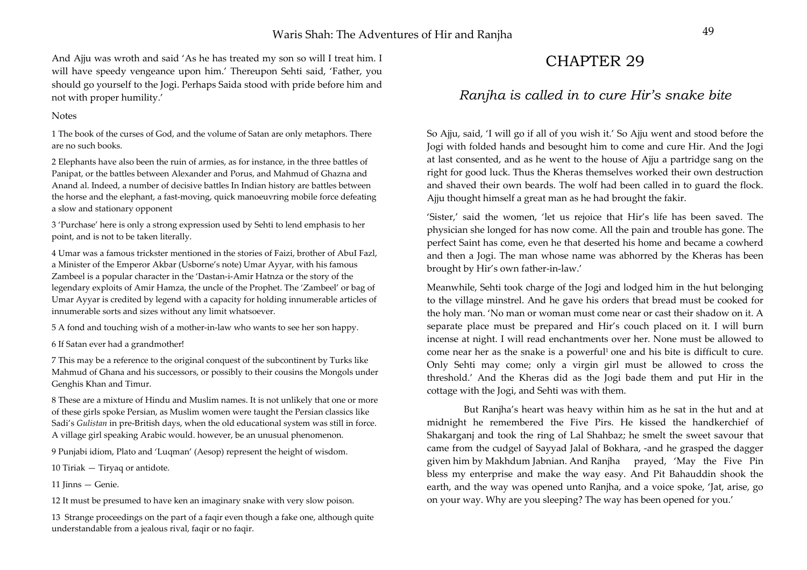And Ajju was wroth and said 'As he has treated my son so will I treat him. I will have speedy vengeance upon him.' Thereupon Sehti said, 'Father, you should go yourself to the Jogi. Perhaps Saida stood with pride before him and not with proper humility.'

#### **Notes**

1 The book of the curses of God, and the volume of Satan are only metaphors. There are no such books.

2 Elephants have also been the ruin of armies, as for instance, in the three battles of Panipat, or the battles between Alexander and Porus, and Mahmud of Ghazna and Anand al. Indeed, a number of decisive battles In Indian history are battles between the horse and the elephant, a fast-moving, quick manoeuvring mobile force defeating a slow and stationary opponent

3 'Purchase' here is only a strong expression used by Sehti to lend emphasis to her point, and is not to be taken literally.

4 Umar was a famous trickster mentioned in the stories of Faizi, brother of AbuI Fazl, a Minister of the Emperor Akbar (Usborne's note) Umar Ayyar, with his famous Zambeel is a popular character in the 'Dastan-i-Amir Hatnza or the story of the legendary exploits of Amir Hamza, the uncle of the Prophet. The 'Zambeel' or bag of Umar Ayyar is credited by legend with a capacity for holding innumerable articles of innumerable sorts and sizes without any limit whatsoever.

5 A fond and touching wish of a mother-in-law who wants to see her son happy.

6 If Satan ever had a grandmother!

7 This may be a reference to the original conquest of the subcontinent by Turks like Mahmud of Ghana and his successors, or possibly to their cousins the Mongols under Genghis Khan and Timur.

8 These are a mixture of Hindu and Muslim names. It is not unlikely that one or more of these girls spoke Persian, as Muslim women were taught the Persian classics like Sadi's *Gulistan* in pre-British days, when the old educational system was still in force. A village girl speaking Arabic would. however, be an unusual phenomenon.

9 Punjabi idiom, Plato and 'Luqman' (Aesop) represent the height of wisdom.

10 Tiriak — Tiryaq or antidote.

11 Jinns — Genie.

12 It must be presumed to have ken an imaginary snake with very slow poison.

13 Strange proceedings on the part of a faqir even though a fake one, although quite understandable from a jealous rival, faqir or no faqir.

# CHAPTER 29

### *Ranjha is called in to cure Hir's snake bite*

So Ajju, said, 'I will go if all of you wish it.' So Ajju went and stood before the Jogi with folded hands and besought him to come and cure Hir. And the Jogi at last consented, and as he went to the house of Ajju a partridge sang on the right for good luck. Thus the Kheras themselves worked their own destruction and shaved their own beards. The wolf had been called in to guard the flock. Ajju thought himself a great man as he had brought the fakir.

'Sister,' said the women, 'let us rejoice that Hir's life has been saved. The physician she longed for has now come. All the pain and trouble has gone. The perfect Saint has come, even he that deserted his home and became a cowherd and then a Jogi. The man whose name was abhorred by the Kheras has been brought by Hir's own father-in-law.'

Meanwhile, Sehti took charge of the Jogi and lodged him in the hut belonging to the village minstrel. And he gave his orders that bread must be cooked for the holy man. 'No man or woman must come near or cast their shadow on it. A separate place must be prepared and Hir's couch placed on it. I will burn incense at night. I will read enchantments over her. None must be allowed to come near her as the snake is a powerful<sup>1</sup> one and his bite is difficult to cure. Only Sehti may come; only a virgin girl must be allowed to cross the threshold.' And the Kheras did as the Jogi bade them and put Hir in the cottage with the Jogi, and Sehti was with them.

 But Ranjha's heart was heavy within him as he sat in the hut and at midnight he remembered the Five Pirs. He kissed the handkerchief of Shakarganj and took the ring of Lal Shahbaz; he smelt the sweet savour that came from the cudgel of Sayyad Jalal of Bokhara, -and he grasped the dagger given him by Makhdum Jabnian. And Ranjha prayed, 'May the Five Pin bless my enterprise and make the way easy. And Pit Bahauddin shook the earth, and the way was opened unto Ranjha, and a voice spoke, 'Jat, arise, go on your way. Why are you sleeping? The way has been opened for you.'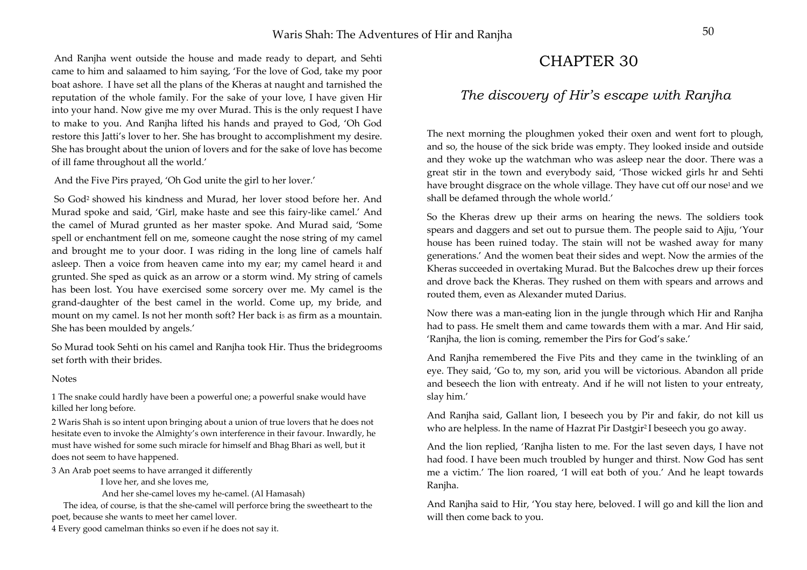And Ranjha went outside the house and made ready to depart, and Sehti came to him and salaamed to him saying, 'For the love of God, take my poor boat ashore. . I have set all the plans of the Kheras at naught and tarnished the reputation of the whole family. For the sake of your love, I have given Hir into your hand. Now give me my over Murad. This is the only request I have to make to you. And Ranjha lifted his hands and prayed to God, 'Oh God restore this Jatti's lover to her. She has brought to accomplishment my desire. She has brought about the union of lovers and for the sake of love has become of ill fame throughout all the world.'

And the Five Pirs prayed, 'Oh God unite the girl to her lover.'

 So God2 showed his kindness and Murad, her lover stood before her. And Murad spoke and said, 'Girl, make haste and see this fairy-like camel.' And the camel of Murad grunted as her master spoke. And Murad said, 'Some spell or enchantment fell on me, someone caught the nose string of my camel and brought me to your door. I was riding in the long line of camels half asleep. Then a voice from heaven came into my ear; my camel heard it and grunted. She sped as quick as an arrow or a storm wind. My string of camels has been lost. You have exercised some sorcery over me. My camel is the grand-daughter of the best camel in the world. Come up, my bride, and mount on my camel. Is not her month soft? Her back i5 as firm as a mountain. She has been moulded by angels.'

So Murad took Sehti on his camel and Ranjha took Hir. Thus the bridegrooms set forth with their brides.

#### **Notes**

1 The snake could hardly have been a powerful one; a powerful snake would have killed her long before.

2 Waris Shah is so intent upon bringing about a union of true lovers that he does not hesitate even to invoke the Almighty's own interference in their favour. Inwardly, he must have wished for some such miracle for himself and Bhag Bhari as well, but it does not seem to have happened.

3 An Arab poet seems to have arranged it differently

I love her, and she loves me,

And her she-camel loves my he-camel. (Al Hamasah)

The idea, of course, is that the she-camel will perforce bring the sweetheart to the poet, because she wants to meet her camel lover.

4 Every good camelman thinks so even if he does not say it.

# CHAPTER 30

### *The discovery of Hir's escape with Ranjha*

The next morning the ploughmen yoked their oxen and went fort to plough, and so, the house of the sick bride was empty. They looked inside and outside and they woke up the watchman who was asleep near the door. There was a great stir in the town and everybody said, 'Those wicked girls hr and Sehti have brought disgrace on the whole village. They have cut off our nose<sup>1</sup> and we shall be defamed through the whole world.'

So the Kheras drew up their arms on hearing the news. The soldiers took spears and daggers and set out to pursue them. The people said to Ajju, 'Your house has been ruined today. The stain will not be washed away for many generations.' And the women beat their sides and wept. Now the armies of the Kheras succeeded in overtaking Murad. But the Balcoches drew up their forces and drove back the Kheras. They rushed on them with spears and arrows and routed them, even as Alexander muted Darius.

Now there was a man-eating lion in the jungle through which Hir and Ranjha had to pass. He smelt them and came towards them with a mar. And Hir said, 'Ranjha, the lion is coming, remember the Pirs for God's sake.'

And Ranjha remembered the Five Pits and they came in the twinkling of an eye. They said, 'Go to, my son, arid you will be victorious. Abandon all pride and beseech the lion with entreaty. And if he will not listen to your entreaty, slay him.'

And Ranjha said, Gallant lion, I beseech you by Pir and fakir, do not kill us who are helpless. In the name of Hazrat Pir Dastgir<sup>2</sup>I beseech you go away.

And the lion replied, 'Ranjha listen to me. For the last seven days, I have not had food. I have been much troubled by hunger and thirst. Now God has sent me a victim.' The lion roared, 'I will eat both of you.' And he leapt towards Ranjha.

And Ranjha said to Hir, 'You stay here, beloved. I will go and kill the lion and will then come back to you.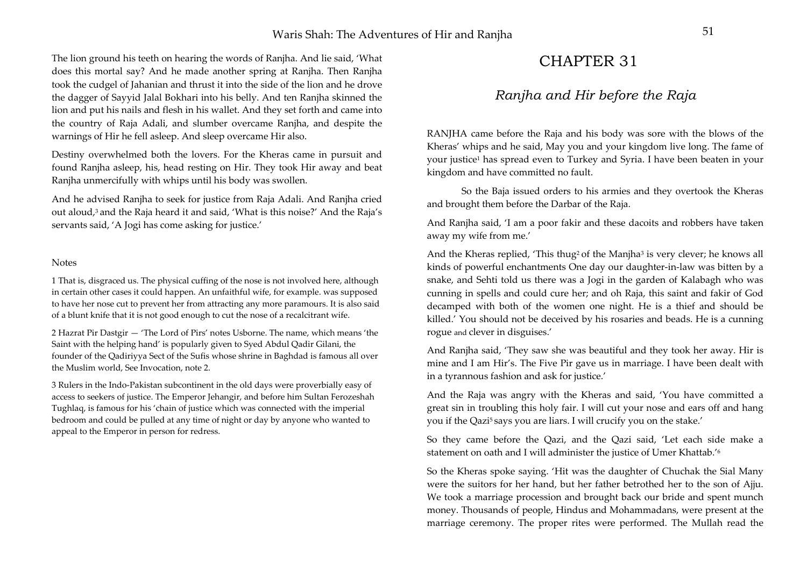The lion ground his teeth on hearing the words of Ranjha. And lie said, 'What does this mortal say? And he made another spring at Ranjha. Then Ranjha took the cudgel of Jahanian and thrust it into the side of the lion and he drove the dagger of Sayyid Jalal Bokhari into his belly. And ten Ranjha skinned the lion and put his nails and flesh in his wallet. And they set forth and came into the country of Raja Adali, and slumber overcame Ranjha, and despite the warnings of Hir he fell asleep. And sleep overcame Hir also.

Destiny overwhelmed both the lovers. For the Kheras came in pursuit and found Ranjha asleep, his, head resting on Hir. They took Hir away and beat Ranjha unmercifully with whips until his body was swollen.

And he advised Ranjha to seek for justice from Raja Adali. And Ranjha cried out aloud,<sup>3</sup> and the Raja heard it and said, 'What is this noise?' And the Raja's servants said, 'A Jogi has come asking for justice.'

#### Notes

1 That is, disgraced us. The physical cuffing of the nose is not involved here, although in certain other cases it could happen. An unfaithful wife, for example. was supposed to have her nose cut to prevent her from attracting any more paramours. It is also said of a blunt knife that it is not good enough to cut the nose of a recalcitrant wife.

2 Hazrat Pir Dastgir — 'The Lord of Pirs' notes Usborne. The name, which means 'the Saint with the helping hand' is popularly given to Syed Abdul Qadir Gilani, the founder of the Qadiriyya Sect of the Sufis whose shrine in Baghdad is famous all over the Muslim world, See Invocation, note 2.

3 Rulers in the Indo-Pakistan subcontinent in the old days were proverbially easy of access to seekers of justice. The Emperor Jehangir, and before him Sultan Ferozeshah Tughlaq, is famous for his 'chain of justice which was connected with the imperial bedroom and could be pulled at any time of night or day by anyone who wanted to appeal to the Emperor in person for redress.

# CHAPTER 31

### *Ranjha and Hir before the Raja*

RANJHA came before the Raja and his body was sore with the blows of the Kheras' whips and he said, May you and your kingdom live long. The fame of your justice1 has spread even to Turkey and Syria. I have been beaten in your kingdom and have committed no fault.

So the Baja issued orders to his armies and they overtook the Kheras and brought them before the Darbar of the Raja.

And Ranjha said, 'I am a poor fakir and these dacoits and robbers have taken away my wife from me.'

And the Kheras replied, 'This thug<sup>2</sup> of the Manjha<sup>3</sup> is very clever; he knows all kinds of powerful enchantments One day our daughter-in-law was bitten by a snake, and Sehti told us there was a Jogi in the garden of Kalabagh who was cunning in spells and could cure her; and oh Raja, this saint and fakir of God decamped with both of the women one night. He is a thief and should be killed.' You should not be deceived by his rosaries and beads. He is a cunning rogue and clever in disguises.'

And Ranjha said, 'They saw she was beautiful and they took her away. Hir is mine and I am Hir's. The Five Pir gave us in marriage. I have been dealt with in a tyrannous fashion and ask for justice.'

And the Raja was angry with the Kheras and said, 'You have committed a great sin in troubling this holy fair. I will cut your nose and ears off and hang you if the Qazi<sup>5</sup> says you are liars. I will crucify you on the stake.'

So they came before the Qazi, and the Qazi said, 'Let each side make a statement on oath and I will administer the justice of Umer Khattab.'6

So the Kheras spoke saying. 'Hit was the daughter of Chuchak the Sial Many were the suitors for her hand, but her father betrothed her to the son of Ajju. We took a marriage procession and brought back our bride and spent munch money. Thousands of people, Hindus and Mohammadans, were present at the marriage ceremony. The proper rites were performed. The Mullah read the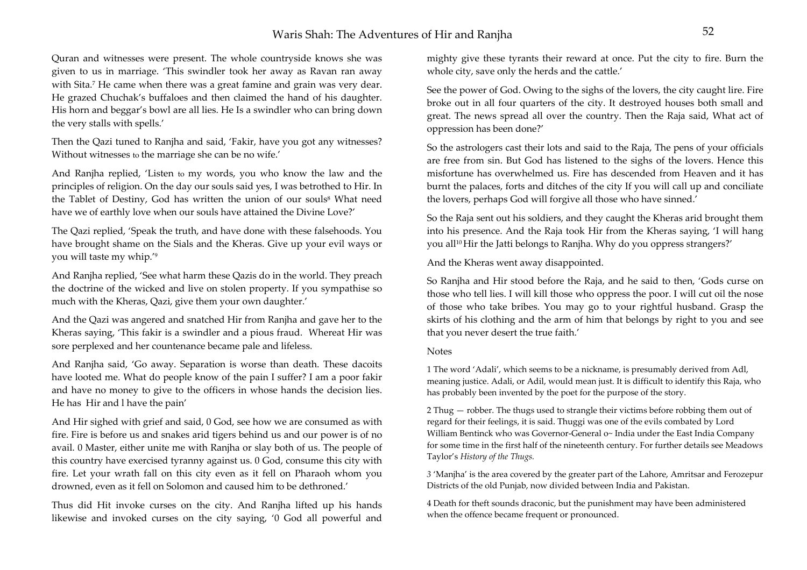## Waris Shah: The Adventures of Hir and Raniha

Quran and witnesses were present. The whole countryside knows she was given to us in marriage. 'This swindler took her away as Ravan ran away with Sita.<sup>7</sup> He came when there was a great famine and grain was very dear. He grazed Chuchak's buffaloes and then claimed the hand of his daughter. His horn and beggar's bowl are all lies. He Is a swindler who can bring down the very stalls with spells.'

Then the Qazi tuned to Ranjha and said, 'Fakir, have you got any witnesses? Without witnesses to the marriage she can be no wife.'

And Ranjha replied, 'Listen to my words, you who know the law and the principles of religion. On the day our souls said yes, I was betrothed to Hir. In the Tablet of Destiny, God has written the union of our souls<sup>8</sup> What need have we of earthly love when our souls have attained the Divine Love?'

The Qazi replied, 'Speak the truth, and have done with these falsehoods. You have brought shame on the Sials and the Kheras. Give up your evil ways or you will taste my whip.'9

And Ranjha replied, 'See what harm these Qazis do in the world. They preach the doctrine of the wicked and live on stolen property. If you sympathise so much with the Kheras, Qazi, give them your own daughter.'

And the Qazi was angered and snatched Hir from Ranjha and gave her to the Kheras saying, 'This fakir is a swindler and a pious fraud. Whereat Hir was sore perplexed and her countenance became pale and lifeless.

And Ranjha said, 'Go away. Separation is worse than death. These dacoits have looted me. What do people know of the pain I suffer? I am a poor fakir and have no money to give to the officers in whose hands the decision lies. He has Hir and l have the pain'

And Hir sighed with grief and said, 0 God, see how we are consumed as with fire. Fire is before us and snakes arid tigers behind us and our power is of no avail. 0 Master, either unite me with Ranjha or slay both of us. The people of this country have exercised tyranny against us. 0 God, consume this city with fire. Let your wrath fall on this city even as it fell on Pharaoh whom you drowned, even as it fell on Solomon and caused him to be dethroned.'

Thus did Hit invoke curses on the city. And Ranjha lifted up his hands likewise and invoked curses on the city saying, '0 God all powerful and mighty give these tyrants their reward at once. Put the city to fire. Burn the whole city, save only the herds and the cattle.'

See the power of God. Owing to the sighs of the lovers, the city caught lire. Fire broke out in all four quarters of the city. It destroyed houses both small and great. The news spread all over the country. Then the Raja said, What act of oppression has been done?'

So the astrologers cast their lots and said to the Raja, The pens of your officials are free from sin. But God has listened to the sighs of the lovers. Hence this misfortune has overwhelmed us. Fire has descended from Heaven and it has burnt the palaces, forts and ditches of the city If you will call up and conciliate the lovers, perhaps God will forgive all those who have sinned.'

So the Raja sent out his soldiers, and they caught the Kheras arid brought them into his presence. And the Raja took Hir from the Kheras saying, 'I will hang you all10 Hir the Jatti belongs to Ranjha. Why do you oppress strangers?'

And the Kheras went away disappointed.

So Ranjha and Hir stood before the Raja, and he said to then, 'Gods curse on those who tell lies. I will kill those who oppress the poor. I will cut oil the nose of those who take bribes. You may go to your rightful husband. Grasp the skirts of his clothing and the arm of him that belongs by right to you and see that you never desert the true faith.'

#### Notes

1 The word 'Adali', which seems to be a nickname, is presumably derived from Adl, meaning justice. Adali, or Adil, would mean just. It is difficult to identify this Raja, who has probably been invented by the poet for the purpose of the story.

2 Thug — robber. The thugs used to strangle their victims before robbing them out of regard for their feelings, it is said. Thuggi was one of the evils combated by Lord William Bentinck who was Governor-General o~ India under the East India Company for some time in the first half of the nineteenth century. For further details see Meadows Taylor's *History of the Thugs.* 

*<sup>3</sup>*'Manjha' is the area covered by the greater part of the Lahore, Amritsar and Ferozepur Districts of the old Punjab, now divided between India and Pakistan.

4 Death for theft sounds draconic, but the punishment may have been administered when the offence became frequent or pronounced.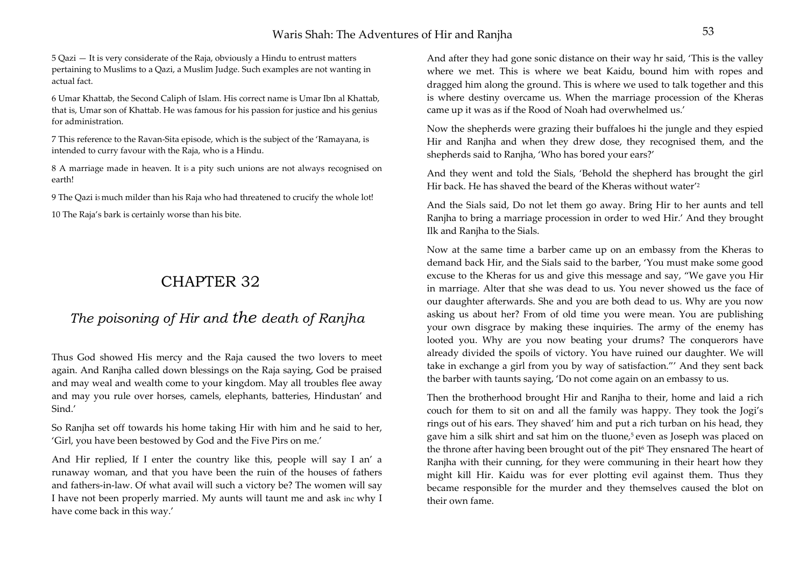5 Qazi — It is very considerate of the Raja, obviously a Hindu to entrust matters pertaining to Muslims to a Qazi, a Muslim Judge. Such examples are not wanting in actual fact.

6 Umar Khattab, the Second Caliph of Islam. His correct name is Umar Ibn al Khattab, that is, Umar son of Khattab. He was famous for his passion for justice and his genius for administration.

7 This reference to the Ravan-Sita episode, which is the subject of the 'Ramayana, is intended to curry favour with the Raja, who is a Hindu.

8 A marriage made in heaven. It is a pity such unions are not always recognised on earth!

9 The Qazi i5 much milder than his Raja who had threatened to crucify the whole lot!

10 The Raja's bark is certainly worse than his bite.

# CHAPTER 32

# *The poisoning of Hir and the death of Ranjha*

Thus God showed His mercy and the Raja caused the two lovers to meet again. And Ranjha called down blessings on the Raja saying, God be praised and may weal and wealth come to your kingdom. May all troubles flee away and may you rule over horses, camels, elephants, batteries, Hindustan' and Sind.'

So Ranjha set off towards his home taking Hir with him and he said to her, 'Girl, you have been bestowed by God and the Five Pirs on me.'

And Hir replied, If I enter the country like this, people will say I an' a runaway woman, and that you have been the ruin of the houses of fathers and fathers-in-law. Of what avail will such a victory be? The women will say I have not been properly married. My aunts will taunt me and ask inc why I have come back in this way.'

And after they had gone sonic distance on their way hr said, 'This is the valley where we met. This is where we beat Kaidu, bound him with ropes and dragged him along the ground. This is where we used to talk together and this is where destiny overcame us. When the marriage procession of the Kheras came up it was as if the Rood of Noah had overwhelmed us.'

Now the shepherds were grazing their buffaloes hi the jungle and they espied Hir and Ranjha and when they drew dose, they recognised them, and the shepherds said to Ranjha, 'Who has bored your ears?'

And they went and told the Sials, 'Behold the shepherd has brought the girl Hir back. He has shaved the beard of the Kheras without water'2

And the Sials said, Do not let them go away. Bring Hir to her aunts and tell Ranjha to bring a marriage procession in order to wed Hir.' And they brought Ilk and Ranjha to the Sials.

Now at the same time a barber came up on an embassy from the Kheras to demand back Hir, and the Sials said to the barber, 'You must make some good excuse to the Kheras for us and give this message and say, "We gave you Hir in marriage. Alter that she was dead to us. You never showed us the face of our daughter afterwards. She and you are both dead to us. Why are you now asking us about her? From of old time you were mean. You are publishing your own disgrace by making these inquiries. The army of the enemy has looted you. Why are you now beating your drums? The conquerors have already divided the spoils of victory. You have ruined our daughter. We will take in exchange a girl from you by way of satisfaction."' And they sent back the barber with taunts saying, 'Do not come again on an embassy to us.

Then the brotherhood brought Hir and Ranjha to their, home and laid a rich couch for them to sit on and all the family was happy. They took the Jogi's rings out of his ears. They shaved' him and put a rich turban on his head, they gave him a silk shirt and sat him on the tluone,<sup>5</sup> even as Joseph was placed on the throne after having been brought out of the pit<sup>6</sup> They ensnared The heart of Ranjha with their cunning, for they were communing in their heart how they might kill Hir. Kaidu was for ever plotting evil against them. Thus they became responsible for the murder and they themselves caused the blot on their own fame.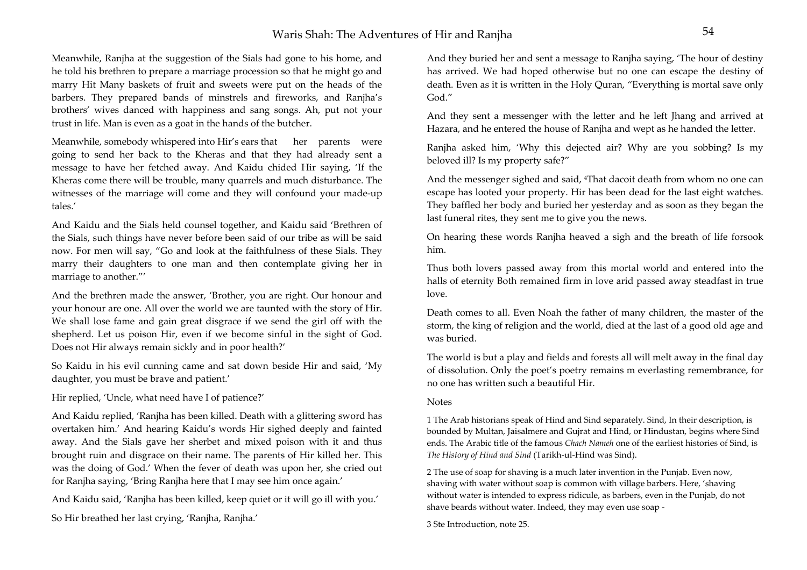Meanwhile, Ranjha at the suggestion of the Sials had gone to his home, and he told his brethren to prepare a marriage procession so that he might go and marry Hit Many baskets of fruit and sweets were put on the heads of the barbers. They prepared bands of minstrels and fireworks, and Ranjha's brothers' wives danced with happiness and sang songs. Ah, put not your trust in life. Man is even as a goat in the hands of the butcher.

Meanwhile, somebody whispered into Hir's ears that her parents were going to send her back to the Kheras and that they had already sent a message to have her fetched away. And Kaidu chided Hir saying, 'If the Kheras come there will be trouble, many quarrels and much disturbance. The witnesses of the marriage will come and they will confound your made-up tales.'

And Kaidu and the Sials held counsel together, and Kaidu said 'Brethren of the Sials, such things have never before been said of our tribe as will be said now. For men will say, "Go and look at the faithfulness of these Sials. They marry their daughters to one man and then contemplate giving her in marriage to another."'

And the brethren made the answer, 'Brother, you are right. Our honour and your honour are one. All over the world we are taunted with the story of Hir. We shall lose fame and gain great disgrace if we send the girl off with the shepherd. Let us poison Hir, even if we become sinful in the sight of God. Does not Hir always remain sickly and in poor health?'

So Kaidu in his evil cunning came and sat down beside Hir and said, 'My daughter, you must be brave and patient.'

Hir replied, 'Uncle, what need have I of patience?'

And Kaidu replied, 'Ranjha has been killed. Death with a glittering sword has overtaken him.' And hearing Kaidu's words Hir sighed deeply and fainted away. And the Sials gave her sherbet and mixed poison with it and thus brought ruin and disgrace on their name. The parents of Hir killed her. This was the doing of God.' When the fever of death was upon her, she cried out for Ranjha saying, 'Bring Ranjha here that I may see him once again.'

And Kaidu said, 'Ranjha has been killed, keep quiet or it will go ill with you.'

So Hir breathed her last crying, 'Ranjha, Ranjha.'

And they buried her and sent a message to Ranjha saying, 'The hour of destiny has arrived. We had hoped otherwise but no one can escape the destiny of death. Even as it is written in the Holy Quran, "Everything is mortal save only God."

And they sent a messenger with the letter and he left Jhang and arrived at Hazara, and he entered the house of Ranjha and wept as he handed the letter.

Ranjha asked him, 'Why this dejected air? Why are you sobbing? Is my beloved ill? Is my property safe?"

And the messenger sighed and said, <sup>4</sup>That dacoit death from whom no one can escape has looted your property. Hir has been dead for the last eight watches. They baffled her body and buried her yesterday and as soon as they began the last funeral rites, they sent me to give you the news.

On hearing these words Ranjha heaved a sigh and the breath of life forsook him.

Thus both lovers passed away from this mortal world and entered into the halls of eternity Both remained firm in love arid passed away steadfast in true love.

Death comes to all. Even Noah the father of many children, the master of the storm, the king of religion and the world, died at the last of a good old age and was buried.

The world is but a play and fields and forests all will melt away in the final day of dissolution. Only the poet's poetry remains m everlasting remembrance, for no one has written such a beautiful Hir.

### Notes

1 The Arab historians speak of Hind and Sind separately. Sind, In their description, is bounded by Multan, Jaisalmere and Gujrat and Hind, or Hindustan, begins where Sind ends. The Arabic title of the famous *Chach Nameh* one of the earliest histories of Sind, is *The History of Hind and Sind* (Tarikh-ul-Hind was Sind).

2 The use of soap for shaving is a much later invention in the Punjab. Even now, shaving with water without soap is common with village barbers. Here, 'shaving without water is intended to express ridicule, as barbers, even in the Punjab, do not shave beards without water. Indeed, they may even use soap -

3 Ste Introduction, note 25.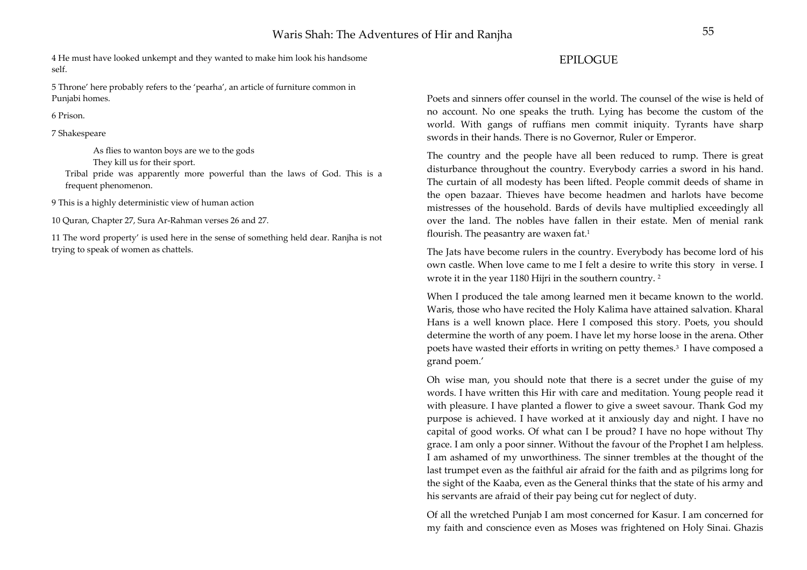4 He must have looked unkempt and they wanted to make him look his handsome self.

5 Throne' here probably refers to the 'pearha', an article of furniture common in Punjabi homes.

6 Prison.

7 Shakespeare

As flies to wanton boys are we to the gods

They kill us for their sport.

Tribal pride was apparently more powerful than the laws of God. This is a frequent phenomenon.

9 This is a highly deterministic view of human action

10 Quran, Chapter 27, Sura Ar-Rahman verses 26 and 27.

11 The word property' is used here in the sense of something held dear. Ranjha is not trying to speak of women as chattels.

### EPILOGUE

Poets and sinners offer counsel in the world. The counsel of the wise is held of no account. No one speaks the truth. Lying has become the custom of the world. With gangs of ruffians men commit iniquity. Tyrants have sharp swords in their hands. There is no Governor, Ruler or Emperor.

The country and the people have all been reduced to rump. There is grea<sup>t</sup> disturbance throughout the country. Everybody carries a sword in his hand. The curtain of all modesty has been lifted. People commit deeds of shame in the open bazaar. Thieves have become headmen and harlots have become mistresses of the household. Bards of devils have multiplied exceedingly all over the land. The nobles have fallen in their estate. Men of menial rank flourish. The peasantry are waxen fat.1

The Jats have become rulers in the country. Everybody has become lord of his own castle. When love came to me I felt a desire to write this story in verse. I wrote it in the year 1180 Hijri in the southern country. 2

When I produced the tale among learned men it became known to the world. Waris, those who have recited the Holy Kalima have attained salvation. Kharal Hans is a well known place. Here I composed this story. Poets, you should determine the worth of any poem. I have let my horse loose in the arena. Other poets have wasted their efforts in writing on petty themes.3 I have composed a grand poem.'

Oh wise man, you should note that there is a secret under the guise of my words. I have written this Hir with care and meditation. Young people read it with pleasure. I have planted a flower to give a sweet savour. Thank God my purpose is achieved. I have worked at it anxiously day and night. I have no capital of good works. Of what can I be proud? I have no hope without Thy grace. I am only a poor sinner. Without the favour of the Prophet I am helpless. I am ashamed of my unworthiness. The sinner trembles at the thought of the last trumpet even as the faithful air afraid for the faith and as pilgrims long for the sight of the Kaaba, even as the General thinks that the state of his army and his servants are afraid of their pay being cut for neglect of duty.

Of all the wretched Punjab I am most concerned for Kasur. I am concerned for my faith and conscience even as Moses was frightened on Holy Sinai. Ghazis